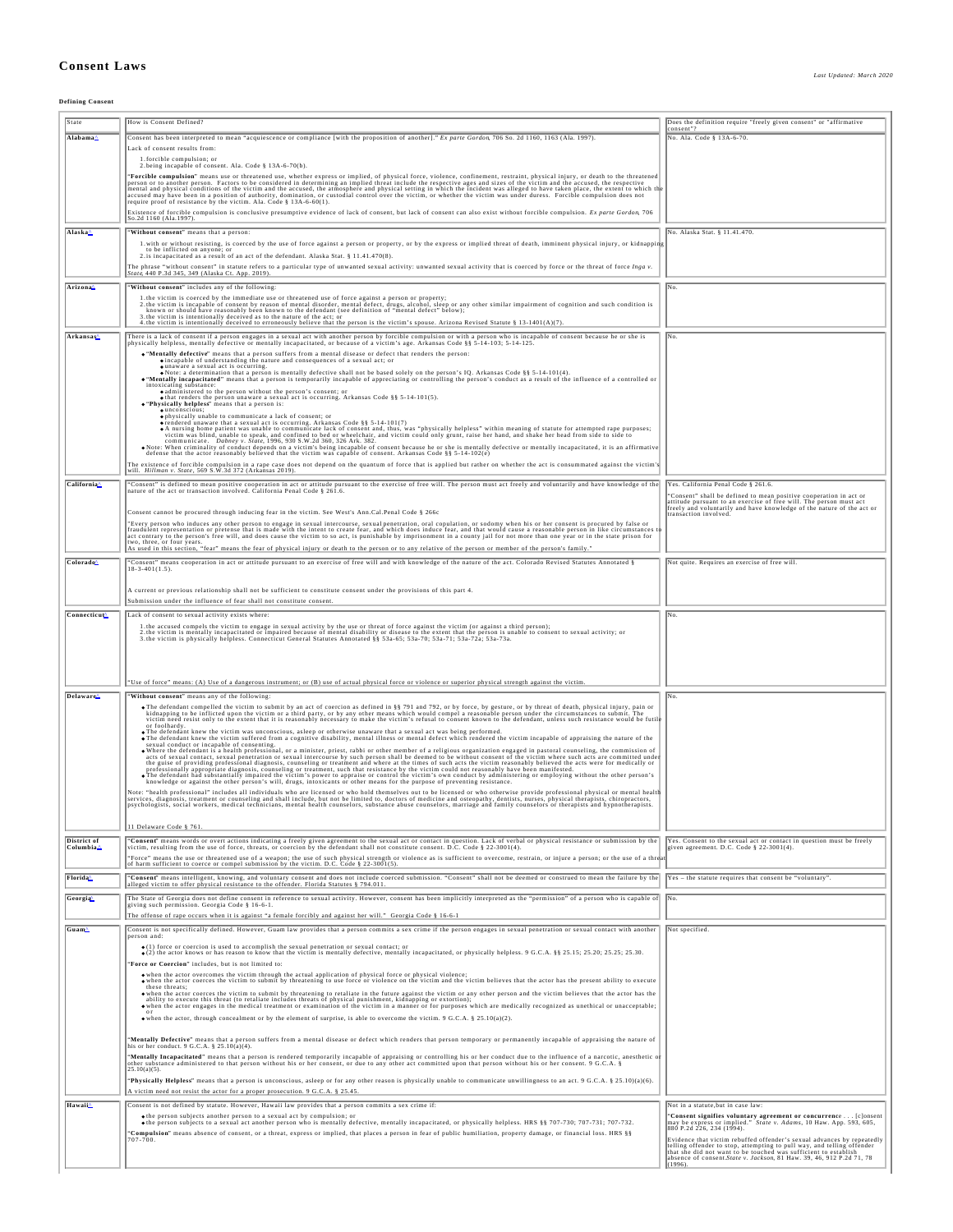## **Consent Laws**

**Defining Consent**

| State                    | How is Consent Defined?                                                                                                                                                                                                                                                                                                                                                                                               | Does the definition require "freely given consent" or "affirmative                                                                                              |
|--------------------------|-----------------------------------------------------------------------------------------------------------------------------------------------------------------------------------------------------------------------------------------------------------------------------------------------------------------------------------------------------------------------------------------------------------------------|-----------------------------------------------------------------------------------------------------------------------------------------------------------------|
| Alabama^                 | Consent has been interpreted to mean "acquiescence or compliance [with the proposition of another]." Ex parte Gordon, 706 So. 2d 1160, 1163 (Ala. 1997).                                                                                                                                                                                                                                                              | onsent"<br>No. Ala. Code § 13A-6-70.                                                                                                                            |
|                          | Lack of consent results from:                                                                                                                                                                                                                                                                                                                                                                                         |                                                                                                                                                                 |
|                          | 1. forcible compulsion; or                                                                                                                                                                                                                                                                                                                                                                                            |                                                                                                                                                                 |
|                          | 2. being incapable of consent. Ala. Code § 13A-6-70(b).                                                                                                                                                                                                                                                                                                                                                               |                                                                                                                                                                 |
|                          | "Forcible compulsion" means use or threatened use, whether express or implied, of physical force, violence, confinement, restraint, physical injury, or death to the threatened<br>person or to another person. Factors to be con<br>mental and physical conditions of the victim and the accused, the atmosphere and physical setting in which the incident was alleged to have taken place, the extent to which the |                                                                                                                                                                 |
|                          | accused may have been in a position of authority, domination, or custodial control over the victim, or whether the victim was under duress. Forcible compulsion does not<br>trequire proof of resistance by the victim. Ala. Code                                                                                                                                                                                     |                                                                                                                                                                 |
|                          | Existence of forcible compulsion is conclusive presumptive evidence of lack of consent, but lack of consent can also exist without forcible compulsion. Ex parte Gordon, 706                                                                                                                                                                                                                                          |                                                                                                                                                                 |
|                          | So.2d 1160 (Ala.1997).                                                                                                                                                                                                                                                                                                                                                                                                |                                                                                                                                                                 |
| Alaska <sup>A</sup>      | "Without consent" means that a person:<br>1. with or without resisting, is coerced by the use of force against a person or property, or by the express or implied threat of death, imminent physical injury, or kidnapping                                                                                                                                                                                            | No. Alaska Stat. § 11.41.470.                                                                                                                                   |
|                          | to be inflicted on anyone; or<br>2.is incapacitated as a result of an act of the defendant. Alaska Stat. § 11.41.470(8).                                                                                                                                                                                                                                                                                              |                                                                                                                                                                 |
|                          | The phrase "without consent" in statute refers to a particular type of unwanted sexual activity: unwanted sexual activity that is coerced by force or the threat of force Inga v.                                                                                                                                                                                                                                     |                                                                                                                                                                 |
| Arizona                  | State, 440 P.3d 345, 349 (Alaska Ct. App. 2019).<br>"Without consent" includes any of the following                                                                                                                                                                                                                                                                                                                   | No.                                                                                                                                                             |
|                          |                                                                                                                                                                                                                                                                                                                                                                                                                       |                                                                                                                                                                 |
|                          | 1.the victim is coerced by the immediate use or threatened use of force against a person or property;<br>2.the victim is incapable of consent by reason of mental disorder, mental defect, drugs, alcohol, sleep or any other sim<br>known or should have reasonably been known to the defendant (see definition of "mental defect" below);                                                                           |                                                                                                                                                                 |
|                          | 3. the victim is intentionally deceived as to the nature of the act; or<br>4. the victim is intentionally deceived to erroneously believe that the person is the victim's spouse. Arizona Revised Statute § 13-1401(A)(7).                                                                                                                                                                                            |                                                                                                                                                                 |
| Arkansas <sup>4</sup>    | There is a lack of consent if a person engages in a sexual act with another person by forcible compulsion or with a person who is incapable of consent because he or she is                                                                                                                                                                                                                                           | No.                                                                                                                                                             |
|                          | physically helpless, mentally defective or mentally incapacitated, or because of a victim's age. Arkansas Code §§ 5-14-103; 5-14-125<br>. "Mentally defective" means that a person suffers from a mental disease or defect that renders the person:                                                                                                                                                                   |                                                                                                                                                                 |
|                          | cincapable of understanding the nature and consequences of a sexual act; or<br><b><math>\bullet</math></b> unaware a sexual act is occurring.                                                                                                                                                                                                                                                                         |                                                                                                                                                                 |
|                          | . Note: a determination that a person is mentally defective shall not be based solely on the person's IQ. Arkansas Code §§ 5-14-101(4).<br>Wentally incapacitated" means that a person is temporarily incapable of appreciating o                                                                                                                                                                                     |                                                                                                                                                                 |
|                          | intoxicating substance:<br>• administered to the person without the person's consent; or<br>• that renders the person unaware a sexual act is occurring. Arkansas Code §§ 5-14-101(5).                                                                                                                                                                                                                                |                                                                                                                                                                 |
|                          | . "Physically helpless" means that a person is:                                                                                                                                                                                                                                                                                                                                                                       |                                                                                                                                                                 |
|                          | $\bullet$ unconscious:<br>ophysically unable to communicate a lack of consent; or<br>o rendered unaware that a sexual act is occurring. Arkansas Code §§ 5-14-101(7)                                                                                                                                                                                                                                                  |                                                                                                                                                                 |
|                          | On a market and we are the communicate lack of consent and, thus, was "physically helpless" within meaning of statute for attempted rape purposes;<br>victim was blind, unable to speak, and confined to bed or wheelchair, and v                                                                                                                                                                                     |                                                                                                                                                                 |
|                          | communicate. Dabney v. State, 1996, 930 S.W.2d 360, 326 Ark. 382.<br>• Note: When criminality of conduct depends on a victim's being incapable of consent because he or she is mentally defective or mentally incapacitated, it is an affirmative defense that the actor reasonably believed that t                                                                                                                   |                                                                                                                                                                 |
|                          |                                                                                                                                                                                                                                                                                                                                                                                                                       |                                                                                                                                                                 |
|                          | The existence of forcible compulsion in a rape case does not depend on the quantum of force that is applied but rather on whether the act is consummated against the victim's will. Hillman v. State, 569 S.W.3d 372 (Arkansas                                                                                                                                                                                        |                                                                                                                                                                 |
| California <sup>4</sup>  | "Consent" is defined to mean positive cooperation in act or attitude pursuant to the exercise of free will. The person must act freely and voluntarily and have knowledge of the nature of the act or transaction involved. Ca                                                                                                                                                                                        | Yes. California Penal Code § 261.6.                                                                                                                             |
|                          |                                                                                                                                                                                                                                                                                                                                                                                                                       | "Consent" shall be defined to mean positive cooperation in act or<br>attitude pursuant to an exercise of free will. The person must act                         |
|                          | Consent cannot be procured through inducing fear in the victim. See West's Ann.Cal.Penal Code § 266c                                                                                                                                                                                                                                                                                                                  | freely and voluntarily and have knowledge of the nature of the act or<br>transaction involved                                                                   |
|                          | "Every person who induces any other person to engage in sexual intercourse, sexual penetration, oral copulation, or sodomy when his or her consent is procured by false or<br>fraudulent representation or pretense that is made with the intent to create fear, and which does induce fear, and that would cause a reasonable person in like circumstances t                                                         |                                                                                                                                                                 |
|                          | act contrary to the person's free will, and does cause the victim to so act, is punishable by imprisonment in a county jail for not more than one year or in the state prison for<br>two, three, or four years.                                                                                                                                                                                                       |                                                                                                                                                                 |
|                          | As used in this section, "fear" means the fear of physical injury or death to the person or to any relative of the person or member of the person's family.                                                                                                                                                                                                                                                           |                                                                                                                                                                 |
| Colorado                 | "Consent" means cooperation in act or attitude pursuant to an exercise of free will and with knowledge of the nature of the act. Colorado Revised Statutes Annotated §<br>$18-3-401(1.5)$                                                                                                                                                                                                                             | Not quite. Requires an exercise of free will.                                                                                                                   |
|                          |                                                                                                                                                                                                                                                                                                                                                                                                                       |                                                                                                                                                                 |
|                          | A current or previous relationship shall not be sufficient to constitute consent under the provisions of this part 4.                                                                                                                                                                                                                                                                                                 |                                                                                                                                                                 |
|                          | Submission under the influence of fear shall not constitute consent.                                                                                                                                                                                                                                                                                                                                                  |                                                                                                                                                                 |
| Connecticut∆             | Lack of consent to sexual activity exists where:<br>1. the accused compels the victim to engage in sexual activity by the use or threat of force against the victim (or against a third person);                                                                                                                                                                                                                      | No.                                                                                                                                                             |
|                          | 2. the victim is mentally incapacitated or impaired because of mental disability or disease to the extent that the person is unable to consent to sexual activity; or<br>3. the victim is physically helpless. Connecticut Genera                                                                                                                                                                                     |                                                                                                                                                                 |
|                          |                                                                                                                                                                                                                                                                                                                                                                                                                       |                                                                                                                                                                 |
|                          |                                                                                                                                                                                                                                                                                                                                                                                                                       |                                                                                                                                                                 |
|                          | "Use of force" means: (A) Use of a dangerous instrument; or (B) use of actual physical force or violence or superior physical strength against the victim.                                                                                                                                                                                                                                                            |                                                                                                                                                                 |
| Delaware <sup>4</sup>    | "Without consent" means any of the following:                                                                                                                                                                                                                                                                                                                                                                         | No.                                                                                                                                                             |
|                          | The defendant compelled the victim to submit by an act of coercion as defined in §§ 791 and 792, or by force, by gesture, or by threat of death, physical injury, pain or                                                                                                                                                                                                                                             |                                                                                                                                                                 |
|                          | kidnapping to be inflicted upon the victim or a third party, or by any other means which would compel a reasonable person under the circumstances to submit. The victim is readed to such means out of the fully be fully be f                                                                                                                                                                                        |                                                                                                                                                                 |
|                          | or foolhardy.<br>. The defendant knew the victim was unconscious, asleep or otherwise unaware that a sexual act was being performed.<br>The defendant knew the victim suffered from a cognitive disability, mental illness or mental defect which                                                                                                                                                                     |                                                                                                                                                                 |
|                          | sexual conduct or incapable of consenting.                                                                                                                                                                                                                                                                                                                                                                            |                                                                                                                                                                 |
|                          | Where the defendant is a health professional, or a minister, priest, rabbi or other member of a religious organization engaged in pastoral counseling, the commission of acts of sexual contact, sexual penetration or sexual<br>the guise of providing professional diagnosis, counseling or treatment and where at the times of such acts the victim reasonably believed the acts were for medically or             |                                                                                                                                                                 |
|                          | professionally appropriate diagnosis, counscling or treatment, such that resistance by the victim could not reasonably have been manifested.<br>•The defendant had substantially impaired the victim's power to appraise or contr                                                                                                                                                                                     |                                                                                                                                                                 |
|                          | knowledge or against the other person's will, drugs, intoxicants or other means for the purpose of preventing resistance.<br>Note: "health professional" includes all individuals who are licensed or who hold themselves out to be licensed or who otherwise provide professional physical or mental health                                                                                                          |                                                                                                                                                                 |
|                          | services, diagnosis, treatment or counseling and shall include, but not be limited to, doctors of medicine and osteopathy, dentists, nurses, physical therapists, chiropractors,<br>psychologists, social workers, medical technicians, mental health counselors, substance abuse counselors, marriage and family counselors or therapists and hypnotherapists.                                                       |                                                                                                                                                                 |
|                          |                                                                                                                                                                                                                                                                                                                                                                                                                       |                                                                                                                                                                 |
|                          | 11 Delaware Code § 761                                                                                                                                                                                                                                                                                                                                                                                                |                                                                                                                                                                 |
| District of<br>Columbia. | "Consent" means words or overt actions indicating a freely given agreement to the sexual act or contact in question. Lack of verbal or physical resistance or submission by the<br>victim, resulting from the use of force, threats, or coercion by the defendant shall not constitute consent. D.C. Code § 22-3001(4).                                                                                               | Yes. Consent to the sexual act or contact in question must be freely<br>given agreement. D.C. Code § 22-3001(4).                                                |
|                          | "Force" means the use or threatened use of a weapon; the use of such physical strength or violence as is sufficient to overcome, restrain, or injure a person; or the use of a threa<br>of harm sufficient to coerce or compel su                                                                                                                                                                                     |                                                                                                                                                                 |
| Florida <sup>^</sup>     | "Consent" means intelligent, knowing, and voluntary consent and does not include coerced submission. "Consent" shall not be deemed or construed to mean the failure by the                                                                                                                                                                                                                                            | Yes - the statute requires that consent be "voluntary"                                                                                                          |
|                          | alleged victim to offer physical resistance to the offender. Florida Statutes § 794.011.                                                                                                                                                                                                                                                                                                                              |                                                                                                                                                                 |
| Georgia <sup>t</sup>     | The State of Georgia does not define consent in reference to sexual activity. However, consent has been implicitly interpreted as the "permission" of a person who is capable of<br>giving such permission. Georgia Code § 16-6-1.                                                                                                                                                                                    | lNo                                                                                                                                                             |
|                          | The offense of rape occurs when it is against "a female forcibly and against her will." Georgia Code § 16-6-1                                                                                                                                                                                                                                                                                                         |                                                                                                                                                                 |
| Guam^                    | Consent is not specifically defined. However, Guam law provides that a person commits a sex crime if the person engages in sexual penetration or sexual contact with another                                                                                                                                                                                                                                          | Not specified                                                                                                                                                   |
|                          | person and:                                                                                                                                                                                                                                                                                                                                                                                                           |                                                                                                                                                                 |
|                          | • (1) force or coercion is used to accomplish the sexual penetration or sexual contact; or<br>• (2) the actor knows or has reason to know that the victim is mentally defective, mentally incapacitated, or physically helpless<br>"Force or Coercion" includes, but is not limited to                                                                                                                                |                                                                                                                                                                 |
|                          |                                                                                                                                                                                                                                                                                                                                                                                                                       |                                                                                                                                                                 |
|                          | . when the actor overcomes the victim through the actual application of physical force or physical violence;<br>. when the actor coerces the victim to submit by threatening to use force or violence on the victim and the victi<br>these threats:                                                                                                                                                                   |                                                                                                                                                                 |
|                          | when the actor coerces the victim to submit by threatening to retaliate in the future against the victim or any other person and the victim believes that the actor has the ability to execute this threat (to retaliate inclu                                                                                                                                                                                        |                                                                                                                                                                 |
|                          | . when the actor engages in the medical treatment or examination of the victim in a manner or for purposes which are medically recognized as unethical or unacceptable;<br>when the actor, through concealment or by the element of surprise, is able to overcome the victim. 9 G.C.A. § 25.10(a)(2).                                                                                                                 |                                                                                                                                                                 |
|                          |                                                                                                                                                                                                                                                                                                                                                                                                                       |                                                                                                                                                                 |
|                          | "Mentally Defective" means that a person suffers from a mental disease or defect which renders that person temporary or permanently incapable of appraising the nature of his proceduct. 9 G.C.A. § 25.10(a)(4).                                                                                                                                                                                                      |                                                                                                                                                                 |
|                          | "Mentally Incapacitated" means that a person is rendered temporarily incapable of appraising or controlling his or her conduct due to the influence of a narcotic, anesthetic or                                                                                                                                                                                                                                      |                                                                                                                                                                 |
|                          | other substance administered to that person without his or her consent, or due to any other act committed upon that person without his or her consent. 9 G.C.A. §<br>[25.10(a)(5).                                                                                                                                                                                                                                    |                                                                                                                                                                 |
|                          | "Physically Helpless" means that a person is unconscious, asleep or for any other reason is physically unable to communicate unwillingness to an act. 9 G.C.A. § 25.10)(a)(6).                                                                                                                                                                                                                                        |                                                                                                                                                                 |
|                          | A victim need not resist the actor for a proper prosecution. 9 G.C.A. § 25.45                                                                                                                                                                                                                                                                                                                                         |                                                                                                                                                                 |
| Hawaii                   | Consent is not defined by statute. However, Hawaii law provides that a person commits a sex crime if:                                                                                                                                                                                                                                                                                                                 | Not in a statute but in case law:                                                                                                                               |
|                          | o the person subjects another person to a sexual act by compulsion; or<br>• the person subjects to a sexual act another person who is mentally defective, mentally incapacitated, or physically helpless. HRS §§ 707-730; 707-731; 707-732.                                                                                                                                                                           | "Consent signifies voluntary agreement or concurrence [c]onsent<br>may be express or implied." State v. Adams, 10 Haw. App. 593, 605, 880 P.2d 226, 234 (1994). |
|                          | "Compulsion" means absence of consent, or a threat, express or implied, that places a person in fear of public humiliation, property damage, or financial loss. HRS §§                                                                                                                                                                                                                                                | Evidence that victim rebuffed offender's sexual advances by repeatedly                                                                                          |
|                          |                                                                                                                                                                                                                                                                                                                                                                                                                       | telling offender to stop, attempting to pull way, and telling offender<br>that she did not want to be touched was sufficient to establish                       |
|                          |                                                                                                                                                                                                                                                                                                                                                                                                                       | absence of consent. State v. Jackson, 81 Haw. 39, 46, 912 P.2d 71, 78<br>(1996)                                                                                 |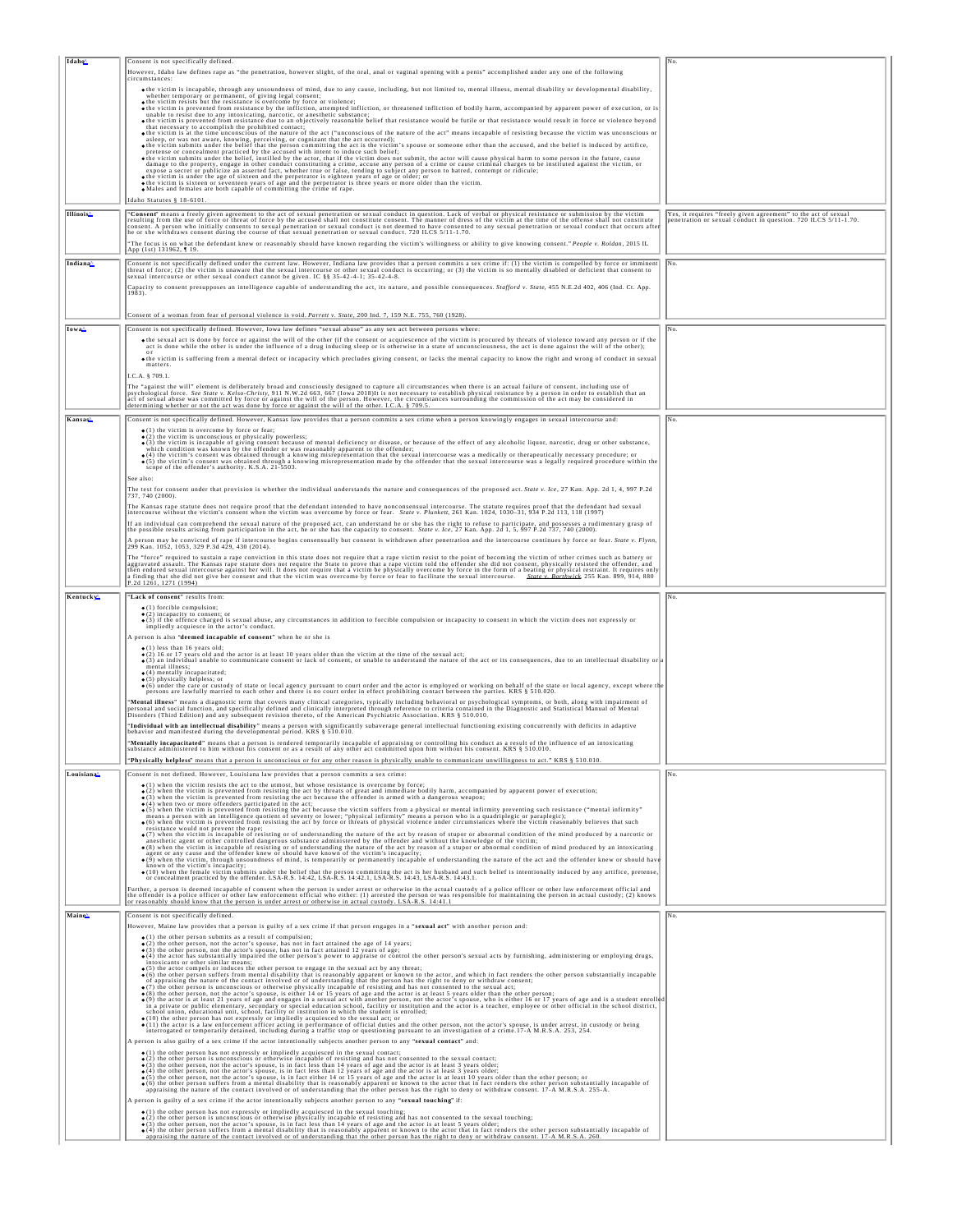| Idaho <sup>^</sup>   | Consent is not specifically defined.                                                                                                                                                                                                                                                                                                                                                                        | No                                                                                                                            |
|----------------------|-------------------------------------------------------------------------------------------------------------------------------------------------------------------------------------------------------------------------------------------------------------------------------------------------------------------------------------------------------------------------------------------------------------|-------------------------------------------------------------------------------------------------------------------------------|
|                      | However, Idaho law defines rape as "the penetration, however slight, of the oral, anal or vaginal opening with a penis" accomplished under any one of the following                                                                                                                                                                                                                                         |                                                                                                                               |
|                      | circumstances:                                                                                                                                                                                                                                                                                                                                                                                              |                                                                                                                               |
|                      | othe victim is incapable, through any unsoundness of mind, due to any cause, including, but not limited to, mental illness, mental disability or developmental disability,                                                                                                                                                                                                                                  |                                                                                                                               |
|                      | whether temporary or permanent, of giving legal consent;<br>• the victim resists but the resistance is overcome by force or violence;                                                                                                                                                                                                                                                                       |                                                                                                                               |
|                      | othe victim is prevented from resistance by the infliction, attempted infliction, or threatened infliction of bodily harm, accompanied by apparent power of execution, or is<br>unable to resist due to any intoxicating, narcotic, or anesthetic substance;                                                                                                                                                |                                                                                                                               |
|                      | othe victim is prevented from resistance due to an objectively reasonable belief that resistance would be futile or that resistance would result in force or violence beyond<br>that necessary to accomplish the prohibited contact;                                                                                                                                                                        |                                                                                                                               |
|                      | . the victim is at the time unconscious of the nature of the act ("unconscious of the nature of the act" means incapable of resisting because the victim was unconscious or                                                                                                                                                                                                                                 |                                                                                                                               |
|                      | asleep, or was not aware, knowing, perceiving, or cognizant that the act occurred);<br>• the victim submits under the belief that the person committing the act is the victim's spouse or someone other than the accused, and the                                                                                                                                                                           |                                                                                                                               |
|                      | pretense or concealment practiced by the accused with intent to induce such belief;<br>• the victim submits under the belief, instilled by the actor, that if the victim does not submit, the actor will cause physical harm to s                                                                                                                                                                           |                                                                                                                               |
|                      |                                                                                                                                                                                                                                                                                                                                                                                                             |                                                                                                                               |
|                      | expose a secret or publicize an asserted fact, whether true or false, tending to subject any person to hatred, contempt or ridicule;                                                                                                                                                                                                                                                                        |                                                                                                                               |
|                      | • the victim is under the age of sixteen and the perpetrator is eighteen years of age or older; or<br>• the victim is sixteen or seventeen years of age and the perpetrator is three years or more older than the victim.<br>• Male                                                                                                                                                                         |                                                                                                                               |
|                      | Idaho Statutes § 18-6101                                                                                                                                                                                                                                                                                                                                                                                    |                                                                                                                               |
|                      |                                                                                                                                                                                                                                                                                                                                                                                                             |                                                                                                                               |
| <b>Illinois</b>      | "Consent" means a freely given agreement to the act of sexual penetration or sexual conduct in question. Lack of verbal or physical resistance or submission by the victim<br>resulting from the use of force or threat of force                                                                                                                                                                            | Yes, it requires "freely given agreement" to the act of sexual penetration or sexual conduct in question. 720 ILCS 5/11-1.70. |
|                      | consent. A person who initially consents to sexual penetration or sexual conduct is not deemed to have consented to any sexual penetration or sexual conduct that occurs after<br>he or she withdraws consent during the course of that sexual penetration or sexual conduct. 720 ILCS 5/11-1.70.                                                                                                           |                                                                                                                               |
|                      | "The focus is on what the defendant knew or reasonably should have known regarding the victim's willingness or ability to give knowing consent." People v. Roldan, 2015 IL                                                                                                                                                                                                                                  |                                                                                                                               |
|                      | App (1st) 131962, 19.                                                                                                                                                                                                                                                                                                                                                                                       |                                                                                                                               |
| Indiana <sup>^</sup> | Consent is not specifically defined under the current law. However, Indiana law provides that a person commits a sex crime if: (1) the victim is compelled by force or imminent                                                                                                                                                                                                                             | No.                                                                                                                           |
|                      | threat of force; (2) the victim is unaware that the sexual intercourse or other sexual conduct is occurring; or (3) the victim is so mentally disabled or deficient that consent to<br>sexual intercourse or other sexual conduct                                                                                                                                                                           |                                                                                                                               |
|                      | Capacity to consent presupposes an intelligence capable of understanding the act, its nature, and possible consequences. Stafford v. State, 455 N.E.2d 402, 406 (Ind. Ct. App.                                                                                                                                                                                                                              |                                                                                                                               |
|                      |                                                                                                                                                                                                                                                                                                                                                                                                             |                                                                                                                               |
|                      |                                                                                                                                                                                                                                                                                                                                                                                                             |                                                                                                                               |
|                      | Consent of a woman from fear of personal violence is void. Parrett v. State, 200 Ind. 7, 159 N.E. 755, 760 (1928)                                                                                                                                                                                                                                                                                           |                                                                                                                               |
| Iowa <sub>4</sub>    | Consent is not specifically defined. However, Iowa law defines "sexual abuse" as any sex act between persons where:                                                                                                                                                                                                                                                                                         | No.                                                                                                                           |
|                      |                                                                                                                                                                                                                                                                                                                                                                                                             |                                                                                                                               |
|                      | Othe sexual act is done by force or against the will of the other (if the consent or acquiescence of the victim is procured by threats of violence toward any person or if the act is done while the other is under the influe                                                                                                                                                                              |                                                                                                                               |
|                      | • the victim is suffering from a mental defect or incapacity which precludes giving consent, or lacks the mental capacity to know the right and wrong of conduct in sexual                                                                                                                                                                                                                                  |                                                                                                                               |
|                      | matters.                                                                                                                                                                                                                                                                                                                                                                                                    |                                                                                                                               |
|                      | I.C.A. § 709.1.                                                                                                                                                                                                                                                                                                                                                                                             |                                                                                                                               |
|                      | The "against the will" element is deliberately broad and consciously designed to capture all circumstances when there is an actual failure of consent, including use of<br>psychological force. See State v. Kelso-Christy, 911 N                                                                                                                                                                           |                                                                                                                               |
|                      | act of sexual abuse was committed by force or against the will of the person. However, the circumstances surrounding the commission of the act may be considered in determining whether or not the act was done by force or ag                                                                                                                                                                              |                                                                                                                               |
|                      |                                                                                                                                                                                                                                                                                                                                                                                                             |                                                                                                                               |
| Kansas <sup>^</sup>  | Consent is not specifically defined. However, Kansas law provides that a person commits a sex crime when a person knowingly engages in sexual intercourse and:                                                                                                                                                                                                                                              | No.                                                                                                                           |
|                      | $\bullet$ (1) the victim is overcome by force or fear:<br>$\bullet$ (2) the victim is unconscious or physically powerless;                                                                                                                                                                                                                                                                                  |                                                                                                                               |
|                      | (3) the victim is incapable of giving consent because of mental deficiency or disease, or because of the effect of any alcoholic liquor, narcotic, drug or other substance, which condition was known by the offender own as r                                                                                                                                                                              |                                                                                                                               |
|                      | $\bullet$ (4) the victim's consent was obtained through a knowing misrepresentation that the sexual intercourse was a medically or therapeutically necessary procedure; or                                                                                                                                                                                                                                  |                                                                                                                               |
|                      | Of Structure's consent was obtained through a knowing misrepresentation made by the offender that the sexual intercourse was a legally required procedure within the scope of the offender's authority. K.S.A. 21-5503.                                                                                                                                                                                     |                                                                                                                               |
|                      | See also:                                                                                                                                                                                                                                                                                                                                                                                                   |                                                                                                                               |
|                      |                                                                                                                                                                                                                                                                                                                                                                                                             |                                                                                                                               |
|                      | The test for consent under that provision is whether the individual understands the nature and consequences of the proposed act. State v. Ice, 27 Kan. App. 2d 1, 4, 997 P.2d                                                                                                                                                                                                                               |                                                                                                                               |
|                      | The Kansas rape statute does not require proof that the defendant intended to have nonconsensual intercourse. The statute requires proof that the defendant had sexual intercourse without the victim's consent when the victi                                                                                                                                                                              |                                                                                                                               |
|                      | If an individual can comprehend the sexual nature of the proposed act, can understand he or she has the right to refuse to participate, and possesses a rudimentary grasp of                                                                                                                                                                                                                                |                                                                                                                               |
|                      | the possible results arising from participation in the act, he or she has the capacity to consent. State v. Ice, 27 Kan. App. 2d 1, 5, 997 P.2d 737, 740 (2000).                                                                                                                                                                                                                                            |                                                                                                                               |
|                      | A person may be convicted of rape if intercourse begins consensually but consent is withdrawn after penetration and the intercourse continues by force or fear. <i>State v. Flynn</i> ,<br>299 Kan. 1052, 1053, 329 P.3d 429, 430 (2014                                                                                                                                                                     |                                                                                                                               |
|                      |                                                                                                                                                                                                                                                                                                                                                                                                             |                                                                                                                               |
|                      | The "force" required to sustain a rape conviction in this state does not require that a rape victim resist to the point of becoming the victim of other crimes such as battery or                                                                                                                                                                                                                           |                                                                                                                               |
|                      | aggravated assault. The Kansas rapé statute does not require the total of the compare the dielocation of the status of the status of the state of the state of the state of the state of the status of physical restraint. It<br>arthwick 255 Kan. 899, 914, 880                                                                                                                                            |                                                                                                                               |
|                      | a finding that she did not give her consent and that the victim was overcome by force or fear to facilitate the sexual intercourse. State w<br>P.2d 1261, 1271 (1994)                                                                                                                                                                                                                                       |                                                                                                                               |
| Kentucky             | "Lack of consent" results from                                                                                                                                                                                                                                                                                                                                                                              | No.                                                                                                                           |
|                      | $\bullet$ (1) forcible compulsion;                                                                                                                                                                                                                                                                                                                                                                          |                                                                                                                               |
|                      | • (2) incapacity to consent; or                                                                                                                                                                                                                                                                                                                                                                             |                                                                                                                               |
|                      | (3) if the offence charged is sexual abuse, any circumstances in addition to forcible compulsion or incapacity to consent in which the victim does not expressly or impliedly acquiesce in the actor's conduct.                                                                                                                                                                                             |                                                                                                                               |
|                      | A person is also "deemed incapable of consent" when he or she is                                                                                                                                                                                                                                                                                                                                            |                                                                                                                               |
|                      | $\bullet$ (1) less than 16 years old:                                                                                                                                                                                                                                                                                                                                                                       |                                                                                                                               |
|                      | $\bullet$ (2) 16 or 17 years old and the actor is at least 10 years older than the victim at the time of the sexual act;<br>(3) an individual unable to communicate consent or lack of consent, or unable to understand the nature of the act or its consequences, due to an intellectual disability or                                                                                                     |                                                                                                                               |
|                      | mental illness:<br>$\bullet$ (4) mentally incapacitated;                                                                                                                                                                                                                                                                                                                                                    |                                                                                                                               |
|                      | · (5) physically helpless; or                                                                                                                                                                                                                                                                                                                                                                               |                                                                                                                               |
|                      | (6) under the care or custody of state or local agency pursuant to court order and the actor is employed or working on behalf of the state or local agency, except where the persons are lawfully married to each other and th                                                                                                                                                                              |                                                                                                                               |
|                      |                                                                                                                                                                                                                                                                                                                                                                                                             |                                                                                                                               |
|                      | " <b>Mental illness</b> " means a diagnostic term that covers many clinical categories, typically including behavioral or psychological symptoms, or both, along with impairment of<br>personal and social function, and specifically de                                                                                                                                                                    |                                                                                                                               |
|                      | "Individual with an intellectual disability" means a person with significantly subaverage general intellectual functioning existing concurrently with deficits in adaptive                                                                                                                                                                                                                                  |                                                                                                                               |
|                      | behavior and manifested during the developmental period. KRS § 510.010.                                                                                                                                                                                                                                                                                                                                     |                                                                                                                               |
|                      | "Mentally incapacitated" means that a person is rendered temporarily incapable of appraising or controlling his conduct as a result of the influence of an intoxicating<br>substance administered to him without his consent or as a result of any other act committed upon him without his consent. KRS § 510.010.                                                                                         |                                                                                                                               |
|                      | "Physically helpless" means that a person is unconscious or for any other reason is physically unable to communicate unwillingness to act." KRS § 510.010.                                                                                                                                                                                                                                                  |                                                                                                                               |
|                      |                                                                                                                                                                                                                                                                                                                                                                                                             |                                                                                                                               |
| Louisiana            | Consent is not defined. However, Louisiana law provides that a person commits a sex crime:                                                                                                                                                                                                                                                                                                                  | No                                                                                                                            |
|                      | $\bullet$ (1) when the victim resists the act to the utmost, but whose resistance is overcome by force;<br>· (2) when the victim is prevented from resisting the act by threats of great and immediate bodily harm, accompanied by apparent power of execution;                                                                                                                                             |                                                                                                                               |
|                      | $\bullet$ (3) when the victim is prevented from resisting the act because the offender is armed with a dangerous weapon<br>$\bullet$ (4) when two or more offenders participated in the act:                                                                                                                                                                                                                |                                                                                                                               |
|                      |                                                                                                                                                                                                                                                                                                                                                                                                             |                                                                                                                               |
|                      | $\bullet$ (5) when the victim is prevented from resisting the act because the victim suffers from a physical or mental infirmity preventing such resistance ("mental infirmity") of the state of mental infirmity" and provide the                                                                                                                                                                          |                                                                                                                               |
|                      | resistance would not prevent the rape;                                                                                                                                                                                                                                                                                                                                                                      |                                                                                                                               |
|                      | (7) when the victim is incapable of resisting or of understanding the nature of the act by reason of stupor or abnormal condition of the mind produced by a narcotic or anesthetic agent or other controlled dangerous substan<br>· (8) when the victim is incapable of resisting or of understanding the nature of the act by reason of a stupor or abnormal condition of mind produced by an intoxicating |                                                                                                                               |
|                      | agent or any cause and the offender knew or should have known of the victim's incapacity:<br>. (5) when the victim, through unsoundness of mind, is temporarily or permanently incapable of understanding the nature of the act and the offender knew or should have                                                                                                                                        |                                                                                                                               |
|                      | known of the victim's incapacity;                                                                                                                                                                                                                                                                                                                                                                           |                                                                                                                               |
|                      | (10) when the female victim submits under the belief that the person committing the act is her husband and such belief is intentionally induced by any artifice, pretense, or concealment practiced by the offender. LSA-R.S.                                                                                                                                                                               |                                                                                                                               |
|                      | Further, a person is deemed incapable of consent when the person is under arrest or otherwise in the actual custody of a police officer or other law enforcement official and                                                                                                                                                                                                                               |                                                                                                                               |
|                      | the offender is a police officer or other law enforcement official who either: (1) arrested the person or was responsible for maintaining the person in actual custody; (2) knows<br>or reasonably should know that the person is                                                                                                                                                                           |                                                                                                                               |
| Maine <sup>4</sup>   | Consent is not specifically defined.                                                                                                                                                                                                                                                                                                                                                                        | No                                                                                                                            |
|                      | However, Maine law provides that a person is guilty of a sex crime if that person engages in a "sexual act" with another person and:                                                                                                                                                                                                                                                                        |                                                                                                                               |
|                      | $\bullet$ (1) the other person submits as a result of compulsion;                                                                                                                                                                                                                                                                                                                                           |                                                                                                                               |
|                      | $\bullet$ (2) the other person, not the actor's spouse, has not in fact attained the age of 14 years;                                                                                                                                                                                                                                                                                                       |                                                                                                                               |
|                      | • (3) the other person, not the actor's spouse, has not in fact attained 12 years of age;<br>· (4) the actor has substantially impaired the other person's power to appraise or control the other person's sexual acts by furnishing, administering or employing drugs,                                                                                                                                     |                                                                                                                               |
|                      | intoxicants or other similar means;                                                                                                                                                                                                                                                                                                                                                                         |                                                                                                                               |
|                      | $\bullet$ (5) the actor compels or induces the other person to engage in the sexual act by any threat;<br>$\bullet$ (6) the other person suffers from mental disability that is reasonably apparent or known to the actor, and which in fa                                                                                                                                                                  |                                                                                                                               |
|                      |                                                                                                                                                                                                                                                                                                                                                                                                             |                                                                                                                               |
|                      | 0 (7) the other person is unconscious or otherwise physically incapable of resisting and has not consented to the sexual act;<br>0 (8) the other person, not the actor's spouse, is either 14 or 15 years of age and the actor's                                                                                                                                                                            |                                                                                                                               |
|                      | in a private or public elementary, secondary or special education school, facility or institution and the actor is a teacher, employee or other official in the school district,<br>school union, educational unit, school, facility or institution in which the student is enrolled;                                                                                                                       |                                                                                                                               |
|                      | · (10) the other person has not expressly or impliedly acquiesced to the sexual act; or                                                                                                                                                                                                                                                                                                                     |                                                                                                                               |
|                      | · (11) the actor is a law enforcement officer acting in performance of official duties and the other person, not the actor's spouse, is under arrest, in custody or being<br>interrogated or temporarily detained, including during a traffic stop or questioning pursuant to an investigation of a crime.17-A M.R.S.A. 253, 254.                                                                           |                                                                                                                               |
|                      | A person is also guilty of a sex crime if the actor intentionally subjects another person to any "sexual contact" and:                                                                                                                                                                                                                                                                                      |                                                                                                                               |
|                      | • (1) the other person has not expressly or impliedly acquiesced in the sexual contact;                                                                                                                                                                                                                                                                                                                     |                                                                                                                               |
|                      | $\bullet$ (2) the other person is unconscious or otherwise incapable of resisting and has not consented to the sexual contact; $\bullet$ (3) the other person, not the actor's spouse, is in fact less than 14 years of age and the act                                                                                                                                                                     |                                                                                                                               |
|                      |                                                                                                                                                                                                                                                                                                                                                                                                             |                                                                                                                               |
|                      | (4) the other person, not the actor's spouse, is in fact less than 12 years of age and the actor is at least 3 years older;<br>(5) the other person, not the actor's spouse, is in fact either 14 or 15 years of age and the acto                                                                                                                                                                           |                                                                                                                               |
|                      | appraising the nature of the contact involved or of understanding that the other person has the right to deny or withdraw consent. 17-A M.R.S.A. 255-A.                                                                                                                                                                                                                                                     |                                                                                                                               |
|                      | A person is guilty of a sex crime if the actor intentionally subjects another person to any "sexual touching" if:                                                                                                                                                                                                                                                                                           |                                                                                                                               |
|                      | • (1) the other person has not expressly or impliedly acquiesced in the sexual touching;<br>• (2) the other person is unconscious or otherwise physically incapable of resisting and has not consented to the sexual touching;<br>•                                                                                                                                                                         |                                                                                                                               |
|                      |                                                                                                                                                                                                                                                                                                                                                                                                             |                                                                                                                               |
|                      | appraising the nature of the contact involved or of understanding that the other person has the right to deny or withdraw consent. 17-A M.R.S.A. 260.                                                                                                                                                                                                                                                       |                                                                                                                               |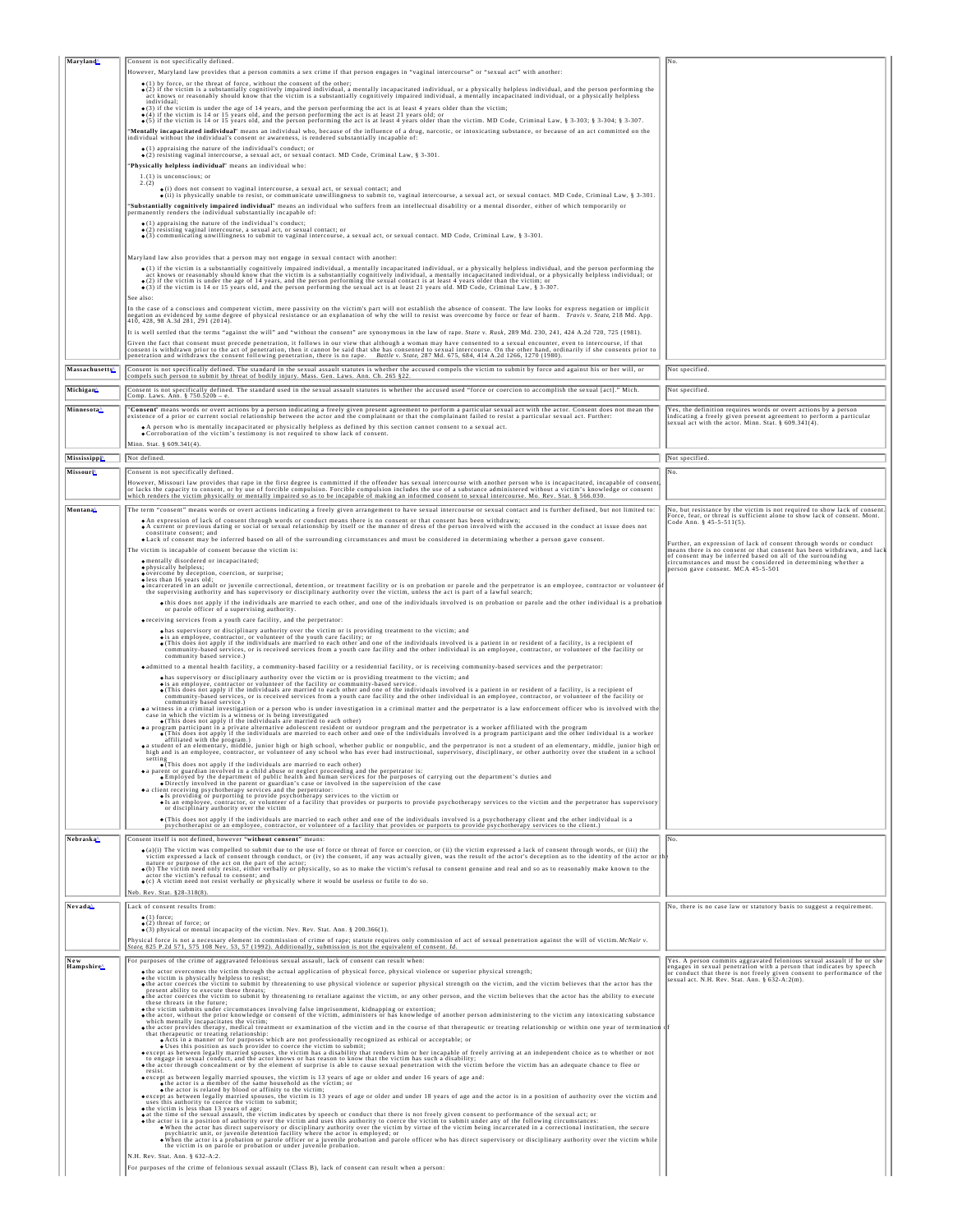|                                 | Consent is not specifically defined.                                                                                                                                                                                                                                                                                                                                                                                                                         |                                                                                                                                                |
|---------------------------------|--------------------------------------------------------------------------------------------------------------------------------------------------------------------------------------------------------------------------------------------------------------------------------------------------------------------------------------------------------------------------------------------------------------------------------------------------------------|------------------------------------------------------------------------------------------------------------------------------------------------|
|                                 | However, Maryland law provides that a person commits a sex crime if that person engages in "vaginal intercourse" or "sexual act" with another:                                                                                                                                                                                                                                                                                                               |                                                                                                                                                |
|                                 | • (1) by force, or the threat of force, without the consent of the other;<br>• (2) if the victim is a substantially cognitively impaired individual, a mentally incapacitated individual, or a physically helpless individual, a                                                                                                                                                                                                                             |                                                                                                                                                |
|                                 | act knows or reasonably should know that the victim is a substantially cognitively impaired individual, a mentally incapacitated individual, or a physically helpless<br>individual;                                                                                                                                                                                                                                                                         |                                                                                                                                                |
|                                 | • (3) if the victim is under the age of 14 years, and the person performing the act is at least 4 years older than the victim;                                                                                                                                                                                                                                                                                                                               |                                                                                                                                                |
|                                 | . (4) if the victim is 14 or 15 years old, and the person performing the act is at least 21 years old; or<br>●(5) if the victim is 14 or 15 years old, and the person performing the act is at least 4 years older than the vict                                                                                                                                                                                                                             |                                                                                                                                                |
|                                 | "Mentally incapacitated individual" means an individual who, because of the influence of a drug, narcotic, or intoxicating substance, or because of an act committed on the<br>individual without the individual's consent or awareness, is rendered substantially incapable of:                                                                                                                                                                             |                                                                                                                                                |
|                                 | $\bullet$ (1) appraising the nature of the individual's conduct; or<br>$\bullet$ (2) resisting vaginal intercourse, a sexual act, or sexual contact. MD Code, Criminal Law, § 3-301.                                                                                                                                                                                                                                                                         |                                                                                                                                                |
|                                 | "Physically helpless individual" means an individual who:                                                                                                                                                                                                                                                                                                                                                                                                    |                                                                                                                                                |
|                                 | 1.(1) is unconscious; or                                                                                                                                                                                                                                                                                                                                                                                                                                     |                                                                                                                                                |
|                                 | $\bullet$ (i) does not consent to vaginal intercourse, a sexual act, or sexual contact; and<br>o(ii) is physically unable to resist, or communicate unwillingness to submit to, vaginal intercourse, a sexual act, or sexual contact. MD Code, Criminal Law, § 3-301.                                                                                                                                                                                        |                                                                                                                                                |
|                                 | "Substantially cognitively impaired individual" means an individual who suffers from an intellectual disability or a mental disorder, either of which temporarily or                                                                                                                                                                                                                                                                                         |                                                                                                                                                |
|                                 | permanently renders the individual substantially incapable of:<br>(1) appraising the nature of the individual's conduct;                                                                                                                                                                                                                                                                                                                                     |                                                                                                                                                |
|                                 | · (2) resisting vaginal intercourse, a sexual act, or sexual contact; or<br>• (3) communicating unwillingness to submit to vaginal intercourse, a sexual act, or sexual contact. MD Code, Criminal Law, § 3-301.                                                                                                                                                                                                                                             |                                                                                                                                                |
|                                 |                                                                                                                                                                                                                                                                                                                                                                                                                                                              |                                                                                                                                                |
|                                 | Maryland law also provides that a person may not engage in sexual contact with another:                                                                                                                                                                                                                                                                                                                                                                      |                                                                                                                                                |
|                                 |                                                                                                                                                                                                                                                                                                                                                                                                                                                              |                                                                                                                                                |
|                                 | (1) if the victim is a substantially cognitively impaired individual, a mentally incapacitated individual, or a physically helpless individual, and the person performing the act is the person performing the state of the s                                                                                                                                                                                                                                |                                                                                                                                                |
|                                 | See also:                                                                                                                                                                                                                                                                                                                                                                                                                                                    |                                                                                                                                                |
|                                 | In the case of a conscious and competent victim, mere passivity on the victim's part will not establish the absence of consent. The law looks for express negation or implicit<br>negation as evidenced by some degree of physical resistance or an explanation of why the will to resist was overcome by force or fear of harm. Travis v. State, 218 Md. App.<br>[410, 428, 98 A.3d 281, 291 (2014).                                                        |                                                                                                                                                |
|                                 | It is well settled that the terms "against the will" and "without the consent" are synonymous in the law of rape. State v. Rusk, 289 Md. 230, 241, 424 A.2d 720, 725 (1981).                                                                                                                                                                                                                                                                                 |                                                                                                                                                |
|                                 |                                                                                                                                                                                                                                                                                                                                                                                                                                                              |                                                                                                                                                |
|                                 | Given the fact that consent must precede penetration, it follows in our view that although a woman may have consented to a sexual encounter, even to intercourse, if that<br>consent is withdrawn prior to the act of penetration                                                                                                                                                                                                                            |                                                                                                                                                |
| Massachusetts <sup>^</sup>      | Consent is not specifically defined. The standard in the sexual assault statutes is whether the accused compels the victim to submit by force and against his or her will, or                                                                                                                                                                                                                                                                                | Not specified.                                                                                                                                 |
|                                 | compels such person to submit by threat of bodily injury. Mass. Gen. Laws. Ann. Ch. 265 §22.                                                                                                                                                                                                                                                                                                                                                                 |                                                                                                                                                |
| Michigan                        | Consent is not specifically defined. The standard used in the sexual assault statutes is whether the accused used "force or coercion to accomplish the sexual [act]." Mich.<br>Comp. Laws. Ann. § 750.520b - e                                                                                                                                                                                                                                               | Not specified.                                                                                                                                 |
| Minnesota                       | "Consent" means words or overt actions by a person indicating a freely given present agreement to perform a particular sexual act with the actor. Consent does not mean the<br>existence of a prior or current social relationshi                                                                                                                                                                                                                            | Yes, the definition requires words or overt actions by a person                                                                                |
|                                 | . A person who is mentally incapacitated or physically helpless as defined by this section cannot consent to a sexual act.                                                                                                                                                                                                                                                                                                                                   | indicating a freely given present agreement to perform a particular<br>sexual act with the actor. Minn. Stat. § 609.341(4).                    |
|                                 | . Corroboration of the victim's testimony is not required to show lack of consent.                                                                                                                                                                                                                                                                                                                                                                           |                                                                                                                                                |
|                                 | Minn. Stat. § 609.341(4)                                                                                                                                                                                                                                                                                                                                                                                                                                     |                                                                                                                                                |
| Mississippi                     | Not defined.                                                                                                                                                                                                                                                                                                                                                                                                                                                 | Not specified.                                                                                                                                 |
| Missouri                        | Consent is not specifically defined<br>However, Missouri law provides that rape in the first degree is committed if the offender has sexual intercourse with another person who is incapacitated, incapable of consent                                                                                                                                                                                                                                       |                                                                                                                                                |
|                                 | or lacks the capacity to consent, or by use of forcible compulsion. Forcible compulsion includes the use of a substance administered without a victim's knowledge or consent or lacks the capacity to consent of the compulsio                                                                                                                                                                                                                               |                                                                                                                                                |
| Montana                         | The term "consent" means words or overt actions indicating a freely given arrangement to have sexual intercourse or sexual contact and is further defined, but not limited to:                                                                                                                                                                                                                                                                               | No, but resistance by the victim is not required to show lack of consent.                                                                      |
|                                 | • An expression of lack of consent through words or conduct means there is no consent or that consent has been withdrawn;                                                                                                                                                                                                                                                                                                                                    | Force, fear, or threat is sufficient alone to show lack of consent. Mont.<br>Code Ann. § 45-5-511(5).                                          |
|                                 | A current or previous dating or social or sexual relationship by itself or the manner of dress of the person involved with the accused in the conduct at issue does not<br>constitute consent; and                                                                                                                                                                                                                                                           |                                                                                                                                                |
|                                 | . Lack of consent may be inferred based on all of the surrounding circumstances and must be considered in determining whether a person gave consent.<br>The victim is incapable of consent because the victim is:                                                                                                                                                                                                                                            | Further, an expression of lack of consent through words or conduct<br>means there is no consent or that consent has been withdrawn, and lack   |
|                                 | <b>e</b> mentally disordered or incapacitated;                                                                                                                                                                                                                                                                                                                                                                                                               | of consent may be inferred based on all of the surrounding<br>circumstances and must be considered in determining whether a                    |
|                                 | ● physically helpless;<br>● overcome by deception, coercion, or surprise;                                                                                                                                                                                                                                                                                                                                                                                    | person gave consent. MCA 45-5-501                                                                                                              |
|                                 | oless than 16 years old;<br>o incarcerated in an adult or juvenile correctional, detention, or treatment facility or is on probation or parole and the perpetrator is an employee, contractor or volunteer of the supervising authority and has supervisor                                                                                                                                                                                                   |                                                                                                                                                |
|                                 | othis does not apply if the individuals are married to each other, and one of the individuals involved is on probation or parole and the other individual is a probation                                                                                                                                                                                                                                                                                     |                                                                                                                                                |
|                                 | or parole officer of a supervising authority.                                                                                                                                                                                                                                                                                                                                                                                                                |                                                                                                                                                |
|                                 | • receiving services from a youth care facility, and the perpetrator:<br>whas supervisory or disciplinary authority over the victim or is providing treatment to the victim; and                                                                                                                                                                                                                                                                             |                                                                                                                                                |
|                                 | o is an employee, contractor, or volunteer of the youth care facility; or<br>• (This does not apply if the individuals are married to each other and one of the individuals involved is a patient in or resident of a facility, i                                                                                                                                                                                                                            |                                                                                                                                                |
|                                 | community-based services, or is received services from a youth care facility and the other individual is an employee, contractor, or volunteer of the facility or<br>community based service.)                                                                                                                                                                                                                                                               |                                                                                                                                                |
|                                 | · admitted to a mental health facility, a community-based facility or a residential facility, or is receiving community-based services and the perpetrator:                                                                                                                                                                                                                                                                                                  |                                                                                                                                                |
|                                 | whas supervisory or disciplinary authority over the victim or is providing treatment to the victim; and                                                                                                                                                                                                                                                                                                                                                      |                                                                                                                                                |
|                                 | o is an employee, contractor or volunteer of the facility or community-based service.<br>• (This does not apply if the individuals are married to each other and one of the individuals involved is a patient in or resident of a<br>community-based services, or is received services from a youth care facility and the other individual is an employee, contractor, or volunteer of the facility or                                                       |                                                                                                                                                |
|                                 | community based service.)<br>our unitions in a criminal investigation or a person who is under investigation in a criminal matter and the perpetrator is a law enforcement officer who is involved with the case in which the victim is a witness or is bei                                                                                                                                                                                                  |                                                                                                                                                |
|                                 | . (This does not apply if the individuals are married to each other)                                                                                                                                                                                                                                                                                                                                                                                         |                                                                                                                                                |
|                                 | • a program participant in a private alternative adolescent resident or outdoor program and the perpetrator is a worker affiliated with the program                                                                                                                                                                                                                                                                                                          |                                                                                                                                                |
|                                 | This does not apply if the individuals are married to each other and one of the individuals involved is a program participant and the other individual is a worker                                                                                                                                                                                                                                                                                           |                                                                                                                                                |
|                                 | affiliated with the program.)<br>· a student of an elementary, middle, junior high or high school, whether public or nonpublic, and the perpetrator is not a student of an elementary, middle, junior high or                                                                                                                                                                                                                                                |                                                                                                                                                |
|                                 |                                                                                                                                                                                                                                                                                                                                                                                                                                                              |                                                                                                                                                |
|                                 | setting<br><b>•</b> (This does not apply if the individuals are married to each other)<br><b>•</b> (This does not apply if the individuals are maglect proceeding and the perpetrator is:<br>• a parent or guardian involved in a small check                                                                                                                                                                                                                |                                                                                                                                                |
|                                 | • Employed by the department of public health and human services for the purposes of carrying out the department's duties and<br>• Directly involved in the parent or guardian's case or involved in the supervision of the case<br>· a client receiving psychotherapy services and the perpetrator:                                                                                                                                                         |                                                                                                                                                |
|                                 | . Is providing or purporting to provide psychotherapy services to the victim or<br>Is an employee, contractor, or volunteer of a facility that provides or purports to provide psychotherapy services to the victim and the perpe                                                                                                                                                                                                                            |                                                                                                                                                |
|                                 | or disciplinary authority over the victim<br>• (This does not apply if the individuals are married to each other and one of the individuals involved is a psychotherapy client and the other individual is a                                                                                                                                                                                                                                                 |                                                                                                                                                |
|                                 | psychotherapist or an employee, contractor, or volunteer of a facility that provides or purports to provide psychotherapy services to the client.)                                                                                                                                                                                                                                                                                                           |                                                                                                                                                |
| Nebraska∆                       | Consent itself is not defined, however "without consent" means:                                                                                                                                                                                                                                                                                                                                                                                              | No.                                                                                                                                            |
|                                 | $\bullet$ (a)(i) The victim was compelled to submit due to the use of force or threat of force or coercion, or (ii) the victim expressed a lack of consent through words, or (iii) the<br>victim expressed a lack of consent through conduct, or (iv) the consent, if any was actually given, was the result of the actor's deception as to the identity of the actor or th                                                                                  |                                                                                                                                                |
|                                 | nature or purpose of the act on the part of the actor;<br>o (b) The victim need only resist, either verbally or physically, so as to make the victim's refusal to consent genuine and real and so as to reasonably make known to the<br>actor the victim's refusal to consent; and                                                                                                                                                                           |                                                                                                                                                |
|                                 | • (c) A victim need not resist verbally or physically where it would be useless or futile to do so.                                                                                                                                                                                                                                                                                                                                                          |                                                                                                                                                |
|                                 | Neb. Rev. Stat. §28-318(8).                                                                                                                                                                                                                                                                                                                                                                                                                                  |                                                                                                                                                |
| Nevada <sup>^</sup>             | Lack of consent results from:<br>$\bullet$ (1) force:                                                                                                                                                                                                                                                                                                                                                                                                        | No, there is no case law or statutory basis to suggest a requirement.                                                                          |
|                                 | $\bullet$ (2) threat of force; or<br>$\bullet$ (3) physical or mental incapacity of the victim. Nev. Rev. Stat. Ann. § 200.366(1).                                                                                                                                                                                                                                                                                                                           |                                                                                                                                                |
|                                 | Physical force is not a necessary element in commission of crime of rape: statute requires only commission of act of sexual penetration against the will of victim. McNair y.                                                                                                                                                                                                                                                                                |                                                                                                                                                |
|                                 | State, 825 P.2d 571, 575 108 Nev. 53, 57 (1992). Additionally, submission is not the equivalent of consent. Id.                                                                                                                                                                                                                                                                                                                                              |                                                                                                                                                |
| New<br>Hampshire <mark>≙</mark> | For purposes of the crime of aggravated felonious sexual assault, lack of consent can result when:                                                                                                                                                                                                                                                                                                                                                           | Yes. A person commits aggravated felonious sexual assault if he or she<br>engages in sexual penetration with a person that indicates by speech |
|                                 | othe actor overcomes the victim through the actual application of physical force, physical violence or superior physical strength;                                                                                                                                                                                                                                                                                                                           | or conduct that there is not freely given consent to performance of the sexual act. N.H. Rev. Stat. Ann. § 632-A:2(m).                         |
|                                 | othe victim is physically helpless to resist;<br>othe actor coerces the victim to submit by threatening to use physical violence or superior physical strength on the victim, and the victim believes that the actor has the<br>present ability to execute these threats;<br>• the actor coerces the victim to submit by threatening to retaliate against the victim, or any other person, and the victim believes that the actor has the ability to execute |                                                                                                                                                |
|                                 | these threats in the future;<br>othe victim submits under circumstances involving false imprisonment, kidnapping or extortion;                                                                                                                                                                                                                                                                                                                               |                                                                                                                                                |
|                                 | . the actor, without the prior knowledge or consent of the victim, administers or has knowledge of another person administering to the victim any intoxicating substance<br>which mentally incapacitates the victim;                                                                                                                                                                                                                                         |                                                                                                                                                |
|                                 | othe actor provides therapy, medical treatment or examination of the victim and in the course of that therapeutic or treating relationship or within one year of termination of                                                                                                                                                                                                                                                                              |                                                                                                                                                |
|                                 | that therapeutic or treating relationship:<br>• Acts in a manner or for purposes which are not professionally recognized as ethical or acceptable; or                                                                                                                                                                                                                                                                                                        |                                                                                                                                                |
|                                 | Uses this position as such provider to coerce the victim to submit;<br>except as between legally married spouses, the victim has a disability that renders him or her incapable of freely arriving at an independent choice as to<br>othe actor through concealment or by the element of surprise is able to cause sexual penetration with the victim before the victim has an adequate chance to flee or                                                    |                                                                                                                                                |
|                                 | resist.<br>• except as between legally married spouses, the victim is 13 years of age or older and under 16 years of age and:                                                                                                                                                                                                                                                                                                                                |                                                                                                                                                |
|                                 | o the actor is a member of the same household as the victim; or                                                                                                                                                                                                                                                                                                                                                                                              |                                                                                                                                                |
|                                 | • the actor is related by blood or affinity to the victim;<br>• except as between legally married spouses, the victim is 13 years of age or older and under 18 years of age and the actor is in a position of authority over the                                                                                                                                                                                                                             |                                                                                                                                                |
|                                 |                                                                                                                                                                                                                                                                                                                                                                                                                                                              |                                                                                                                                                |
|                                 | The vertical is a position of a state of the victim in the state of the state of the state of the vertical in the state of the state of the vertical in the state of the victim is less than 13 years of age; to submit;<br>The v                                                                                                                                                                                                                            |                                                                                                                                                |
|                                 | When the actor has direct supervisory or disciplinary authority over the victim by virtue of the victim being incarcerated in a correctional institution, the secure<br>psychiatric unit, or juvenile detention facility where th<br>the victim is on parole or probation or under juvenile probation.                                                                                                                                                       |                                                                                                                                                |
|                                 | N.H. Rev. Stat. Ann. § 632-A:2.<br>For purposes of the crime of felonious sexual assault (Class B), lack of consent can result when a person:                                                                                                                                                                                                                                                                                                                |                                                                                                                                                |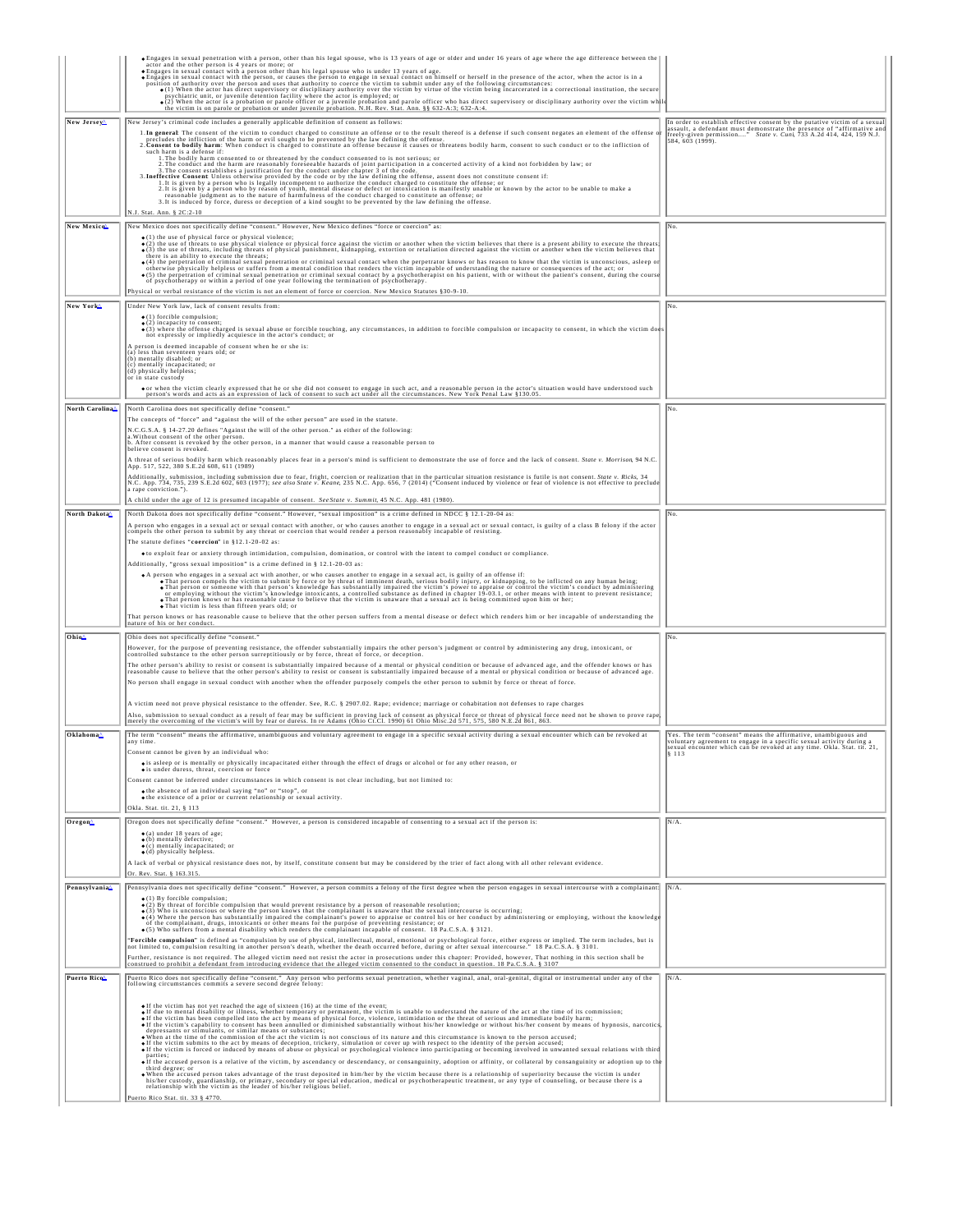|                             | · Engages in sexual penetration with a person, other than his legal spouse, who is 13 years of age or older and under 16 years of age where the age difference between the<br>actor and the other person is 4 years or more; or<br>· Engages in sexual contact with a person other than his legal spouse who is under 13 years of age.                                                                                                                                                                    |                                                                                                                                                                                                                                                 |
|-----------------------------|-----------------------------------------------------------------------------------------------------------------------------------------------------------------------------------------------------------------------------------------------------------------------------------------------------------------------------------------------------------------------------------------------------------------------------------------------------------------------------------------------------------|-------------------------------------------------------------------------------------------------------------------------------------------------------------------------------------------------------------------------------------------------|
|                             | · Engages in sexual contact with the person, or causes the person to engage in sexual contact on himself or herself in the presence of the actor, when the actor is in a<br>Franchise Control of authority over the person and uses that authority to coerce the victim to submit under any of the following circumstances:<br>Coerce the victim to submit under any of the following circumstances:<br>(a) When                                                                                          |                                                                                                                                                                                                                                                 |
|                             | (2) When the actor is a probation or parole officer or a juvenile probation and parole officer who has direct supervisory or disciplinary authority over the victim while victim is on parole or probation or under juvenile p                                                                                                                                                                                                                                                                            |                                                                                                                                                                                                                                                 |
| New Jersey                  | New Jersey's criminal code includes a generally applicable definition of consent as follows:<br>1. In general: The consent of the victim to conduct charged to constitute an offense or to the result thereof is a defense if such consent negates an element of the offense of precludes the infliction of the harm or evil s<br>2. Consent to bodily harm: When conduct is charged to constitute an offense because it causes or threatens bodily harm, consent to such conduct or to the infliction of | In order to establish effective consent by the putative victim of a sexual<br>assault, a defendant must demonstrate the presence of "affirmative and<br>freely-given permission" State v. Cuni, 733 A.2d 414, 424, 159 N.J.<br>584, 603 (1999). |
|                             | such harm is a defense if:<br>1. The bodily harm consented to or threatened by the conduct consented to is not serious; or<br>2. The conduct and the harm are reasonably foreseeable hazards of joint participation in a concerted activity of a kind not forbidden by law; or 3. The consent establishes a justification for the conduct under chapter 3 of<br>3. Ineffective Consent Unless otherwise provided by the code or by the law defining the offense, assent does not constitute consent if:   |                                                                                                                                                                                                                                                 |
|                             | 1. It is given by a person who is legally incompetent to authorize the conduct charged to constitute the offense; or<br>2. It is given by a person who by reason of youth, mental disease or defect or intoxication is manifestly<br>reasonable judgment as to the nature of harmfulness of the conduct charged to constitute an offense; or<br>3. It is induced by force, duress or deception of a kind sought to be prevented by the law defining the offense.                                          |                                                                                                                                                                                                                                                 |
| New Mexico <sup>n</sup>     | N.J. Stat. Ann. § 2C:2-10<br>New Mexico does not specifically define "consent." However, New Mexico defines "force or coercion" as:                                                                                                                                                                                                                                                                                                                                                                       | No.                                                                                                                                                                                                                                             |
|                             | (1) the use of physical force or physical violence;<br>(2) the use of threats to use physical violence or physical force against the victim or another when the victim believes that there is a present ability to execute the threats;                                                                                                                                                                                                                                                                   |                                                                                                                                                                                                                                                 |
|                             | ●(3) the use of threats, including threats of physical punishment, kidnapping, extortion or retaliation directed against the victim or another when the victim believes that<br>there is an ability to execute the threats:<br>o (4) the perpetration of criminal sexual penetration or criminal sexual contact when the perpetrator knows or has reason to know that the victim is unconscious, asleep o                                                                                                 |                                                                                                                                                                                                                                                 |
|                             | otherwise physically helpless or suffers from a mental condition that renders the victim incapable of understanding the nature or consequences of the act; or<br>The perpetration of criminal sexual penetration or criminal sexual contact by a psychotherapy. The perpetration of criminal sexual contact by a psychotherapy or within a period of one year following the termination of psyc                                                                                                           |                                                                                                                                                                                                                                                 |
|                             | Physical or verbal resistance of the victim is not an element of force or coercion. New Mexico Statutes §30-9-10.                                                                                                                                                                                                                                                                                                                                                                                         |                                                                                                                                                                                                                                                 |
| New York <sup>A</sup>       | Under New York law, lack of consent results from:                                                                                                                                                                                                                                                                                                                                                                                                                                                         | No.                                                                                                                                                                                                                                             |
|                             | $\bullet$ (1) forcible compulsion;<br>$\bullet$ (2) incapacity to consent;<br>(3) where the offense charged is sexual abuse or forcible touching, any circumstances, in addition to forcible compulsion or incapacity to consent, in which the victim does                                                                                                                                                                                                                                                |                                                                                                                                                                                                                                                 |
|                             | not expressly or impliedly acquiesce in the actor's conduct; or<br>person is deemed incapable of consent when he or she is:                                                                                                                                                                                                                                                                                                                                                                               |                                                                                                                                                                                                                                                 |
|                             | (a) less than seventeen years old; or<br>(b) mentally disabled; or<br>(c) mentally incapacitated; or                                                                                                                                                                                                                                                                                                                                                                                                      |                                                                                                                                                                                                                                                 |
|                             | (d) physically helpless:<br>or in state custody                                                                                                                                                                                                                                                                                                                                                                                                                                                           |                                                                                                                                                                                                                                                 |
|                             | or when the victim clearly expressed that he or she did not consent to engage in such act, and a reasonable person in the actor's situation would have understood such<br>person's words and acts as an expression of lack of consent to such act under all the circumstances. New York Penal Law §130.05.                                                                                                                                                                                                |                                                                                                                                                                                                                                                 |
| North Carolina <sup>^</sup> | North Carolina does not specifically define "consent."<br>The concepts of "force" and "against the will of the other person" are used in the statute.                                                                                                                                                                                                                                                                                                                                                     | No.                                                                                                                                                                                                                                             |
|                             | N.C.G.S.A. § 14-27.20 defines "Against the will of the other person." as either of the following:<br>a. Without consent of the other person                                                                                                                                                                                                                                                                                                                                                               |                                                                                                                                                                                                                                                 |
|                             | b. After consent is revoked by the other person, in a manner that would cause a reasonable person to<br>believe consent is revoked.                                                                                                                                                                                                                                                                                                                                                                       |                                                                                                                                                                                                                                                 |
|                             | A threat of serious bodily harm which reasonably places fear in a person's mind is sufficient to demonstrate the use of force and the lack of consent. State v. Morrison, 94 N.C.<br>App. 517, 522, 380 S.E.2d 608, 611 (1989)                                                                                                                                                                                                                                                                            |                                                                                                                                                                                                                                                 |
|                             | Additionally, submission, including submission due to fear, fright, coercion or realization that in the particular situation resistance is futile is not consent. State v. Ricks, 34 RIC. App. 734, 735, 239 S.E.2d 602, 603 (<br>a rape conviction.").                                                                                                                                                                                                                                                   |                                                                                                                                                                                                                                                 |
|                             | A child under the age of 12 is presumed incapable of consent. See State v. Summit, 45 N.C. App. 481 (1980).                                                                                                                                                                                                                                                                                                                                                                                               |                                                                                                                                                                                                                                                 |
| North Dakota                | North Dakota does not specifically define "consent." However, "sexual imposition" is a crime defined in NDCC § 12.1-20-04 as:<br>A person who engages in a sexual act or sexual contact with another, or who causes another to engage in a sexual act or sexual contact, is guilty of a class B felony if the actor                                                                                                                                                                                       | No.                                                                                                                                                                                                                                             |
|                             | compels the other person to submit by any threat or coercion that would render a person reasonably incapable of resisting.<br>The statute defines "coercion" in §12.1-20-02 as:                                                                                                                                                                                                                                                                                                                           |                                                                                                                                                                                                                                                 |
|                             | oto exploit fear or anxiety through intimidation, compulsion, domination, or control with the intent to compel conduct or compliance.<br>Additionally, "gross sexual imposition" is a crime defined in § 12.1-20-03 as:                                                                                                                                                                                                                                                                                   |                                                                                                                                                                                                                                                 |
|                             | A person who engages in a sexual act with another, or who causes another to engage in a sexual act, is guilty of an offense if:<br>. That person compels the victim to submit by force or by threat of imminent death, serious bodily injury, or kidnapping, to be inflicted on any human being;                                                                                                                                                                                                          |                                                                                                                                                                                                                                                 |
|                             | . That person or someone with that person's knowledge has substantially impaired the victim's power to appraise or control the victim's conduct by administering<br>or employing without the victim's knowledge intoxicants, a controlled substance as defined in chapter 19-03.1, or other means with intent to prevent resistance;<br>• That person knows or has reasonable cause to believe that the victim is unaware that a sexual act is being committed upon him or her;                           |                                                                                                                                                                                                                                                 |
|                             | . That victim is less than fifteen years old; or<br>That person knows or has reasonable cause to believe that the other person suffers from a mental disease or defect which renders him or her incapable of understanding the                                                                                                                                                                                                                                                                            |                                                                                                                                                                                                                                                 |
| Ohio <sup>^</sup>           | nature of his or her conduct.<br>Ohio does not specifically define "consent."                                                                                                                                                                                                                                                                                                                                                                                                                             | No.                                                                                                                                                                                                                                             |
|                             | However, for the purpose of preventing resistance, the offender substantially impairs the other person's judgment or control by administering any drug, intoxicant, or controlled substance to the other person surreptitiousl                                                                                                                                                                                                                                                                            |                                                                                                                                                                                                                                                 |
|                             | The other person's ability to resist or consent is substantially impaired because of a mental or physical condition or because of advanced age, and the offender knows or has<br>reasonable cause to believe that the other person's ability to resist or consent is substantially impaired because of a mental or physical condition or because of advanced age.                                                                                                                                         |                                                                                                                                                                                                                                                 |
|                             | No person shall engage in sexual conduct with another when the offender purposely compels the other person to submit by force or threat of force.                                                                                                                                                                                                                                                                                                                                                         |                                                                                                                                                                                                                                                 |
|                             | A victim need not prove physical resistance to the offender. See, R.C. § 2907.02. Rape; evidence; marriage or cohabitation not defenses to rape charges                                                                                                                                                                                                                                                                                                                                                   |                                                                                                                                                                                                                                                 |
|                             | Also, submission to sexual conduct as a result of fear may be sufficient in proving lack of consent as physical force or threat of physical force need not be shown to prove rape<br>merely the overcoming of the victim's will b                                                                                                                                                                                                                                                                         |                                                                                                                                                                                                                                                 |
| Oklahoma <sup>^</sup>       | The term "consent" means the affirmative, unambiguous and voluntary agreement to engage in a specific sexual activity during a sexual encounter which can be revoked at<br>any time.                                                                                                                                                                                                                                                                                                                      | Yes. The term "consent" means the affirmative, unambiguous and<br>voluntary agreement to engage in a specific sexual activity during a<br>sexual encounter which can be revoked at any time. Okla. Stat. tit. 21                                |
|                             | Consent cannot be given by an individual who:<br>· is asleep or is mentally or physically incapacitated either through the effect of drugs or alcohol or for any other reason, or                                                                                                                                                                                                                                                                                                                         | \$113                                                                                                                                                                                                                                           |
|                             | $\bullet$ is under duress, threat, coercion or force<br>Consent cannot be inferred under circumstances in which consent is not clear including, but not limited to:                                                                                                                                                                                                                                                                                                                                       |                                                                                                                                                                                                                                                 |
|                             | • the absence of an individual saving "no" or "stop", or<br>$\bullet$ the existence of a prior or current relationship or sexual activity.                                                                                                                                                                                                                                                                                                                                                                |                                                                                                                                                                                                                                                 |
|                             | Okla. Stat. tit. 21, § 113                                                                                                                                                                                                                                                                                                                                                                                                                                                                                |                                                                                                                                                                                                                                                 |
| Oregon <sup>A</sup>         | Oregon does not specifically define "consent." However, a person is considered incapable of consenting to a sexual act if the person is:<br>$\bullet$ (a) under 18 years of age:<br>$\bullet$ (b) mentally defective;                                                                                                                                                                                                                                                                                     | $N/A$ .                                                                                                                                                                                                                                         |
|                             | $\bullet$ (c) mentally incapacitated; or<br>• (d) physically helpless.                                                                                                                                                                                                                                                                                                                                                                                                                                    |                                                                                                                                                                                                                                                 |
|                             | A lack of verbal or physical resistance does not, by itself, constitute consent but may be considered by the trier of fact along with all other relevant evidence.<br>Or. Rev. Stat. § 163.315.                                                                                                                                                                                                                                                                                                           |                                                                                                                                                                                                                                                 |
| Pennsylvania <sup>4</sup>   | Pennsylvania does not specifically define "consent." However, a person commits a felony of the first degree when the person engages in sexual intercourse with a complainant. N/A.                                                                                                                                                                                                                                                                                                                        |                                                                                                                                                                                                                                                 |
|                             | $\bullet$ (1) By forcible compulsion:<br>•(2) By threat of forcible compulsion that would prevent resistance by a person of reasonable resolution;<br>•(3) Who is unconscious or where the person knows that the complainant is unaware that the sexual intercourse is oc<br>of the complainant, drugs, intoxicants or other means for the purpose of preventing resistance; or<br>• (5) Who suffers from a mental disability which renders the complainant incapable of consent. 18 Pa.C.S.A. § 3121.    |                                                                                                                                                                                                                                                 |
|                             | "Forcible compulsion" is defined as "compulsion by use of physical, intellectual, moral, emotional or psychological force, either express or implied. The term includes, but is<br>not limited to, compulsion resulting in anothe                                                                                                                                                                                                                                                                         |                                                                                                                                                                                                                                                 |
|                             | Further, resistance is not required. The alleged victim need not resist the actor in prosecutions under this chapter: Provided, however, That nothing in this section shall be<br>construed to prohibit a defendant from introduc                                                                                                                                                                                                                                                                         |                                                                                                                                                                                                                                                 |
| Puerto Rico                 | Puerto Rico does not specifically define "consent." Any person who performs sexual penetration, whether vaginal, anal, oral-genital, digital or instrumental under any of the<br>following circumstances commits a severe second                                                                                                                                                                                                                                                                          | $N/A$ .                                                                                                                                                                                                                                         |
|                             | o If the victim has not yet reached the age of sixteen (16) at the time of the event;<br>of the victor mand disability or illness, whether temporary or permanent, the victim is unable to understand the nature of the act at the time of its commission;<br>• If the victim has been compelled into the act by means of                                                                                                                                                                                 |                                                                                                                                                                                                                                                 |
|                             | <b>CONSIDERATION CONSIDERATION CONSIDERATION CONSIDERATION CONSIDERATION CONSIDERATION CONSIDERATION CONSIDERATION CONSIDERATION CONSIDERATION CONSIDERATION CONSIDERATION CONSIDERATION CONSIDERATION</b>                                                                                                                                                                                                                                                                                                |                                                                                                                                                                                                                                                 |
|                             | parties;<br>• If the accused person is a relative of the victim, by ascendancy or descendancy, or consanguinity, adoption or affinity, or collateral by consanguinity or adoption up to the                                                                                                                                                                                                                                                                                                               |                                                                                                                                                                                                                                                 |
|                             | third degree; or<br>unively experient also advantage of the trust deposited in him/her by the victim because there is a relationship of superiority because the victim is under historic product and the accused person in the accused person in t                                                                                                                                                                                                                                                        |                                                                                                                                                                                                                                                 |
|                             | Puerto Rico Stat. tit. 33 § 4770.                                                                                                                                                                                                                                                                                                                                                                                                                                                                         |                                                                                                                                                                                                                                                 |
|                             |                                                                                                                                                                                                                                                                                                                                                                                                                                                                                                           |                                                                                                                                                                                                                                                 |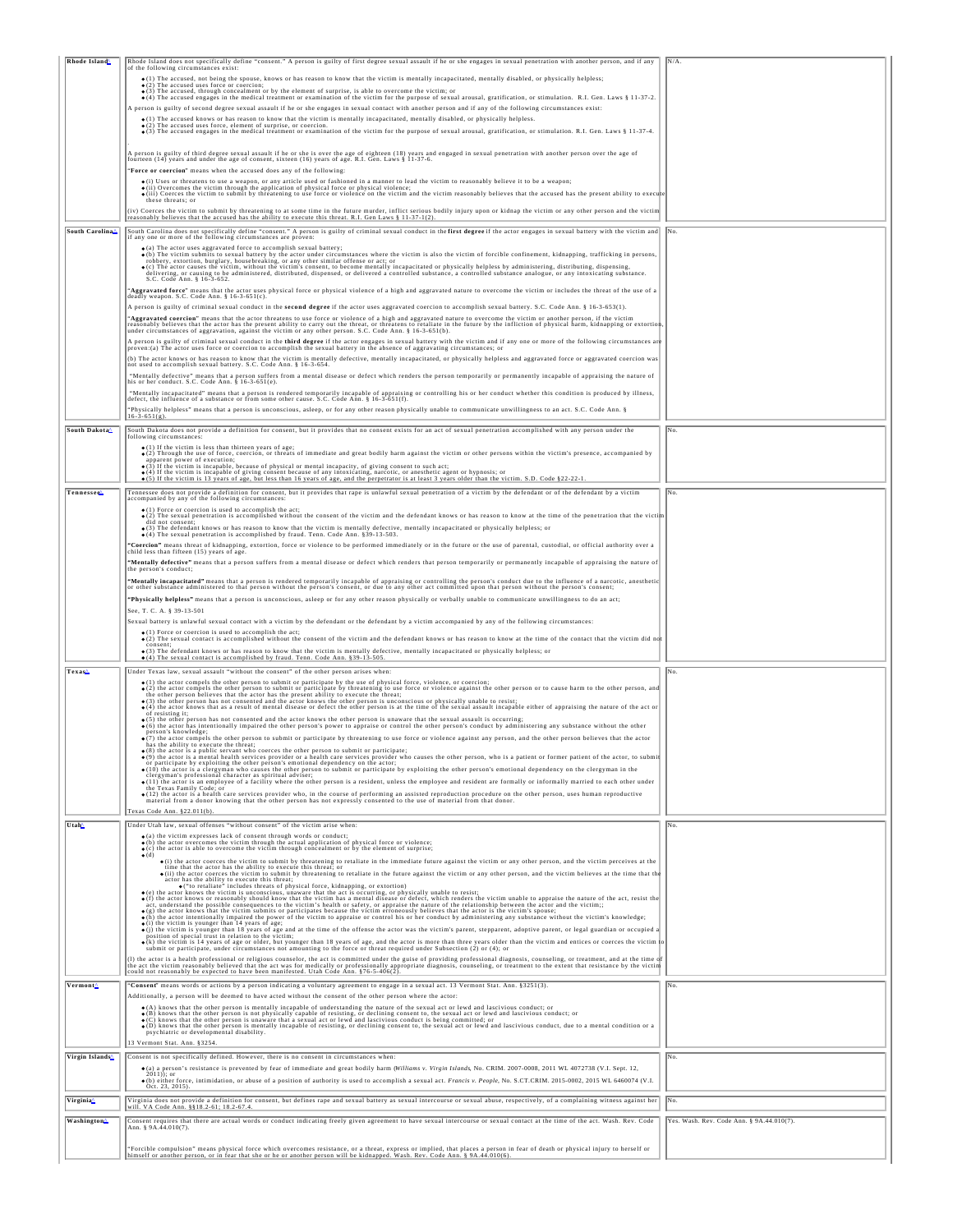| Rhode Island                | Rhode Island does not specifically define "consent." A person is guilty of first degree sexual assault if he or she engages in sexual penetration with another person, and if any<br>of the following circumstances exist:                                                                                                                                                                                                 |                                           |
|-----------------------------|----------------------------------------------------------------------------------------------------------------------------------------------------------------------------------------------------------------------------------------------------------------------------------------------------------------------------------------------------------------------------------------------------------------------------|-------------------------------------------|
|                             | • (1) The accused, not being the spouse, knows or has reason to know that the victim is mentally incapacitated, mentally disabled, or physically helpless;<br>$\bullet$ (2) The accused uses force or coercion;                                                                                                                                                                                                            |                                           |
|                             | $\bullet$ (3) The accused, through concealment or by the element of surprise, is able to overcome the victim; or<br>• (4) The accused engages in the medical treatment or examination of the victim for the purpose of sexual arousal, gratification, or stimulation. R.I. Gen. Laws § 11-37-2.                                                                                                                            |                                           |
|                             | A person is guilty of second degree sexual assault if he or she engages in sexual contact with another person and if any of the following circumstances exist:                                                                                                                                                                                                                                                             |                                           |
|                             | · (1) The accused knows or has reason to know that the victim is mentally incapacitated, mentally disabled, or physically helpless.<br>•(2) The accused uses force, element of surprise, or coercion.<br>•(3) The accused engages in the medical treatment or examination of the victim for the purpose of sexual arousal, gratification, or stimulation, R.I. Gen. Law                                                    |                                           |
|                             |                                                                                                                                                                                                                                                                                                                                                                                                                            |                                           |
|                             | A person is guilty of third degree sexual assault if he or she is over the age of eighteen (18) years and engaged in sexual penetration with another person over the age of fourteen (14) years and under the age of consent,                                                                                                                                                                                              |                                           |
|                             | "Force or coercion" means when the accused does any of the following:                                                                                                                                                                                                                                                                                                                                                      |                                           |
|                             | · (i) Uses or threatens to use a weapon, or any article used or fashioned in a manner to lead the victim to reasonably believe it to be a weapon;<br>• (ii) Overcomes the victim through the application of physical force or physical violence;<br>• (iii) Overcomes the victim through the application of physical force or physical violence;<br>• (iii) Coerces the victim to submit                                   |                                           |
|                             | these threats: or<br>(iv) Coerces the victim to submit by threatening to at some time in the future murder, inflict serious bodily injury upon or kidnap the victim or any other person and the victim                                                                                                                                                                                                                     |                                           |
|                             | reasonably believes that the accused has the ability to execute this threat. R.I. Gen Laws § 11-37-1(2).                                                                                                                                                                                                                                                                                                                   |                                           |
| South Carolina≙             | South Carolina does not specifically define "consent." A person is guilty of criminal sexual conduct in the first degree if the actor engages in sexual battery with the victim and No.<br>if any one or more of the following circumstances are proven:                                                                                                                                                                   |                                           |
|                             | $\bullet$ (a) The actor uses aggravated force to accomplish sexual battery;<br>o (b) The victim submits to sexual battery by the actor under circumstances where the victim is also the victim of forcible confinement, kidnapping, trafficking in persons,                                                                                                                                                                |                                           |
|                             | robbery, extortion, burglary, housebreaking, or any other similar offense or act; or<br>• (c) The actor causes the victim, without the victim's consent, to become mentally incapacitated or physically helpless by administering<br>delivering, or causing to be administered, distributed, dispensed, or delivered a controlled substance, a controlled substance analogue, or any intoxicating substance.               |                                           |
|                             | S.C. Code Ann. § 16-3-652.<br>Aggravated force" means that the actor uses physical force or physical violence of a high and aggravated nature to overcome the victim or includes the threat of the use of a                                                                                                                                                                                                                |                                           |
|                             | deadly weapon. S.C. Code Ann. § 16-3-651(c).                                                                                                                                                                                                                                                                                                                                                                               |                                           |
|                             | A person is guilty of criminal sexual conduct in the second degree if the actor uses aggravated coercion to accomplish sexual battery. S.C. Code Ann. § 16-3-653(1).<br>"Aggravated coercion" means that the actor threatens to use force or violence of a high and aggravated nature to overcome the victim or another person, if the victim                                                                              |                                           |
|                             | reasonably believes that the actor has the present ability to carry out the threat, or threatens to retaliate in the future by the infliction of physical harm, kidnapping or extortion, and the future of the infliction of p                                                                                                                                                                                             |                                           |
|                             | A person is guilty of criminal sexual conduct in the third degree if the actor engages in sexual battery with the victim and if any one or more of the following circumstances are<br>proven:(a) The actor uses force or coercion to accomplish the sexual battery in the absence of aggravating circumstances; or                                                                                                         |                                           |
|                             | (b) The actor knows or has reason to know that the victim is mentally defective, mentally incapacitated, or physically helpless and aggravated force or aggravated coercion was<br>not used to accomplish sexual battery. S.C. Code Ann. § 16-3-654.                                                                                                                                                                       |                                           |
|                             | "Mentally defective" means that a person suffers from a mental disease or defect which renders the person temporarily or permanently incapable of appraising the nature of<br>his or her conduct. S.C. Code Ann. $§$ 16-3-651(e).                                                                                                                                                                                          |                                           |
|                             | "Mentally incapacitated" means that a person is rendered temporarily incapable of appraising or controlling his or her conduct whether this condition is produced by illness,<br>defect, the influence of a substance or from some other cause. S.C. Code Ann. § 16-3-651(f).                                                                                                                                              |                                           |
|                             | "Physically helpless" means that a person is unconscious, asleep, or for any other reason physically unable to communicate unwillingness to an act. S.C. Code Ann. §                                                                                                                                                                                                                                                       |                                           |
| South Dakota                | South Dakota does not provide a definition for consent, but it provides that no consent exists for an act of sexual penetration accomplished with any person under the                                                                                                                                                                                                                                                     | No.                                       |
|                             | following circumstances:                                                                                                                                                                                                                                                                                                                                                                                                   |                                           |
|                             | • (1) If the victim is less than thirteen years of age;<br>• (2) Through the use of force, coercion, or threats of immediate and great bodily harm against the victim or other persons within the victim's presence, accompanied<br>apparent power of execution;                                                                                                                                                           |                                           |
|                             | • (3) If the victim is incapable, because of physical or mental incapacity, of giving consent to such act;<br>• (4) If the victim is incapable of giving consent because of any intoxicating, narcotic, or anesthetic agent or hy                                                                                                                                                                                          |                                           |
| Tennessee <sup>4</sup>      | • (5) If the victim is 13 years of age, but less than 16 years of age, and the perpetrator is at least 3 years older than the victim. S.D. Code §22-22-1.<br>Tennessee does not provide a definition for consent, but it provides that rape is unlawful sexual penetration of a victim by the defendant or of the defendant by a victim                                                                                    | No.                                       |
|                             | accompanied by any of the following circumstances:<br>• (1) Force or coercion is used to accomplish the act;                                                                                                                                                                                                                                                                                                               |                                           |
|                             | o (2) The sexual penetration is accomplished without the consent of the victim and the defendant knows or has reason to know at the time of the penetration that the victim<br>did not consent:                                                                                                                                                                                                                            |                                           |
|                             | (3) The defendant knows or has reason to know that the victim is mentally defective, mentally incapacitated or physically helpless; or<br>• (4) The sexual penetration is accomplished by fraud. Tenn. Code Ann. §39-13-503.                                                                                                                                                                                               |                                           |
|                             | "Coercion" means threat of kidnapping, extortion, force or violence to be performed immediately or in the future or the use of parental, custodial, or official authority over a<br>child less than fifteen (15) years of age.                                                                                                                                                                                             |                                           |
|                             | "Mentally defective" means that a person suffers from a mental disease or defect which renders that person temporarily or permanently incapable of appraising the nature of<br>the person's conduct:                                                                                                                                                                                                                       |                                           |
|                             | "Mentally incapacitated" means that a person is rendered temporarily incapable of appraising or controlling the person's conduct due to the influence of a narcotic, anesthetic<br>or other substance administered to that person without the person's consent, or due to any other act committed upon that person without the person's consent;                                                                           |                                           |
|                             | "Physically helpless" means that a person is unconscious, asleep or for any other reason physically or verbally unable to communicate unwillingness to do an act;                                                                                                                                                                                                                                                          |                                           |
|                             | See, T. C. A. § 39-13-501                                                                                                                                                                                                                                                                                                                                                                                                  |                                           |
|                             | Sexual battery is unlawful sexual contact with a victim by the defendant or the defendant by a victim accompanied by any of the following circumstances:                                                                                                                                                                                                                                                                   |                                           |
|                             | • (1) Force or coercion is used to accomplish the act;<br>• (2) The sexual contact is accomplished without the consent of the victim and the defendant knows or has reason to know at the time of the contact that the victim di                                                                                                                                                                                           |                                           |
|                             | $\bullet$ (3) The defendant knows or has reason to know that the victim is mentally defective, mentally incapacitated or physically helpless; or $\bullet$ (4) The sexual contact is accomplished by fraud. Tenn. Code Ann. §39-13-505.                                                                                                                                                                                    |                                           |
| Texas <sup>4</sup>          | Under Texas law, sexual assault "without the consent" of the other person arises when:<br>· (1) the actor compels the other person to submit or participate by the use of physical force, violence, or coercion;                                                                                                                                                                                                           | No.                                       |
|                             | $\bullet$ (2) the actor compels the other person to submit or participate by threatening to use force or violence against the other person or to cause harm to the other person, and<br>the other person believes that the actor has t                                                                                                                                                                                     |                                           |
|                             | · (4) the actor knows that as a result of mental disease or defect the other person is at the time of the sexual assault incapable either of appraising the nature of the act or<br>of resisting it:                                                                                                                                                                                                                       |                                           |
|                             | o (5) the other person has not consented and the actor knows the other person is unaware that the sexual assault is occurring;<br>(6) the actor has intentionally impaired the other person's power to appraise or control the other person's conduct by administering any substance without the other                                                                                                                     |                                           |
|                             | person's knowledge;<br>• (7) the actor compels the other person to submit or participate by threatening to use force or violence against any person, and the other person believes that the actor<br>has the ability to execute the threat;                                                                                                                                                                                |                                           |
|                             | (8) the actor is a public servant who coerces the other person to submit or participate:<br>o (9) the actor is a mental health services provider or a health care services provider who causes the other person, who is a patient or former patient of the actor, to submit                                                                                                                                                |                                           |
|                             | or participate by exploiting the other person's emotional dependency on the actor;<br>(10) the actor is a clergyman who causes the other person to submit or participate by exploiting the other person's emotional dependency on the clergyman in the<br>clergyman's professional character as spiritual adviser;                                                                                                         |                                           |
|                             | · (11) the actor is an employee of a facility where the other person is a resident, unless the employee and resident are formally or informally married to each other under<br>the Texas Family Code: or<br>o (12) the actor is a health care services provider who, in the course of performing an assisted reproduction procedure on the other person, uses human reproductive                                           |                                           |
|                             | material from a donor knowing that the other person has not expressly consented to the use of material from that donor.                                                                                                                                                                                                                                                                                                    |                                           |
| Utah                        | Texas Code Ann. §22.011(b)<br>Under Utah law, sexual offenses "without consent" of the victim arise when:                                                                                                                                                                                                                                                                                                                  | No.                                       |
|                             | · (a) the victim expresses lack of consent through words or conduct;                                                                                                                                                                                                                                                                                                                                                       |                                           |
|                             | (b) the actor overcomes the victim through the actual application of physical force or violence;<br>$\bullet$ (c) the actor is able to overcome the victim through concealment or by the element of surprise;<br>$\bullet$ (d)                                                                                                                                                                                             |                                           |
|                             | (i) the actor coerces the victim to submit by threatening to retaliate in the immediate future against the victim or any other person, and the victim perceives at the<br>time that the actor has the ability to execute this threat, or<br>$\bullet$ (ii) the actor coerces the victim to submit by threatening to retaliate in the future against the victim or any other person, and the victim believes at             |                                           |
|                             | actor has the ability to execute this threat;<br>• (b) retaliate" includes threats of physical force, kidnapping, or extortion)<br>• (e) the actor knows the victim is unconscious, unaware that the act is occurring, or physically unable to resist;                                                                                                                                                                     |                                           |
|                             | o (f) the actor knows or reasonably should know that the victim has a mental disease or defect, which renders the victim unable to appraise the nature of the act, resist the                                                                                                                                                                                                                                              |                                           |
|                             | act, understand the possible consequences to the victim's health or safety, or appraise the nature of the relationship between the actor and the victim;;<br>• (g) the actor knows that the victim submits or participates becaus<br>· (h) the actor intentionally impaired the power of the victim to appraise or control his or her conduct by administering any substance without the victim's knowledge;               |                                           |
|                             | $\bullet$ (i) the victim is younger than 14 years of age;<br>o(j) the victim is younger than 18 years of age and at the time of the offense the actor was the victim's parent, stepparent, adoptive parent, or legal guardian or occupied a<br>position of special trust in relation to the victim;                                                                                                                        |                                           |
|                             | of the victim is 14 years of age or older, but younger than 18 years of age, and the actor is more than three years older than the victim and entices or coerces the victim<br>submit or participate, under circumstances not amo                                                                                                                                                                                          |                                           |
|                             | (1) the actor is a health professional or religious counselor, the act is committed under the guise of providing professional diagnosis, counseling, or treatment, and at the time of<br>the act the victim reasonably believed that the act was for medically or professionally appropriate diagnosis, counseling, or treatment to the extent that resistance by the victim<br>could not reasonably be expected to have b |                                           |
| Vermont <sup>^</sup>        | Consent" means words or actions by a person indicating a voluntary agreement to engage in a sexual act. 13 Vermont Stat. Ann. §3251(3).                                                                                                                                                                                                                                                                                    | No.                                       |
|                             | Additionally, a person will be deemed to have acted without the consent of the other person where the actor:                                                                                                                                                                                                                                                                                                               |                                           |
|                             | $\bullet$ (A) knows that the other person is mentally incapable of understanding the nature of the sexual act or lewd and lascivious conduct; or $\bullet$ (B) knows that the other person is not physically capable of resisting, or d                                                                                                                                                                                    |                                           |
|                             | . (C) knows that the other person is unaware that a sexual act or lewd and lascivious conduct is being committed; or<br>· (D) knows that the other person is mentally incapable of resisting, or declining consent to, the sexual act or lewd and lascivious conduct, due to a mental condition or a<br>psychiatric or developmental disability.                                                                           |                                           |
|                             | 13 Vermont Stat. Ann. §3254.                                                                                                                                                                                                                                                                                                                                                                                               |                                           |
| Virgin Islands <sup>^</sup> | Consent is not specifically defined. However, there is no consent in circumstances when:                                                                                                                                                                                                                                                                                                                                   | No                                        |
|                             | · (a) a person's resistance is prevented by fear of immediate and great bodily harm (Williams v. Virgin Islands, No. CRIM. 2007-0008, 2011 WL 4072738 (V.I. Sept. 12,<br>· (b) either force, intimidation, or abuse of a position of authority is used to accomplish a sexual act. Francis v. People, No. S.CT.CRIM. 2015-0002, 2015 WL 6460074 (V.I.                                                                      |                                           |
|                             | Oct. 23, 2015)                                                                                                                                                                                                                                                                                                                                                                                                             |                                           |
| Virginia <sup>6</sup>       | Virginia does not provide a definition for consent, but defines rape and sexual battery as sexual intercourse or sexual abuse, respectively, of a complaining witness against her will. VA Code Ann. §§18.2-61; 18.2-67.4.                                                                                                                                                                                                 | $\mathbb{N}^{\circ}$                      |
| <b>Washington</b>           | Consent requires that there are actual words or conduct indicating freely given agreement to have sexual intercourse or sexual contact at the time of the act. Wash. Rev. Code<br>Ann. § 9A.44.010(7).                                                                                                                                                                                                                     | Yes. Wash. Rev. Code Ann. § 9A.44.010(7). |
|                             |                                                                                                                                                                                                                                                                                                                                                                                                                            |                                           |
|                             | "Forcible compulsion" means physical force which overcomes resistance, or a threat, express or implied, that places a person in fear of death or physical injury to herself or<br>himself or another person, or in fear that she or he or another person will be kidnapped. Wash. Rev. Code Ann. § 9A.44.010(6).                                                                                                           |                                           |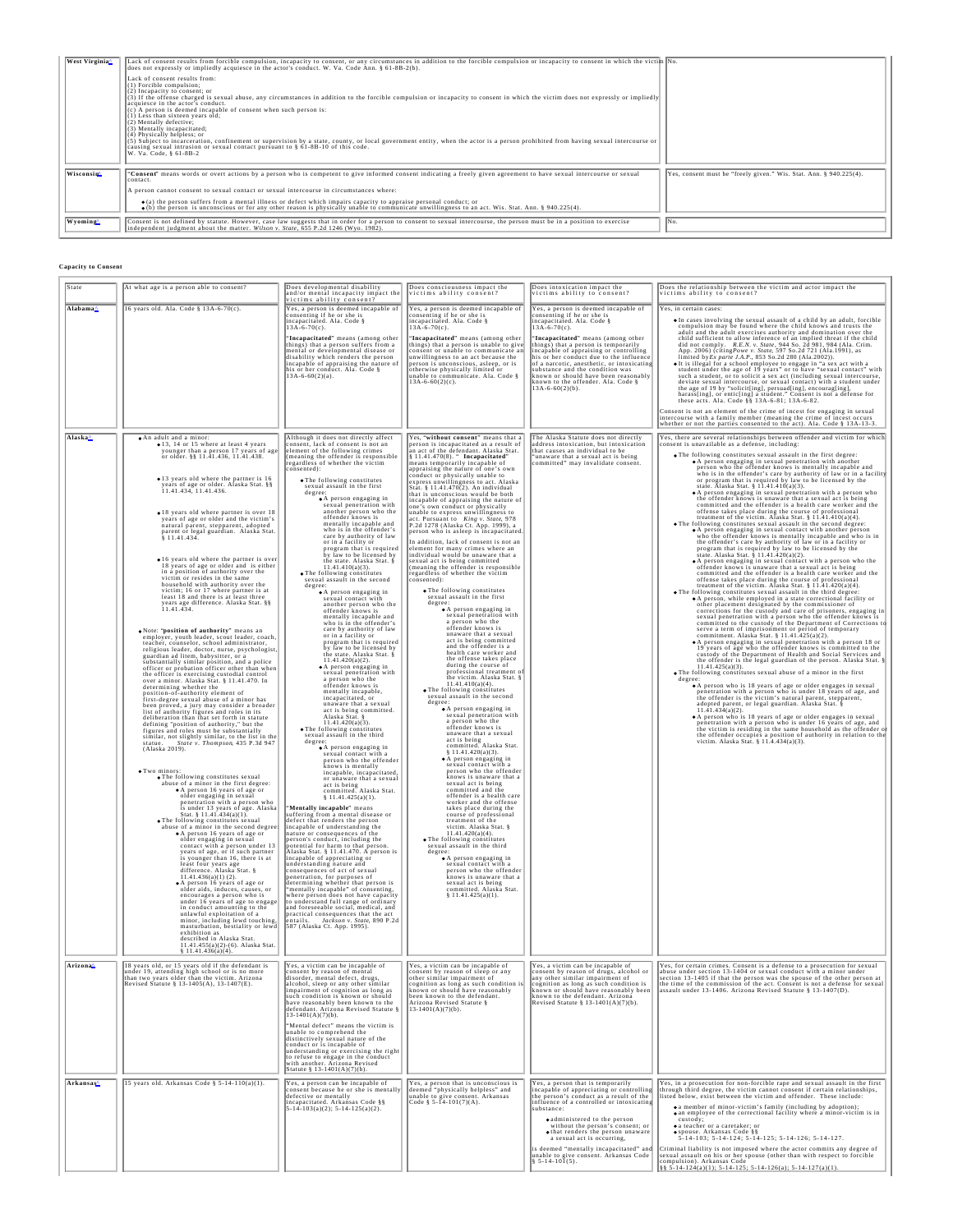| West Virginia <sup>4</sup> | Lack of consent results from forcible compulsion, incapacity to consent, or any circumstances in addition to the forcible compulsion or incapacity to consent in which the victim No.<br>does not expressly or impliedly acquiesce in the actor's conduct. W. Va. Code Ann. $\S 61-8B-2(b)$ .<br>Lack of consent results from:<br>$(1)$ Forcible compulsion;<br>(2) Incapacity to consent; or<br>(3) If the offense charged is sexual abuse, any circumstances in addition to the forcible compulsion or incapacity to consent in which the victim does not expressly or impliedly<br>acquiesce in the actor's conduct.<br>$(c)$ A person is deemed incapable of consent when such person is:<br>(1) Less than sixteen years old;<br>$(2)$ Mentally defective;<br>(3) Mentally incapacitated:<br>(4) Physically helpless; or<br>(5) Subject to incarceration, confinement or supervision by a state, county, or local government entity, when the actor is a person prohibited from having sexual intercourse or<br>causing sexual intrusion or sexual contact pursuant to § 61-8B-10 of this code.<br>W. Va. Code, 8 61-8B-2 |                                                                    |
|----------------------------|-------------------------------------------------------------------------------------------------------------------------------------------------------------------------------------------------------------------------------------------------------------------------------------------------------------------------------------------------------------------------------------------------------------------------------------------------------------------------------------------------------------------------------------------------------------------------------------------------------------------------------------------------------------------------------------------------------------------------------------------------------------------------------------------------------------------------------------------------------------------------------------------------------------------------------------------------------------------------------------------------------------------------------------------------------------------------------------------------------------------------------|--------------------------------------------------------------------|
| Wisconsin                  | "Consent" means words or overt actions by a person who is competent to give informed consent indicating a freely given agreement to have sexual intercourse or sexual<br>contact.<br>A person cannot consent to sexual contact or sexual intercourse in circumstances where:                                                                                                                                                                                                                                                                                                                                                                                                                                                                                                                                                                                                                                                                                                                                                                                                                                                  | Yes, consent must be "freely given." Wis. Stat. Ann. § 940.225(4). |
|                            | $\bullet$ (a) the person suffers from a mental illness or defect which impairs capacity to appraise personal conduct; or<br>$\bullet$ (b) the person is unconscious or for any other reason is physically unable to communicate unwillingness to an act. Wis. Stat. Ann. § 940.225(4).                                                                                                                                                                                                                                                                                                                                                                                                                                                                                                                                                                                                                                                                                                                                                                                                                                        |                                                                    |
| Wyoming                    | Consent is not defined by statute. However, case law suggests that in order for a person to consent to sexual intercourse, the person must be in a position to exercise<br>independent judgment about the matter. Wilson v. State, 655 P.2d 1246 (Wyo. 1982).                                                                                                                                                                                                                                                                                                                                                                                                                                                                                                                                                                                                                                                                                                                                                                                                                                                                 | IN <sub>o</sub>                                                    |

## **Capacity to Consent**

| State                 | At what age is a person able to consent?                                                                                                                                                                                                                                                                                                                                                                                                                                                                                                                                                                                                                                                                                                                                                                                                                                                                                                                                                                                                                                                                                                                                                                                                                                                                                                                                                                                                                                                                                                                                                                                                                                                                                                                                                                                                                                                                                                                                                                                                                                                                                                                                                                                                                                                                                                                                                                                                                                                                                                                                                                                                                   | Does developmental disability<br>and/or mental incapacity impact the<br>victims ability consent?                                                                                                                                                                                                                                                                                                                                                                                                                                                                                                                                                                                                                                                                                                                                                                                                                                                                                                                                                                                                                                                                                                                                                                                                                                                                                                                                                                                                                                                                                                                                                                                                                                                                                                                                                                                                                                                                                                                                                                                                                                                                                                                                                                                         | Does consciousness impact the<br>victims ability consent?                                                                                                                                                                                                                                                                                                                                                                                                                                                                                                                                                                                                                                                                                                                                                                                                                                                                                                                                                                                                                                                                                                                                                                                                                                                                                                                                                                                                                                                                                                                                                                                                                                                                                                                                                                                                                                                                                                                                                                                                                                                                                                            | Does intoxication impact the<br>victims ability to consent?                                                                                                                                                                                                                                                                                                                                                                                                                    | Does the relationship between the victim and actor impact the<br>victims ability to consent?                                                                                                                                                                                                                                                                                                                                                                                                                                                                                                                                                                                                                                                                                                                                                                                                                                                                                                                                                                                                                                                                                                                                                                                                                                                                                                                                                                                                                                                                                                                                                                                                                                                                                                                                                                                                                                                                                                                                                                                                                                                                                                                                                                                                                                                                                                                                                                                                                                                                                                                                                                                                                                                                                                                                                                                                                                                                  |
|-----------------------|------------------------------------------------------------------------------------------------------------------------------------------------------------------------------------------------------------------------------------------------------------------------------------------------------------------------------------------------------------------------------------------------------------------------------------------------------------------------------------------------------------------------------------------------------------------------------------------------------------------------------------------------------------------------------------------------------------------------------------------------------------------------------------------------------------------------------------------------------------------------------------------------------------------------------------------------------------------------------------------------------------------------------------------------------------------------------------------------------------------------------------------------------------------------------------------------------------------------------------------------------------------------------------------------------------------------------------------------------------------------------------------------------------------------------------------------------------------------------------------------------------------------------------------------------------------------------------------------------------------------------------------------------------------------------------------------------------------------------------------------------------------------------------------------------------------------------------------------------------------------------------------------------------------------------------------------------------------------------------------------------------------------------------------------------------------------------------------------------------------------------------------------------------------------------------------------------------------------------------------------------------------------------------------------------------------------------------------------------------------------------------------------------------------------------------------------------------------------------------------------------------------------------------------------------------------------------------------------------------------------------------------------------------|------------------------------------------------------------------------------------------------------------------------------------------------------------------------------------------------------------------------------------------------------------------------------------------------------------------------------------------------------------------------------------------------------------------------------------------------------------------------------------------------------------------------------------------------------------------------------------------------------------------------------------------------------------------------------------------------------------------------------------------------------------------------------------------------------------------------------------------------------------------------------------------------------------------------------------------------------------------------------------------------------------------------------------------------------------------------------------------------------------------------------------------------------------------------------------------------------------------------------------------------------------------------------------------------------------------------------------------------------------------------------------------------------------------------------------------------------------------------------------------------------------------------------------------------------------------------------------------------------------------------------------------------------------------------------------------------------------------------------------------------------------------------------------------------------------------------------------------------------------------------------------------------------------------------------------------------------------------------------------------------------------------------------------------------------------------------------------------------------------------------------------------------------------------------------------------------------------------------------------------------------------------------------------------|----------------------------------------------------------------------------------------------------------------------------------------------------------------------------------------------------------------------------------------------------------------------------------------------------------------------------------------------------------------------------------------------------------------------------------------------------------------------------------------------------------------------------------------------------------------------------------------------------------------------------------------------------------------------------------------------------------------------------------------------------------------------------------------------------------------------------------------------------------------------------------------------------------------------------------------------------------------------------------------------------------------------------------------------------------------------------------------------------------------------------------------------------------------------------------------------------------------------------------------------------------------------------------------------------------------------------------------------------------------------------------------------------------------------------------------------------------------------------------------------------------------------------------------------------------------------------------------------------------------------------------------------------------------------------------------------------------------------------------------------------------------------------------------------------------------------------------------------------------------------------------------------------------------------------------------------------------------------------------------------------------------------------------------------------------------------------------------------------------------------------------------------------------------------|--------------------------------------------------------------------------------------------------------------------------------------------------------------------------------------------------------------------------------------------------------------------------------------------------------------------------------------------------------------------------------------------------------------------------------------------------------------------------------|---------------------------------------------------------------------------------------------------------------------------------------------------------------------------------------------------------------------------------------------------------------------------------------------------------------------------------------------------------------------------------------------------------------------------------------------------------------------------------------------------------------------------------------------------------------------------------------------------------------------------------------------------------------------------------------------------------------------------------------------------------------------------------------------------------------------------------------------------------------------------------------------------------------------------------------------------------------------------------------------------------------------------------------------------------------------------------------------------------------------------------------------------------------------------------------------------------------------------------------------------------------------------------------------------------------------------------------------------------------------------------------------------------------------------------------------------------------------------------------------------------------------------------------------------------------------------------------------------------------------------------------------------------------------------------------------------------------------------------------------------------------------------------------------------------------------------------------------------------------------------------------------------------------------------------------------------------------------------------------------------------------------------------------------------------------------------------------------------------------------------------------------------------------------------------------------------------------------------------------------------------------------------------------------------------------------------------------------------------------------------------------------------------------------------------------------------------------------------------------------------------------------------------------------------------------------------------------------------------------------------------------------------------------------------------------------------------------------------------------------------------------------------------------------------------------------------------------------------------------------------------------------------------------------------------------------------------------|
| Alabama≙              | 16 years old. Ala. Code § 13A-6-70(c).                                                                                                                                                                                                                                                                                                                                                                                                                                                                                                                                                                                                                                                                                                                                                                                                                                                                                                                                                                                                                                                                                                                                                                                                                                                                                                                                                                                                                                                                                                                                                                                                                                                                                                                                                                                                                                                                                                                                                                                                                                                                                                                                                                                                                                                                                                                                                                                                                                                                                                                                                                                                                     | Yes, a person is deemed incapable of<br>consenting if he or she is<br>incapacitated. Ala. Code §<br>"Incapacitated" means (among other<br>things) that a person suffers from a<br>mental or developmental disease or<br>disability which renders the person<br>incapable of appraising the nature of<br>his or her conduct. Ala. Code §<br>$13A-6-60(2)(a)$ .                                                                                                                                                                                                                                                                                                                                                                                                                                                                                                                                                                                                                                                                                                                                                                                                                                                                                                                                                                                                                                                                                                                                                                                                                                                                                                                                                                                                                                                                                                                                                                                                                                                                                                                                                                                                                                                                                                                            | Yes, a person is deemed incapable of<br>consenting if he or she is<br>incapacitated. Ala. Code $§$<br>13A-6-70(c).<br>"Incapacitated" means (among other<br>things) that a person is unable to give<br>consent or unable to communicate an<br>unwillingness to an act because the<br>person is unconscious, asleep, or is<br>otherwise physically limited or<br>unable to communicate. Ala. Code §<br>$13A-6-60(2)(c)$ .                                                                                                                                                                                                                                                                                                                                                                                                                                                                                                                                                                                                                                                                                                                                                                                                                                                                                                                                                                                                                                                                                                                                                                                                                                                                                                                                                                                                                                                                                                                                                                                                                                                                                                                                             | Yes, a person is deemed incapable of<br>consenting if he or she is<br>incapacitated. Ala. Code § 13A-6-70(c).<br>"Incapacitated" means (among other<br>things) that a person is temporarily<br>incapable of appraising or controlling<br>his or her conduct due to the influence<br>of a narcotic, anesthetic, or intoxicating<br>substance and the condition was<br>known or should have been reasonably<br>known to the offender. Ala. Code $\frac{8}{3}$<br>13A-6-60(2)(b). | Yes, in certain cases:<br>. In cases involving the sexual assault of a child by an adult, forcible<br>compulsion may be found where the child knows and trusts the<br>adult and the adult cxercises authority and domination over the<br>child sufficient to allow inference of an implied threat if the child<br>did not comply $RE.N. v. State, 944$ So. $2d$ 981, 984 (Ala. Crim. App. 2006) (citing Powe v. Stare, 597 So. 2d 721 (Ala. 1991), as limited by $Ex\ part$ , $Bx$ , 853 So. 2d 280 (Ala. 1991), as<br>It is illegal for a school employee to engage in "a sex act with a<br>student under the age of 19 years" or to have "sexual contact" with<br>such a student, or to solicit a sex act (including sexual intercourse,<br>deviate sexual intercourse, or sexual contact) with a student under<br>the age of 19 by "solicit[ing], persuad[ing], encourag[ing], harass[ing], or entic[ing] a student." Consent is not a defense for<br>these acts. Ala. Code §§ 13A-6-81; 13A-6-82.<br>Consent is not an element of the crime of incest for engaging in sexual<br>intercourse with a family member (meaning the crime of incest occurs<br>whether or not the parties consented to the act). Ala. Code § 13A-13-3.                                                                                                                                                                                                                                                                                                                                                                                                                                                                                                                                                                                                                                                                                                                                                                                                                                                                                                                                                                                                                                                                                                                                                                                                                                                                                                                                                                                                                                                                                                                                                                                                                                                                                                                           |
| Alaska≙               | • An adult and a minor:<br>• 13, 14 or 15 where at least 4 years<br>younger than a person 17 years of age<br>or older. §§ 11.41.436, 11.41.438.<br>· 13 years old where the partner is 16<br>years of age or older. Alaska Stat. §§ 11.41.434, 11.41.436.<br>· 18 years old where partner is over 18<br>years of age or older and the victim's<br>natural parent, stepparent, adopted<br>parent or legal guardian. Alaska Stat.<br>.16 years old where the partner is over<br>18 years of age or older and is either<br>in a position of authority over the<br>victim or resides in the same<br>household with authority over the<br>victim; 16 or 17 where partner is at<br>least 18 and there is at least three<br>years age difference. Alaska Stat. §§<br>11.41.434.<br>. Note: "position of authority" means an<br>employer, youth leader, scout leader, coach,<br>teacher, counselor, school administrator,<br>religious leader, doctor, nurse, psychologist,<br>guardian ad litem, babysitter, or a<br>substantially similar position, and a police<br>officer or probation officer other than when<br>the officer is exercising custodial control<br>over a minor. Alaska Stat. § 11.41.470. In<br>determining whether the<br>position-of-authority element of<br>first-degree sexual abuse of a minor has<br>been proved, a jury may consider a broader<br>list of authority figures and roles in its<br>deliberation than that set forth in statute<br>defining "position of authority," but the<br>figures and roles must be substantially<br>similar, not slightly similar, to the list in the<br>statue. State v. Thompson, 435 P.3d 947<br>(Alaska 2019).<br>· Two minors:<br>. The following constitutes sexual<br>abuse of a minor in the first degree:<br>A person 16 years of age or<br>older engaging in sexual<br>penetration with a person who<br>is under 13 years of age. Alaska<br>Stat. § 11.41.434(a)(1).<br>. The following constitutes sexual<br>abuse of a minor in the second degree<br>• A person 16 years of age or<br>older engaging in sexual<br>contact with a person under 13<br>years of age, or if such partner<br>is younger than 16, there is at<br>least four years age<br>difference. Alaska Stat. §<br>$11.41.436(a)(1)(2)$ .<br>• A person 16 years of age or<br>older aids, induces, causes, or<br>encourages a person who is<br>under 16 years of age to engage<br>in conduct amounting to the<br>unlawful exploitation of a<br>minor, including lewd touching,<br>masturbation, bestiality or lewd<br>exhibition as<br>described in Alaska Stat.<br>11.41.455(a)(2)-(6). Alaska Stat.<br>\$11.41.436(a)(4). | Although it does not directly affect<br>onsent. lack of consent is not an<br>element of the following crimes<br>(meaning the offender is responsible<br>regardless of whether the victim<br>consented):<br>• The following constitutes<br>sexual assault in the first<br>degree:<br>• A person engaging in<br>sexual penetration with<br>another person who the<br>offender knows is<br>mentally incapable and<br>who is in the offender's<br>care by authority of law<br>or in a facility or<br>program that is required<br>by law to be licensed by<br>the state. Alaska Stat. §<br>$11.41.410(a)(3)$ .<br>• The following constitutes<br>sexual assault in the second<br>degree:<br>· A person engaging in<br>sexual contact with<br>another person who the<br>offender knows is<br>mentally incapable and<br>who is in the offender's<br>care by authority of law<br>or in a facility or<br>program that is required<br>by law to be licensed by<br>the state. Alaska Stat. $\S$<br>11.41.420(a)(2).<br>· A person engaging in<br>sexual penetration with<br>a person who the<br>offender knows is<br>mentally incapable.<br>incapacitated, or<br>unaware that a sexual<br>act is being committed.<br>Alaska Stat. §<br>11.41.420(a)(3)<br>• The following constitutes<br>sexual assault in the third<br>degree:<br>A person engaging in<br>sexual contact with a<br>person who the offender<br>knows is mentally<br>incapable, incapacitated,<br>or unaware that a sexual<br>act is being<br>committed. Alaska Stat.<br>\$11.41.425(a)(1).<br>'Mentally incapable" means<br>suffering from a mental disease or<br>defect that renders the person<br>incapable of understanding the<br>nature or consequences of the<br>person's conduct, including the<br>potential for harm to that person.<br>Alaska Stat. § 11.41.470. A person is<br>incapable of appreciating or<br>understanding nature and<br>consequences of act of sexual<br>penetration, for purposes of<br>determining whether that person is<br>"mentally incapable" of consenting,<br>where person does not have capacity<br>to understand full range of ordinary<br>and foreseeable social, medical, and<br>practical consequences that the act<br>entails. Jackson v. State, 890 P.2d<br>587 (Alaska Ct. App. 1995). | Yes, "without consent" means that a<br>person is incapacitated as a result of<br>an act of the defendant. Alaska Stat.<br>§ 11.41.470(8). "Incapacitated"<br>means temporarily incapable of<br>appraising the nature of one's own<br>conduct or physically unable to<br>express unwillingness to act. Alaska<br>Stat. § 11.41.470(2). An individual<br>that is unconscious would be both<br>incapable of appraising the nature of<br>one's own conduct or physically<br>unable to express unwillingness to<br>act. Pursuant to King v. State, 978<br>P.2d 1278 (Alaska Ct. App. 1999), a<br>person who is asleep is incapacitated<br>In addition, lack of consent is not an<br>element for many crimes where an<br>individual would be unaware that a<br>sexual act is being committed<br>(meaning the offender is responsible<br>regardless of whether the victim<br>consented):<br>· The following constitutes<br>sexual assault in the first<br>degree:<br>• A person engaging in<br>sexual penetration with<br>a person who the<br>offender knows is<br>unaware that a sexual<br>act is being committed<br>and the offender is a<br>health care worker and<br>the offense takes place<br>during the course of<br>professional treatment of<br>the victim. Alaska Stat. §<br>$11.41.410(a)(4)$ .<br>• The following constitutes<br>sexual assault in the second<br>degree:<br>◆ A person engaging in<br>sexual penetration with<br>a person who the<br>offender knows is<br>unaware that a sexual<br>act is being<br>committed. Alaska Stat.<br>§ 11.41.420(a)(3).<br>• A person engaging in<br>sexual contact with a<br>person who the offender<br>knows is unaware that a<br>sexual act is being<br>committed and the<br>offender is a health care<br>worker and the offense<br>takes place during the<br>course of professional<br>treatment of the<br>victim. Alaska Stat. 8<br>$11.41.420(a)(4)$ .<br>• The following constitutes<br>sexual assault in the third<br>degree:<br>◆ A person engaging in<br>sexual contact with a<br>person who the offender<br>knows is unaware that a<br>sexual act is being<br>committed. Alaska Stat.<br>\$11.41.425(a)(1). | The Alaska Statute does not directly<br>address intoxication, but intoxication<br>that causes an individual to be<br>"unaware that a sexual act is being<br>committed" may invalidate consent.                                                                                                                                                                                                                                                                                 | Yes, there are several relationships between offender and victim for which<br>consent is unavailable as a defense, including:<br>. The following constitutes sexual assault in the first degree:<br>OA person engaging in sexual penetration with another<br>with another person who the offender knows is mentally incapable and<br>who is in the offender's care by authority of law or in a facility<br>who is in the offender's care by<br>or program that is required by law to be licensed by the state. Alaska Stat. § 11.41.410(a)(3).<br>• A person engaging in sexual penetration with a person who<br>the offender knows is unaware that a sexual act is being<br>committed and the offender is a health care worker and the<br>offense takes place during the course of professional<br>treatment of the victim. Alaska Stat. § 11.41.410(a)(4).<br>. The following constitutes sexual assault in the second degree:<br>. A person engaging in sexual contact with another person<br>who the offender knows is mentally incapable and who is in<br>the offender's care by authority of law or in a facility or<br>program that is required by law to be licensed by the<br>state. Alaska Stat. § 11.41.420(a)(2).<br>A person engaging in sexual contact with a person who the<br>offender knows is unaware that a sexual act is being<br>committed and the offender is a health care worker and the<br>offense takes place during the course of professional<br>treatment of the victim. Alaska Stat. § 11.41.420(a)(4).<br>. The following constitutes sexual assault in the third degree<br>A person, while employed in a state correctional facility or<br>other placement designated by the commissioner of<br>corrections for the custody and care of prisoners, engaging in<br>sexual penetration with a person who the offender knows is<br>committed to the custody of the Department of Corrections to<br>serve a term of imprisonment or period of temporary<br>commitment. Alaska Stat. § 11.41.425(a)(2).<br>• A person engaging in sexual penetration with a person 18 or<br>19 years of age who the offender knows is committed to the custody of the Department of Health and Social Services and<br>the offender is the legal guardian of the person. Alaska Stat. §<br>11.41.425(a)(3)<br>. The following constitutes sexual abuse of a minor in the first<br>degree:<br>. A person who is 18 years of age or older engages in sexual<br>penetration with a person who is under 18 years of age, and<br>the offender is the victim's natural parent, stepparent,<br>adopted parent, or legal guardian. Alaska Stat. §<br>. A person who is 18 years of age or older engages in sexual<br>A person who is 19 years of age of other engages in sexual<br>penetration with a person who is under 16 years of age, and<br>the victim is residing in the same household as the offender of<br>the victim is residing in the same hou |
| Arizona               | 18 years old, or 15 years old if the defendant is<br>under 19, attending high school or is no more<br>han two vears older than the victim. Arizona<br>Revised Statute § 13-1405(A), 13-1407(E).                                                                                                                                                                                                                                                                                                                                                                                                                                                                                                                                                                                                                                                                                                                                                                                                                                                                                                                                                                                                                                                                                                                                                                                                                                                                                                                                                                                                                                                                                                                                                                                                                                                                                                                                                                                                                                                                                                                                                                                                                                                                                                                                                                                                                                                                                                                                                                                                                                                            | Yes, a victim can be incapable of<br>consent by reason of mental<br>isorder, mental defect, drug:<br>alcohol, sleep or any other similar<br>impairment of cognition as long as<br>such condition is known or should<br>have reasonably been known to the<br>defendant. Arizona Revised Statute §<br>$13-1401(A)(7)(b)$ .<br>"Mental defect" means the victim is<br>unable to comprehend the<br>distinctively sexual nature of the<br>conduct or is incapable of<br>understanding or exercising the right<br>to refuse to engage in the conduct<br>with another. Arizona Revised<br>Statute § 13-1401(A)(7)(b).                                                                                                                                                                                                                                                                                                                                                                                                                                                                                                                                                                                                                                                                                                                                                                                                                                                                                                                                                                                                                                                                                                                                                                                                                                                                                                                                                                                                                                                                                                                                                                                                                                                                           | Yes, a victim can be incapable of<br>consent by reason of sleep or any<br>ither similar imnairment of<br>other similar imparation of<br>cognition as long as such condition is<br>known or should have reasonably<br>been known to the defendant.<br>Arizona Revised Statute §<br>$13-1401(A)(7)(b)$ .                                                                                                                                                                                                                                                                                                                                                                                                                                                                                                                                                                                                                                                                                                                                                                                                                                                                                                                                                                                                                                                                                                                                                                                                                                                                                                                                                                                                                                                                                                                                                                                                                                                                                                                                                                                                                                                               | Yes, a victim can be incapable of<br>consent by reason of drugs, alcohol or<br>inv other similar impairment of<br>Revised Statute § 13-1401(A)(7)(b).                                                                                                                                                                                                                                                                                                                          | Yes, for certain crimes. Consent is a defense to a prosecution for sexual abuse under section 13-1404 or sexual conduct with a minor under<br>section 13-1405 if that the person was the spouse of the other person<br>any other statements of the commission of the act. Consent is not a defense<br>cognition as long as such condition is<br>known or should have reasonably been<br>known to the defendant. Arizona<br>the time of the commission of the act. Consent is not a defense for sexual                                                                                                                                                                                                                                                                                                                                                                                                                                                                                                                                                                                                                                                                                                                                                                                                                                                                                                                                                                                                                                                                                                                                                                                                                                                                                                                                                                                                                                                                                                                                                                                                                                                                                                                                                                                                                                                                                                                                                                                                                                                                                                                                                                                                                                                                                                                                                                                                                                                         |
| Arkansas <sup>A</sup> | 15 years old. Arkansas Code § 5-14-110(a)(1).                                                                                                                                                                                                                                                                                                                                                                                                                                                                                                                                                                                                                                                                                                                                                                                                                                                                                                                                                                                                                                                                                                                                                                                                                                                                                                                                                                                                                                                                                                                                                                                                                                                                                                                                                                                                                                                                                                                                                                                                                                                                                                                                                                                                                                                                                                                                                                                                                                                                                                                                                                                                              | Yes, a person can be incapable of<br>consent because he or she is mentally<br>defective or mentally<br>incapacitated. Arkansas Code $\S$<br>5-14-103(a)(2); 5-14-125(a)(2).                                                                                                                                                                                                                                                                                                                                                                                                                                                                                                                                                                                                                                                                                                                                                                                                                                                                                                                                                                                                                                                                                                                                                                                                                                                                                                                                                                                                                                                                                                                                                                                                                                                                                                                                                                                                                                                                                                                                                                                                                                                                                                              | Yes, a person that is unconscious is<br>deemed "physically helpless" and<br>unable to give consent. Arkansas<br>Code § 5-14-101(7)(A).                                                                                                                                                                                                                                                                                                                                                                                                                                                                                                                                                                                                                                                                                                                                                                                                                                                                                                                                                                                                                                                                                                                                                                                                                                                                                                                                                                                                                                                                                                                                                                                                                                                                                                                                                                                                                                                                                                                                                                                                                               | Yes, a person that is temporarily<br>incapable of appreciating or controlling<br>the person's conduct as a result of the<br>influence of a controlled or intoxicating<br>substance:<br>· administered to the person<br>without the person's consent; or<br>• that renders the person unaware<br>a sexual act is occurring.<br>is deemed "mentally incapacitated" and<br>unable to give consent. Arkansas Code<br>$$5-14-101(5).$                                               | Yes, in a prosecution for non-forcible rape and sexual assault in the first<br>through third degree, the victim cannot consent if certain relationships,<br>isted below, exist between the victim and offender. These include:<br><b>e</b> a member of minor-victim's family (including by adoption):<br>o an employee of the correctional facility where a minor-victim is in<br>custody;<br>a a teacher or a caretaker: or<br>· spouse. Arkansas Code §§<br>$5 - 14 - 103$ ; $5 - 14 - 124$ ; $5 - 14 - 125$ ; $5 - 14 - 126$ ; $5 - 14 - 127$ .<br>Criminal liability is not imposed where the actor commits any degree of<br>sexual assault on his or her spouse (other than with respect to forcible<br>compulsion). Arkansas Code<br>§§ 5-14-124(a)(1); 5-14-125; 5-14-126(a); 5-14-127(a)(1).                                                                                                                                                                                                                                                                                                                                                                                                                                                                                                                                                                                                                                                                                                                                                                                                                                                                                                                                                                                                                                                                                                                                                                                                                                                                                                                                                                                                                                                                                                                                                                                                                                                                                                                                                                                                                                                                                                                                                                                                                                                                                                                                                          |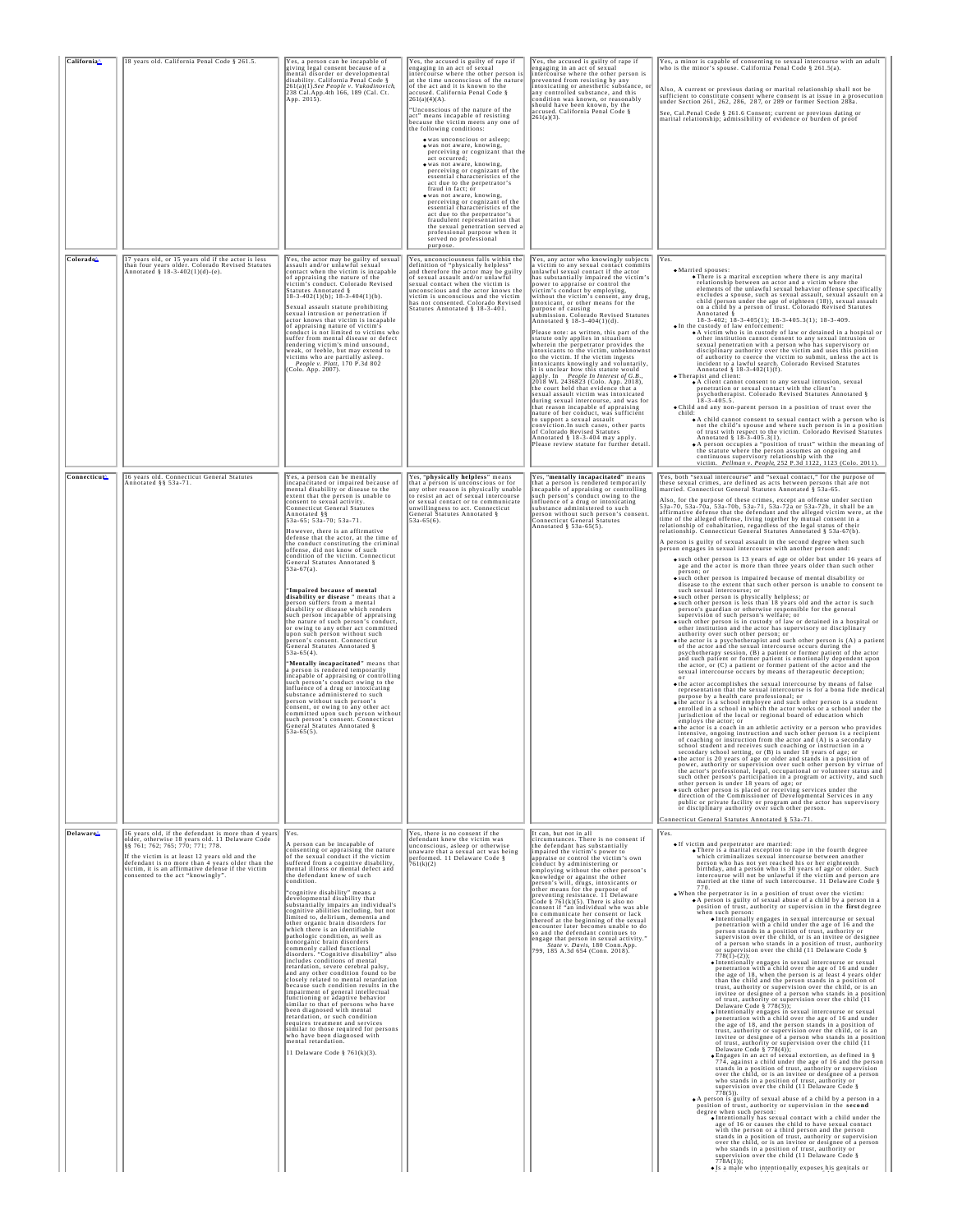| California^           | 18 years old. California Penal Code § 261.5.                                                                                                                                                                                                                                                                                               | Yes, a person can be incapable of<br>giving legal consent because of a<br>mental disorder or developmental<br>disability. California Penal Code §<br>261(a)(1).See People v. Vukodinovich,<br>238 Cal.App.4th 166, 189 (Cal. Ct.<br>App. 2015).                                                                                                                                                                                                                                                                                                                                                                                                                                                                                                                                                                                                                                                                                                                                                                                                                                                                                                                                                                                                                                                                                                  | Yes, the accused is guilty of rape if<br>engaging in an act of sexual<br>intercourse where the other person is<br>at the time unconscious of the nature<br>of the act and it is known to the<br>accused. California Penal Code §<br>261(a)(4)(A).<br>"Unconscious of the nature of the<br>act" means incapable of resisting<br>because the victim meets any one of<br>the following conditions:<br>· was unconscious or asleep:<br>· was not aware, knowing,<br>perceiving or cognizant that the<br>act occurred:<br>· was not aware, knowing,<br>perceiving or cognizant of the<br>essential characteristics of the<br>act due to the perpetrator's<br>fraud in fact; or<br>• was not aware, knowing,<br>perceiving or cognizant of the<br>essential characteristics of the<br>act due to the perpetrator's<br>fraudulent representation that<br>the sexual penetration served a<br>professional purpose when it<br>served no professional<br>purpose. | Yes, the accused is guilty of rape if<br>engaging in an act of sexual<br>intercourse where the other person is<br>prevented from resisting by any<br>intoxicating or anesthetic substance,<br>any controlled substance, and this<br>condition was known, or reasonably<br>should have been known, by the<br>accused. California Penal Code §<br>261(a)(3).                                                                                                                                                                                                                                                                                                                                                                                                                                                                                                                                                                                                                                                                                                                                                                                                                                        | Yes, a minor is capable of consenting to sexual intercourse with an adult<br>who is the minor's spouse. California Penal Code § 261.5(a).<br>Also, A current or previous dating or marital relationship shall not be<br>sufficient to constitute consent where consent is at issue in a prosecution under Section 261, 262, 286, 287, or 289 or former Section 288a.<br>See, Cal.Penal Code § 261.6 Consent; current or previous dating or<br>marital relationship; admissibility of evidence or burden of proof                                                                                                                                                                                                                                                                                                                                                                                                                                                                                                                                                                                                                                                                                                                                                                                                                                                                                                                                                                                                                                                                                                                                                                                                                                                                                                                                                                                                                                                                                                                                                                                                                                                                                                                                                                                                                                                                                                                                                                                                                                                                                                                                                                                                                                                                                                                                                                                                                                                                                                                                                                                                                                                                                                                                                                                                                                                                                                                                                               |
|-----------------------|--------------------------------------------------------------------------------------------------------------------------------------------------------------------------------------------------------------------------------------------------------------------------------------------------------------------------------------------|--------------------------------------------------------------------------------------------------------------------------------------------------------------------------------------------------------------------------------------------------------------------------------------------------------------------------------------------------------------------------------------------------------------------------------------------------------------------------------------------------------------------------------------------------------------------------------------------------------------------------------------------------------------------------------------------------------------------------------------------------------------------------------------------------------------------------------------------------------------------------------------------------------------------------------------------------------------------------------------------------------------------------------------------------------------------------------------------------------------------------------------------------------------------------------------------------------------------------------------------------------------------------------------------------------------------------------------------------|---------------------------------------------------------------------------------------------------------------------------------------------------------------------------------------------------------------------------------------------------------------------------------------------------------------------------------------------------------------------------------------------------------------------------------------------------------------------------------------------------------------------------------------------------------------------------------------------------------------------------------------------------------------------------------------------------------------------------------------------------------------------------------------------------------------------------------------------------------------------------------------------------------------------------------------------------------|---------------------------------------------------------------------------------------------------------------------------------------------------------------------------------------------------------------------------------------------------------------------------------------------------------------------------------------------------------------------------------------------------------------------------------------------------------------------------------------------------------------------------------------------------------------------------------------------------------------------------------------------------------------------------------------------------------------------------------------------------------------------------------------------------------------------------------------------------------------------------------------------------------------------------------------------------------------------------------------------------------------------------------------------------------------------------------------------------------------------------------------------------------------------------------------------------|--------------------------------------------------------------------------------------------------------------------------------------------------------------------------------------------------------------------------------------------------------------------------------------------------------------------------------------------------------------------------------------------------------------------------------------------------------------------------------------------------------------------------------------------------------------------------------------------------------------------------------------------------------------------------------------------------------------------------------------------------------------------------------------------------------------------------------------------------------------------------------------------------------------------------------------------------------------------------------------------------------------------------------------------------------------------------------------------------------------------------------------------------------------------------------------------------------------------------------------------------------------------------------------------------------------------------------------------------------------------------------------------------------------------------------------------------------------------------------------------------------------------------------------------------------------------------------------------------------------------------------------------------------------------------------------------------------------------------------------------------------------------------------------------------------------------------------------------------------------------------------------------------------------------------------------------------------------------------------------------------------------------------------------------------------------------------------------------------------------------------------------------------------------------------------------------------------------------------------------------------------------------------------------------------------------------------------------------------------------------------------------------------------------------------------------------------------------------------------------------------------------------------------------------------------------------------------------------------------------------------------------------------------------------------------------------------------------------------------------------------------------------------------------------------------------------------------------------------------------------------------------------------------------------------------------------------------------------------------------------------------------------------------------------------------------------------------------------------------------------------------------------------------------------------------------------------------------------------------------------------------------------------------------------------------------------------------------------------------------------------------------------------------------------------------------------------------------------------------|
| <b>Colorado</b>       | 17 years old, or 15 years old if the actor is less<br>than four years older. Colorado Revised Statutes<br>Annotated § 18-3-402(1)(d)-(e).                                                                                                                                                                                                  | Yes, the actor may be guilty of sexual<br>assault and/or unlawful sexual<br>contact when the victim is incapable<br>of appraising the nature of the<br>victim's conduct. Colorado Revised<br>Statutes Annotated §<br>$18-3-402(1)(b); 18-3-404(1)(b).$<br>Sexual assault statute prohibiting<br>sexual intrusion or penetration if<br>actor knows that victim is incapable<br>of appraising nature of victim's<br>conduct is not limited to victims who<br>suffer from mental disease or defect<br>rendering victim's mind unsound,<br>weak, or feeble, but may extend to<br>victims who are partially asleep.<br>People v. Platt, 170 P.3d 802<br>(Colo. App. 2007).                                                                                                                                                                                                                                                                                                                                                                                                                                                                                                                                                                                                                                                                            | Yes, unconsciousness falls within the<br>definition of "physically helpless"<br>and therefore the actor may be guilty<br>of sexual assault and/or unlawful<br>sexual contact when the victim is<br>unconscious and the actor knows the<br>victim is unconscious and the victim<br>has not consented. Colorado Revised<br>Statutes Annotated § 18-3-401.                                                                                                                                                                                                                                                                                                                                                                                                                                                                                                                                                                                                 | Yes, any actor who knowingly subjects<br>a victim to any sexual contact commits<br>unlawful sexual contact if the actor<br>has substantially impaired the victim'<br>power to appraise or control the<br>victim's conduct by employing,<br>without the victim's consent, any drug<br>intoxicant, or other means for the<br>purpose of causing<br>submission. Colorado Revised Statutes<br>Annotated § 18-3-404(1)(d).<br>Please note: as written, this part of the<br>statute only applies in situations<br>wherein the perpetrator provides the<br>intoxicants to the victim, unbeknownst<br>to the victim. If the victim ingests<br>intoxicants knowingly and voluntarily,<br>it is unclear how this statute would<br>apply. In People In Interest of G.B.,<br>2018 WL 2436823 (Colo. App. 2018), the court held that evidence that a<br>sexual assault victim was intoxicated<br>during sexual intercourse, and was for<br>that reason incapable of appraising<br>nature of her conduct, was sufficient<br>to support a sexual assault<br>conviction.In such cases, other parts<br>of Colorado Revised Statutes<br>Annotated § 18-3-404 may apply.<br>Please review statute for further detail | Yes.<br>$\begin{tabular}{ll} \bullet \textbf{Married spouses:} \\ \bullet \textbf{There is a marital exception where there is any marital} \end{tabular}$<br>relationship between an actor and a victim where the<br>elements of the unlawful sexual behavior offense specifically<br>excludes a spouse, such as sexual assault, sexual assault on a<br>child (person under the age of eighteen (18)), sexual assault<br>on a child by a person of trust. Colorado Revised Statutes<br>on a universe of $18-3-402$ ; 18-3-405(1); 18-3-405.3(1); 18-3-409.<br>18-3-402; 18-3-405(1); 18-3-405.3(1); 18-3-409.<br>$\bullet$ In the custody of law enforcement:<br>$\bullet$ A victim who is in custody of law or detained in a hospital or<br>other institution cannot consent to any sexual intrusion or<br>sexual penetration with a person who has supervisory or<br>disciplinary authority over the victim and uses this position<br>of authority to coerce the victim to submit, unless the act is<br>incident to a lawful search. Colorado Revised Statutes<br>Annotated § 18-3-402(1)(f).<br>. Therapist and client:<br>A client cannot consent to any sexual intrusion, sexual<br>penetration or sexual contact with the client's<br>psychotherapist. Colorado Revised Statutes Annotated §<br>$18 - 3 - 405.5$ .<br>. Child and any non-parent person in a position of trust over the<br>child:<br>• A child cannot consent to sexual contact with a person who is<br>not the child's spouse and where such person is in a position<br>of trust with respect to the victim. Colorado Revised Statutes<br>Annotated § 18-3-405.3(1).<br>• A person occupies a "position of trust" within the meaning of<br>the statute where the person assumes an ongoing and<br>continuous supervisory relationship with the<br>victim. Pellman v. People, 252 P.3d 1122, 1123 (Colo. 2011).                                                                                                                                                                                                                                                                                                                                                                                                                                                                                                                                                                                                                                                                                                                                                                                                                                                                                                                                                                                                                                                                                                                                                                                                                                                                                                                                                                                                                                                                                                                                                                                          |
| <b>Connecticut</b>    | 16 years old. Connecticut General Statutes<br>Annotated §§ 53a–71.                                                                                                                                                                                                                                                                         | Yes, a person can be mentally<br>incapacitated or impaired because of<br>mental disability or disease to the<br>extent that the person is unable to<br>consent to sexual activity.<br><b>Connecticut General Statutes</b><br>Annotated §§<br>53a-65; 53a-70; 53a-71.<br>However, there is an affirmative<br>defense that the actor, at the time of<br>the conduct constituting the criminal<br>offense, did not know of such<br>condition of the victim. Connecticut<br>General Statutes Annotated §<br>53a-67(a).<br>"Impaired because of mental<br>disability or disease " means that a<br>person suffers from a mental<br>disability or disease which renders<br>such person incapable of appraising<br>the nature of such person's conduct,<br>or owing to any other act committed<br>upon such person without such<br>person's consent. Connecticut<br>General Statutes Annotated §<br>$53a-65(4)$ .<br>"Mentally incapacitated" means that<br>a person is rendered temporarily<br>incapable of appraising or controlling<br>such person's conduct owing to the<br>influence of a drug or intoxicating<br>substance administered to such<br>person without such person's<br>consent, or owing to any other act<br>committed upon such person without<br>such person's consent. Connecticut<br>General Statutes Annotated §<br>$53a-65(5)$ . | Yes, "physically helpless" means<br>that a person is unconscious or for<br>any other reason is physically unable<br>to resist an act of sexual intercourse<br>or sexual contact or to communicate<br>unwillingness to act. Connecticut<br>General Statutes Annotated §<br>$53a-65(6)$ .                                                                                                                                                                                                                                                                                                                                                                                                                                                                                                                                                                                                                                                                 | Yes, "mentally incapacitated" means<br>that a person is rendered temporarily<br>incapable of appraising or controlling<br>such person's conduct owing to the<br>influence of a drug or intoxicating<br>substance administered to such<br>person without such person's consent<br><b>Connecticut General Statutes</b><br>Annotated § $53a-65(5)$ .                                                                                                                                                                                                                                                                                                                                                                                                                                                                                                                                                                                                                                                                                                                                                                                                                                                 | Yes, both "sexual intercourse" and "sexual contact," for the purpose of<br>these sexual crimes, are defined as acts between persons that are not<br>married. Connecticut General Statutes Annotated § 53a-65.<br>Also, for the purpose of these crimes, except an offense under section<br>$53a-70$ , $53a-70a$ , $53a-70b$ , $53a-71$ , $53a-72a$ or $53a-72b$ , it shall be an affirmative defense that the defendant and the alleged victim were, at the<br>time of the alleged offense, living together by mutual consent in a<br>relationship of cohabitation, regardless of the legal status of their<br>relationship. Connecticut General Statutes Annotated § 53a-67(b)<br>A person is guilty of sexual assault in the second degree when such<br>person engages in sexual intercourse with another person and:<br>• such other person is 13 years of age or older but under 16 years of age and the actor is more than three years older than such other<br>person; or<br>• such other person is impaired because of mental disability or<br>disease to the extent that such other person is unable to consent to<br>such sexual intercourse; or<br>• such other person is physically helpless; or<br>• such other person is less than 18 years old and the actor is such<br>person's guardian or otherwise responsible for the general<br>supervision of such person's welfare; or<br>• such other person is in custody of law or detained in a hospital or<br>other institution and the actor has supervisory or disciplinary<br>authority over such other person; or<br>$\bullet$ the actor is a psychotherapist and such other person is (A) a patient<br>of the actor and the sexual intercourse occurs during the<br>psychotherapy session, (B) a patient or former patient of the actor<br>and such patient or former patient is emotionally dependent upon<br>the actor, or (C) a patient or former patient of the actor and the<br>sexual intercourse occurs by means of therapeutic deception;<br>$\bullet$ the actor accomplishes the sexual intercourse by means of false<br>representation that the sexual intercourse is for a bona fide medical<br>purpose by a health care professional; or<br>o the actor is a school employee and such other person is a student<br>enrolled in a school in which the actor works or a school under the jurisdiction of the local or regional board of education which<br>employs the actor; or<br>• the actor is a coach in an athletic activity or a person who provides<br>intensive, ongoing instruction and such other person is a recipient<br>of coaching or instruction from the actor and (A) is a secondary<br>school student and receives such coaching or instruction in a<br>secondary school setting, or (B) is under 18 years of age; or<br>. the actor is 20 years of age or older and stands in a position of<br>power, authority or supervision over such other person by virtue of<br>the actor's professional, legal, occupational or volunteer status and<br>such other person's participation in a program or activity, and such<br>other person is under 18 years of age; or<br>• such other person is placed or receiving services under the<br>direction of the Commissioner of Developmental Services in any<br>public or private facility or program and the actor has supervisory or disciplinary authority over such other person.<br>Connecticut General Statutes Annotated § 53a-71. |
| Delaware <sup>1</sup> | 16 years old, if the defendant is more than 4 years<br>older, otherwise 18 years old. 11 Delaware Code<br>§§ 761; 762; 765; 770; 771; 778.<br>If the victim is at least 12 years old and the<br>defendant is no more than 4 years older than the<br>victim, it is an affirmative defense if the victim<br>consented to the act "knowingly" | Yes.<br>A person can be incapable of<br>consenting or appraising the nature<br>of the sexual conduct if the victim<br>suffered from a cognitive disability,<br>nental illness or mental defect and<br>the defendant knew of such<br>condition.<br>"cognitive disability" means a<br>developmental disability that<br>substantially impairs an individual's<br>cognitive abilities including, but not<br>limited to, delirium, dementia and<br>lother organic brain disorders for<br>which there is an identifiable<br>pathologic condition, as well as<br>nonorganic brain disorders<br>commonly called functional<br>disorders. "Cognitive disability" also<br>includes conditions of mental<br>retardation, severe cerebral palsy,<br>and any other condition found to be<br>closely related to mental retardation<br>because such condition results in the<br>impairment of general intellectual<br>functioning or adaptive behavior<br>similar to that of persons who have<br>been diagnosed with mental<br>retardation, or such condition<br>requires treatment and services<br>similar to those required for persons<br>who have been diagnosed with<br>mental retardation.<br>11 Delaware Code § 761(k)(3).                                                                                                                               | Yes, there is no consent if the<br>defendant knew the victim was<br>unconscious, asleep or otherwise<br>unaware that a sexual act was being<br>performed. 11 Delaware Code §<br>761(k)(2)                                                                                                                                                                                                                                                                                                                                                                                                                                                                                                                                                                                                                                                                                                                                                               | It can, but not in all<br>circumstances. There is no consent if<br>the defendant has substantially<br>impaired the victim's power to<br>appraise or control the victim's own<br>conduct by administering or<br>employing without the other person's<br>knowledge or against the other<br>person's will, drugs, intoxicants or<br>other means for the purpose of<br>preventing resistance. 11 Delaware<br>Code § 761(k)(5). There is also no<br>consent if "an individual who was able<br>to communicate her consent or lack<br>thereof at the beginning of the sexual<br>encounter later becomes unable to do<br>so and the defendant continues to<br>engage that person in sexual activity.<br>State v. Davis, 180 Conn. App.<br>799, 185 A.3d 654 (Conn. 2018).                                                                                                                                                                                                                                                                                                                                                                                                                                 | Yes.<br>· If victim and perpetrator are married:<br>. There is a marital exception to rape in the fourth degree<br>which criminalizes sexual intercourse between another<br>person who has not yet reached his or her eighteenth<br>birthday, and a person who is 30 years of age or older. Such<br>intercourse will not be unlawful if the victim and person are<br>married at the time of such intercourse. 11 Delaware Code &<br>. When the perpetrator is in a position of trust over the victim:<br>A person is guilty of sexual abuse of a child by a person in a position of trust, authority or supervision in the first degree<br>when such person:<br>• Intentionally engages in sexual intercourse or sexual<br>penetration with a child under the age of 16 and the<br>person stands in a position of trust, authority or<br>supervision over the child, or is an invitee or designee<br>of a person who stands in a position of trust, authority<br>or supervision over the child (11 Delaware Code §<br>$778(1)-(2)$ :<br>. Intentionally engages in sexual intercourse or sexual<br>penetration with a child over the age of 16 and under<br>the age of 18, when the person is at least 4 years older<br>than the child and the person stands in a position of<br>trust, authority or supervision over the child, or is an<br>invitee or designee of a person who stands in a position<br>of trust, authority or supervision over the child (11<br>Delaware Code § 778(3));<br>• Intentionally engages in sexual intercourse or sexual<br>penetration with a child over the age of 16 and under<br>the age of 18, and the person stands in a position of<br>trust, authority or supervision over the child, or is an<br>invitee or designee of a person who stands in a position<br>of trust, authority or supervision over the child (11<br>Delaware Code $\S$ 778(4)):<br>· Engages in an act of sexual extortion, as defined in §<br>774, against a child under the age of 16 and the person<br>stands in a position of trust, authority or supervision<br>over the child, or is an invitee or designee of a person<br>who stands in a position of trust, authority or<br>supervision over the child (11 Delaware Code § 778(5)).<br>. A person is guilty of sexual abuse of a child by a person in a<br>position of trust, authority or supervision in the second degree when such person:<br>. Intentionally has sexual contact with a child under the<br>age of 16 or causes the child to have sexual contact<br>with the person or a third person and the person<br>stands in a position of trust, authority or supervision<br>over the child, or is an invitee or designee of a person<br>who stands in a position of trust, authority or<br>supervision over the child (11 Delaware Code §<br>778A(1)):<br>· Is a male who intentionally exposes his genitals or                                                                                                                                                                                                                                                                                                                                                                                                                                                                                                                                                                                       |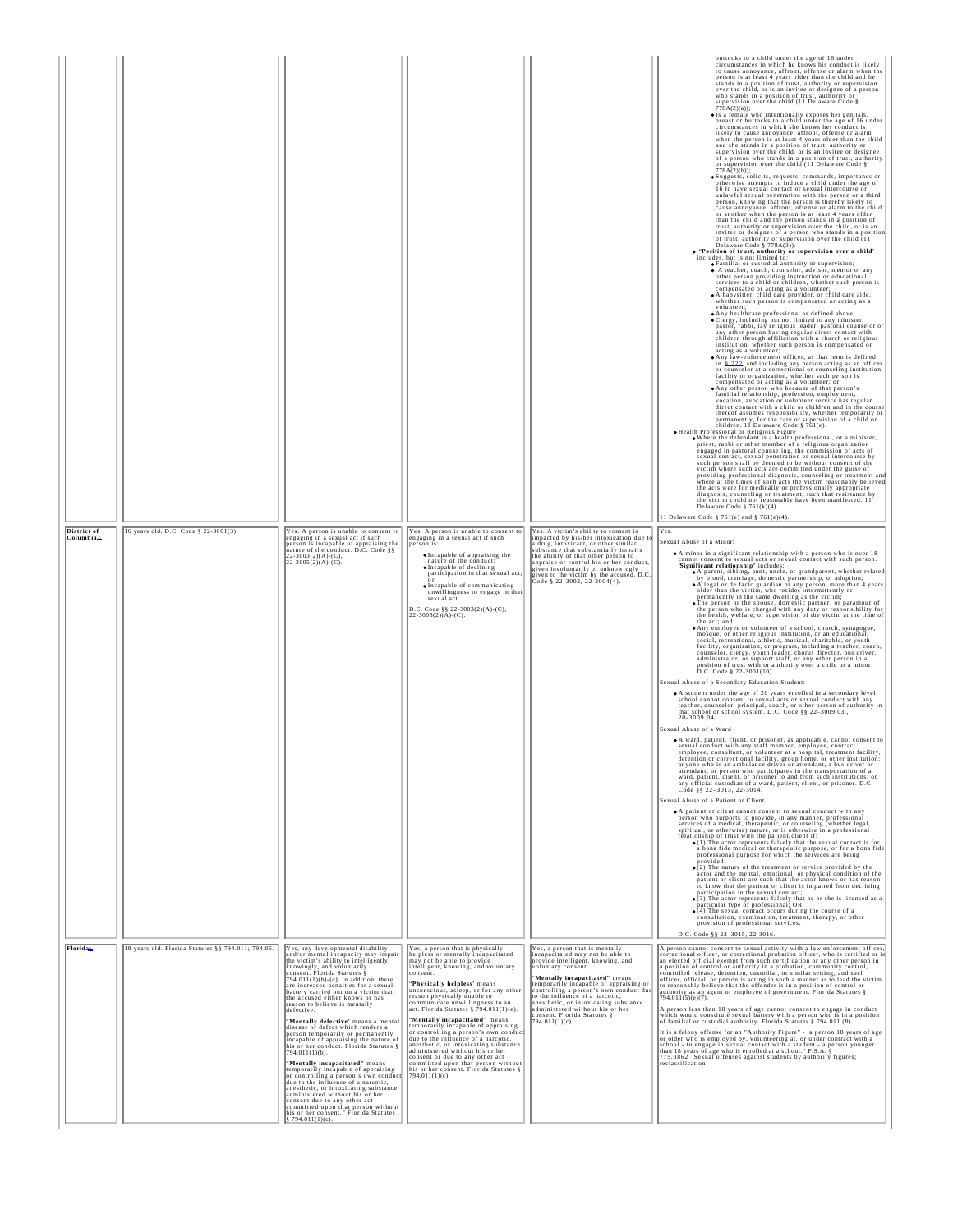|                                      |                                                    |                                                                                                                                                                                                                                                                                                                                                                                                                                                                                                                                                                                                                                                                                                                                                                                                                                                                                                                                                                                         |                                                                                                                                                                                                                                                                                                                                                                                                                                                                                                                                                                                                                                                                                                                       |                                                                                                                                                                                                                                                                                                                                                                                                                     | buttocks to a child under the age of 16 under<br>circumstances in which he knows his conduct is likely<br>to cause annoyance, affront, offense or alarm when the<br>person is at least 4 years older than the child and he<br>stands in a position of trust, authority or supervision<br>over the child, or is an invitee or designee of a person<br>who stands in a position of trust, authority or<br>supervision over the child (11 Delaware Code $\S$<br>778A(2)(a));<br>· Is a female who intentionally exposes her genitals,<br>breast or buttocks to a child under the age of 16 under<br>circumstances in which she knows her conduct is<br>likely to cause annoyance, affront, offense or alarm<br>when the person is at least 4 years older than the child<br>and she stands in a position of trust, authority or<br>supervision over the child, or is an invitee or designee<br>of a person who stands in a position of trust, authority<br>or supervision over the child (11 Delaware Code $\S$<br>$778A(2)(b)$ ;<br>Suggests, solicits, requests, commands, importunes or<br>otherwise attempts to induce a child under the age of<br>16 to have sexual contact or sexual intercourse or<br>unlawful sexual penetration with the person or a third<br>person, knowing that the person is thereby likely to<br>cause annoyance, affront, offense or alarm to the child<br>or another when the person is at least 4 years older<br>than the child and the person stands in a position of<br>trust, authority or supervision over the child, or is an<br>invitee or designee of a person who stands in a position<br>of trust, authority or supervision over the child (11<br>Delaware Code § $778A(3)$ ).<br>. "Position of trust, authority or supervision over a child" includes, but is not limited to:<br>· Familial or custodial authority or supervision;<br>A teacher, coach, counselor, advisor, mentor or any<br>other person providing instruction or educational<br>services to a child or children, whether such person is<br>compensated or acting as a volunteer;<br>• A babysitter, child care provider, or child care aide,<br>whether such person is compensated or acting as a<br>volunteer;<br>• Any healthcare professional as defined above;<br>. Clergy, including but not limited to any minister,<br>pastor, rabbi, lay religious leader, pastoral counselor or<br>any other person having regular direct contact with<br>children through affiliation with a church or religious<br>institution, whether such person is compensated or<br>acting as a volunteer;<br>. Any law-enforcement officer, as that term is defined<br>in \$222, and including any person acting as an officer<br>or counselor at a correctional or counseling institution,<br>facility or organization, whether such person is<br>compensated or acting as a volunteer; or<br>• Any other person who because of that person's<br>familial relationship, profession, employment,<br>vocation, avocation or volunteer service has regular<br>direct contact with a child or children and in the course<br>thereof assumes responsibility, whether temporarily or<br>permanently, for the care or supervision of a child or<br>children. 11 Delaware Code § 761(e).<br>. Health Professional or Religious Figure<br>. Where the defendant is a health professional, or a minister, priest, rabbi or other member of a religious organization<br>engaged in pastoral counseling, the commission of acts of<br>sexual contact, sexual penetration or sexual intercourse by<br>such person shall be deemed to be without consent of the<br>victim where such acts are committed under the guise of<br>providing professional diagnosis, counseling or treatment and<br>where at the times of such acts the victim reasonably believed<br>the acts were for medically or professionally appropriate<br>diagnosis, counseling or treatment, such that resistance by<br>the victim could not reasonably have been manifested. 11<br>Delaware Code § $761(k)(4)$ .<br>11 Delaware Code § 761(e) and § 761(e)(4). |
|--------------------------------------|----------------------------------------------------|-----------------------------------------------------------------------------------------------------------------------------------------------------------------------------------------------------------------------------------------------------------------------------------------------------------------------------------------------------------------------------------------------------------------------------------------------------------------------------------------------------------------------------------------------------------------------------------------------------------------------------------------------------------------------------------------------------------------------------------------------------------------------------------------------------------------------------------------------------------------------------------------------------------------------------------------------------------------------------------------|-----------------------------------------------------------------------------------------------------------------------------------------------------------------------------------------------------------------------------------------------------------------------------------------------------------------------------------------------------------------------------------------------------------------------------------------------------------------------------------------------------------------------------------------------------------------------------------------------------------------------------------------------------------------------------------------------------------------------|---------------------------------------------------------------------------------------------------------------------------------------------------------------------------------------------------------------------------------------------------------------------------------------------------------------------------------------------------------------------------------------------------------------------|--------------------------------------------------------------------------------------------------------------------------------------------------------------------------------------------------------------------------------------------------------------------------------------------------------------------------------------------------------------------------------------------------------------------------------------------------------------------------------------------------------------------------------------------------------------------------------------------------------------------------------------------------------------------------------------------------------------------------------------------------------------------------------------------------------------------------------------------------------------------------------------------------------------------------------------------------------------------------------------------------------------------------------------------------------------------------------------------------------------------------------------------------------------------------------------------------------------------------------------------------------------------------------------------------------------------------------------------------------------------------------------------------------------------------------------------------------------------------------------------------------------------------------------------------------------------------------------------------------------------------------------------------------------------------------------------------------------------------------------------------------------------------------------------------------------------------------------------------------------------------------------------------------------------------------------------------------------------------------------------------------------------------------------------------------------------------------------------------------------------------------------------------------------------------------------------------------------------------------------------------------------------------------------------------------------------------------------------------------------------------------------------------------------------------------------------------------------------------------------------------------------------------------------------------------------------------------------------------------------------------------------------------------------------------------------------------------------------------------------------------------------------------------------------------------------------------------------------------------------------------------------------------------------------------------------------------------------------------------------------------------------------------------------------------------------------------------------------------------------------------------------------------------------------------------------------------------------------------------------------------------------------------------------------------------------------------------------------------------------------------------------------------------------------------------------------------------------------------------------------------------------------------------------------------------------------------------------------------------------------------------------------------------------------------------------------------------------------------------------------------------------------------------------------------------------------------------------------------------------------------------------------------------------------------------------------------------------------------------------------------------------------------------------------------------------------------------------------------------------------|
| District of<br>Columbia <sup>1</sup> | 16 years old. D.C. Code § 22-3001(3).              | Yes. A person is unable to consent to<br>engaging in a sexual act if such<br>person is incapable of appraising the<br>nature of the conduct. $D.C. Code$ §§<br>22-3003(2)(A)-(C),<br>$22-3005(2)(A)-(C)$ .                                                                                                                                                                                                                                                                                                                                                                                                                                                                                                                                                                                                                                                                                                                                                                              | Yes. A person is unable to consent to<br>engaging in a sexual act if such<br>person is:<br><b>•</b> Incapable of appraising the<br>nature of the conduct;<br>• Incapable of declining<br>participation in that sexual act;<br>· Incapable of communicating<br>unwillingness to engage in that<br>sexual act<br>D.C. Code §§ 22-3003(2)(A)-(C),<br>$22-3005(2)(A)-(C)$ .                                                                                                                                                                                                                                                                                                                                               | Yes. A victim's ability to consent is<br>impacted by his/her intoxication due t<br>a drug, intoxicant, or other similar<br>substance that substantially impairs<br>the ability of that other person to<br>appraise or control his or her conduct<br>given involuntarily or unknowingly<br>given to the victim by the accused. D.C<br>Code § 22-3002, 22-3004(4).                                                    | Yes.<br>Sexual Abuse of a Minor:<br>• A minor in a significant relationship with a person who is over 18<br>cannot consent to sexual acts or sexual contact with such person.<br>'Significant relationship'' includes:<br>A parent, sibling, aunt, uncle, or grandparent, whether related<br>by blood, marriage, domestic partnership, or adoption;<br>• A legal or de facto guardian or any person, more than 4 years<br>older than the victim, who resides intermittently or<br>permanently in the same dwelling as the victim;<br>• The person or the spouse, domestic partner, or paramour of<br>the person who is charged with any duty or responsibility for<br>the health, welfare, or supervision of the victim at the time of<br>the act; and<br>• Any employee or volunteer of a school, church, synagogue,<br>mosque, or other religious institution, or an educational,<br>social, recreational, athletic, musical, charitable, or youth<br>facility, organization, or program, including a teacher, coach,<br>counselor, clergy, youth leader, chorus director, bus driver,<br>administrator, or support staff, or any other person in a<br>position of trust with or authority over a child or a minor.<br>D.C. Code § 22-3001(10).<br>Sexual Abuse of a Secondary Education Student:<br>• A student under the age of 20 years enrolled in a secondary level<br>school cannot consent to sexual acts or sexual conduct with any teacher, counselor, principal, coach, or other person of authority in<br>that school or school system. D.C. Code §§ 22-3009.03.,<br>20-3009.04<br>Sexual Abuse of a Ward<br>· A ward, patient, client, or prisoner, as applicable, cannot consent to<br>sexual conduct with any staff member, employee, contract<br>employee, consultant, or volunteer at a hospital, treatment facility.<br>detention or correctional facility, group home, or other institution;<br>anyone who is an ambulance driver or attendant, a bus driver or attendant, or person who participates in the transportation of a<br>ward, patient, client, or prisoner to and from such institutions; or<br>any official custodian of a ward, patient, client, or prisoner. D.C. Code §§ 22-3013, 22-3014.<br>Sexual Abuse of a Patient or Client<br>• A patient or client cannot consent to sexual conduct with any person who purports to provide, in any manner, professional<br>services of a medical, therapeutic, or counseling (whether legal,<br>spiritual, or otherwise) nature, or is otherwise in a professional relationship of trust with the patient/client if:<br>$\bullet$ (1) The actor represents falsely that the sexual contact is for<br>a bona fide medical or therapeutic purpose, or for a bona fide<br>professional purpose for which the services are being<br>provided;<br>$\bullet$ (2) The nature of the treatment or service provided by the actor and the mental, emotional, or physical condition of the<br>patient or client are such that the actor knows or has reason<br>to know that the patient or client is impaired from declining<br>participation in the sexual contact;<br>$\bullet$ (3) The actor represents falsely that he or she is licensed as a<br>particular type of professional; OR<br>• (4) The sexual contact occurs during the course of a<br>consultation, examination, treatment, therapy, or other<br>provision of professional services.<br>D.C. Code §§ 22-3015, 22-3016.                                                                                                                                                                                                                                                                                                                                                                                                                                                                                                                                                                                                                                                          |
| Florida <sup>^</sup>                 | 18 years old. Florida Statutes §§ 794.011; 794.05. | Yes, any developmental disability<br>and/or mental incapacity may impai<br>the victim's ability to intelligently,<br>knowingly, and voluntarily<br>consent. Florida Statutes §<br>794.011(1)(b)-(c). In addition, there<br>are increased penalties for a sexual<br>battery carried out on a victim that<br>the accused either knows or has<br>reason to believe is mentally<br>defective.<br>"Mentally defective" means a mental<br>disease or defect which renders a<br>person temporarily or permanently<br>incapable of appraising the nature of<br>his or her conduct. Florida Statutes §<br>794.011(1)(b).<br>"Mentally incapacitated" means<br>temporarily incapable of appraising<br>or controlling a person's own conduct<br>due to the influence of a narcotic,<br>anesthetic, or intoxicating substance<br>administered without his or her<br>consent due to any other act<br>committed upon that person without<br>is or her consent." Florida Statutes<br>$794.011(1)(c)$ . | Yes, a person that is physically<br>helpless or mentally incapacitated<br>may not be able to provide<br>intelligent, knowing, and voluntary<br>consent.<br>"Physically helpless" means<br>unconscious, asleep, or for any other<br>reason physically unable to<br>communicate unwillingness to an<br>act. Florida Statutes § 794.011(1)(e).<br>'Mentally incapacitated" means<br>temporarily incapable of appraising<br>or controlling a person's own conduct<br>due to the influence of a narcotic,<br>anesthetic, or intoxicating substance<br>administered without his or her<br>consent or due to any other act<br>committed upon that person without<br>his or her consent. Florida Statutes §<br>794.011(1)(c). | Yes, a person that is mentally<br>incapacitated may not be able to<br>provide intelligent, knowing, and<br>voluntary consent.<br>"Mentally incapacitated" means<br>temporarily incapable of appraising or<br>controlling a person's own conduct due<br>to the influence of a narcotic,<br>anesthetic, or intoxicating substance<br>administered without his or her<br>consent. Florida Statutes §<br>794.011(1)(c). | A person cannot consent to sexual activity with a law enforcement officer,<br>correctional officer, or correctional probation officer, who is certified or is<br>an elected official exempt from such certification or any other person in<br>a position of control or authority in a probation, community control,<br>controlled release, detention, custodial, or similar setting, and such<br>officer, official, or person is acting in such a manner as to lead the victim<br>to reasonably believe that the offender is in a position of control or<br>authority as an agent or employee of government. Florida Statutes §<br>794.011(5)(e)(7).<br>A person less than 18 years of age cannot consent to engage in conduct<br>which would constitute sexual battery with a person who is in a position<br>of familial or custodial authority. Florida Statutes § 794.011 (8).<br>It is a felony offense for an "Authority Figure" - a person 18 years of age<br>or older who is employed by, volunteering at, or under contract with a<br>school - to engage in sexual contact with a student - a person younger than 18 years of age who is enrolled at a school." F.S.A. §<br>775.0862 Sexual offenses against students by authority figures;<br>reclassification                                                                                                                                                                                                                                                                                                                                                                                                                                                                                                                                                                                                                                                                                                                                                                                                                                                                                                                                                                                                                                                                                                                                                                                                                                                                                                                                                                                                                                                                                                                                                                                                                                                                                                                                                                                                                                                                                                                                                                                                                                                                                                                                                                                                                                                                                                                                                                                                                                                                                                                                                                                                                                                                                                                                                                                                                                            |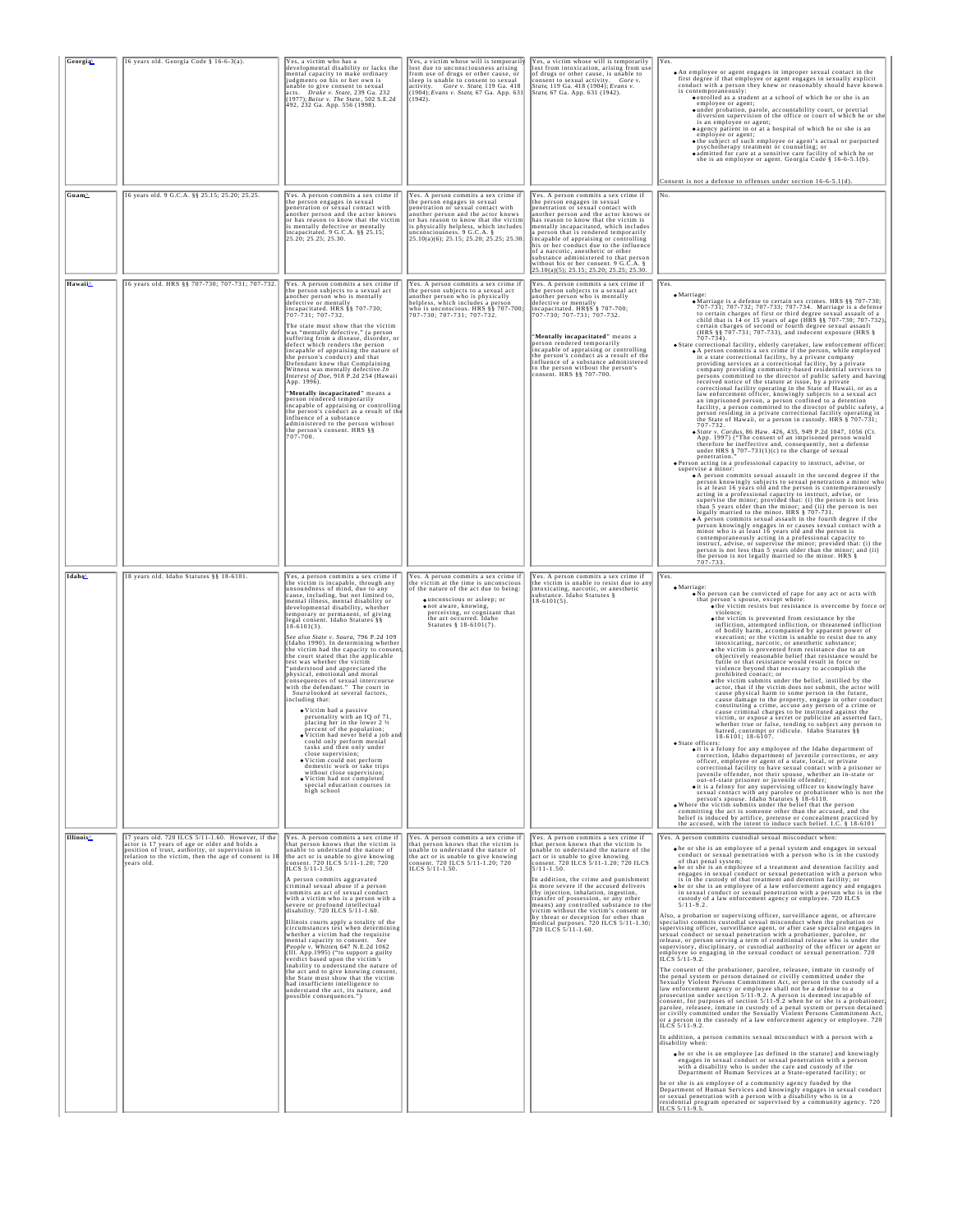| Georgia               | 16 years old. Georgia Code § 16-6-3(a).                                                                                                                                                                                      | Yes, a victim who has a<br>developmental disability or lacks the<br>mental capacity to make ordinary<br>judgments on his or her own is<br>unable to give consent to sexual<br>acts. Drake v. State, 239 Ga. 232<br>(1977); Baise v. The State, 502 S.E.2d<br>492, 232 Ga. App. 556 (1998).                                                                                                                                                                                                                                                                                                                                                                                                                                                                                                                                                                                                                                                                                                                                                                                                                                                                  | Yes, a victim whose will is temporarily<br>lost due to unconsciousness arising<br>from use of drugs or other cause, or<br>sleep is unable to consent to sexual<br>activity. Gore v. State, 119 Ga. 418<br>(1904); Evans v. State, 67 Ga. App. 631<br>(1942).                                                   | Yes, a victim whose will is temporarily<br>lost from intoxication, arising from use<br>of drugs or other cause, is unable to<br>consent to sexual activity. Gore v.<br>State, 119 Ga. 418 (1904); Evans v.<br>State, 67 Ga. App. 631 (1942).                                                                                                                                                                                                                                                                                                                                       | Yes.<br>• An employee or agent engages in improper sexual contact in the<br>first degree if that employee or agent engages in sexually explicit conduct with a person they knew or reasonably should have known<br>is contemporaneously:<br>• enrolled as a student at a school of which he or she is an employee or agent;<br>o under probation, parole, accountability court, or pretrial<br>diversion supervision of the office or court of which he or she<br>is an employee or agent;<br>· agency patient in or at a hospital of which he or she is an<br>employee or agent;<br>• the subject of such employee or agent's actual or purported<br>psychotherapy treatment or counseling; or<br>• admitted for care at a sensitive care facility of which he or<br>she is an employee or agent. Georgia Code $\S 16-6-5.1(b)$ .<br>Consent is not a defense to offenses under section 16-6-5.1(d).                                                                                                                                                                                                                                                                                                                                                                                                                                                                                                                                                                                                                                                                                                                                                                                                                                                                                                                                                                                                                                                                                                                                                                                                                                                                                                                                                                                                                                                                                                                                                                                                                                                                                                 |
|-----------------------|------------------------------------------------------------------------------------------------------------------------------------------------------------------------------------------------------------------------------|-------------------------------------------------------------------------------------------------------------------------------------------------------------------------------------------------------------------------------------------------------------------------------------------------------------------------------------------------------------------------------------------------------------------------------------------------------------------------------------------------------------------------------------------------------------------------------------------------------------------------------------------------------------------------------------------------------------------------------------------------------------------------------------------------------------------------------------------------------------------------------------------------------------------------------------------------------------------------------------------------------------------------------------------------------------------------------------------------------------------------------------------------------------|----------------------------------------------------------------------------------------------------------------------------------------------------------------------------------------------------------------------------------------------------------------------------------------------------------------|------------------------------------------------------------------------------------------------------------------------------------------------------------------------------------------------------------------------------------------------------------------------------------------------------------------------------------------------------------------------------------------------------------------------------------------------------------------------------------------------------------------------------------------------------------------------------------|-------------------------------------------------------------------------------------------------------------------------------------------------------------------------------------------------------------------------------------------------------------------------------------------------------------------------------------------------------------------------------------------------------------------------------------------------------------------------------------------------------------------------------------------------------------------------------------------------------------------------------------------------------------------------------------------------------------------------------------------------------------------------------------------------------------------------------------------------------------------------------------------------------------------------------------------------------------------------------------------------------------------------------------------------------------------------------------------------------------------------------------------------------------------------------------------------------------------------------------------------------------------------------------------------------------------------------------------------------------------------------------------------------------------------------------------------------------------------------------------------------------------------------------------------------------------------------------------------------------------------------------------------------------------------------------------------------------------------------------------------------------------------------------------------------------------------------------------------------------------------------------------------------------------------------------------------------------------------------------------------------------------------------------------------------------------------------------------------------------------------------------------------------------------------------------------------------------------------------------------------------------------------------------------------------------------------------------------------------------------------------------------------------------------------------------------------------------------------------------------------------------------------------------------------------------------------------------------------------|
| Guam≙                 | 16 years old. 9 G.C.A. §§ 25.15; 25.20; 25.25.                                                                                                                                                                               | Yes. A person commits a sex crime if<br>the person engages in sexual<br>penetration or sexual contact with<br>another person and the actor knows<br>or has reason to know that the victim<br>is mentally defective or mentally<br>incapacitated. 9 G.C.A. §§ 25.15;<br>25.20; 25.25; 25.30.                                                                                                                                                                                                                                                                                                                                                                                                                                                                                                                                                                                                                                                                                                                                                                                                                                                                 | Yes. A person commits a sex crime if<br>the person engages in sexual<br>penetration or sexual contact with<br>another person and the actor knows<br>or has reason to know that the victim<br>is physically helpless, which includes<br>unconsciousness. 9 G.C.A. §<br>25.10(a)(6); 25.15; 25.20; 25.25; 25.30. | Yes. A person commits a sex crime if<br>the person engages in sexual<br>penetration or sexual contact with<br>another person and the actor knows or<br>has reason to know that the victim is<br>mentally incapacitated, which includes<br>a person that is rendered temporarily<br>incapable of appraising or controlling<br>his or her conduct due to the influence<br>of a narcotic, anesthetic or other<br>substance administered to that person<br>without his or her consent. 9 G.C.A. §<br>25.10(a)(5); 25.15; 25.20; 25.25; 25.30.                                          | INo.                                                                                                                                                                                                                                                                                                                                                                                                                                                                                                                                                                                                                                                                                                                                                                                                                                                                                                                                                                                                                                                                                                                                                                                                                                                                                                                                                                                                                                                                                                                                                                                                                                                                                                                                                                                                                                                                                                                                                                                                                                                                                                                                                                                                                                                                                                                                                                                                                                                                                                                                                                                                  |
| Hawaii                | 16 years old. HRS §§ 707-730; 707-731; 707-732.                                                                                                                                                                              | Yes. A person commits a sex crime if<br>the person subjects to a sexual act<br>another person who is mentally<br>defective or mentally<br>incapacitated. HRS §§ 707-730;<br>707-731; 707-732.<br>The state must show that the victim<br>was "mentally defective," (a person<br>suffering from a disease, disorder, o<br>defect which renders the person<br>incapable of appraising the nature of<br>the person's conduct) and that<br>Defendant knew that Complaining<br>Witness was mentally defective.In<br>Interest of Doe, 918 P.2d 254 (Hawaii<br>Арр. 1996).<br>"Mentally incapacitated" means a<br>person rendered temporarily<br>incapable of appraising or controlling<br>the person's conduct as a result of the<br>influence of a substance<br>administered to the person without<br>the person's consent. HRS §§<br>707-700.                                                                                                                                                                                                                                                                                                                    | Yes. A person commits a sex crime if<br>the person subjects to a sexual act<br>another person who is physically<br>helpless, which includes a person<br>who is unconscious. HRS §§ 707-700;<br>707-730; 707-731; 707-732.                                                                                      | Yes. A person commits a sex crime if<br>the person subjects to a sexual act<br>another person who is mentally<br>defective or mentally<br>incapacitated. HR§S § 707-700;<br>707-730; 707-731; 707-732.<br>"Mentally incapacitated" means a<br>person rendered temporarily<br>incapable of appraising or controlling<br>the person's conduct as a result of the<br>influence of a substance administered<br>to the person without the person's<br>consent. HRS §§ 707-700.                                                                                                          | Yes.<br>$•$ Marriage:<br>· Marriage is a defense to certain sex crimes. HRS §§ 707-730;<br>707-731; 707-732; 707-733; 707-734. Marriage is a defense to certain charges of first or third degree sexual assault of a<br>child that is 14 or 15 years of age (HRS §§ 707-730; 707-732).<br>certain charges of second or fourth degree sexual assault (HRS §§ 707-731; 707-733), and indecent exposure (HRS §<br>$707 - 734$ ).<br>• State correctional facility, elderly caretaker, law enforcement officer:<br>• A person commits a sex crime if the person, while employed<br>in a state correctional facility, by a private company<br>providing services at a correctional facility, by a private<br>company providing community-based residential services to<br>persons committed to the director of public safety and having<br>received notice of the statute at issue, by a private<br>correctional facility operating in the State of Hawaii, or as a<br>law enforcement officer, knowingly subjects to a sexual act<br>an imprisoned person, a person confined to a detention<br>facility, a person committed to the director of public safety, a<br>person residing in a private correctional facility operating in<br>the State of Hawaii, or a person in custody. HRS § 707-731;<br>707-732.<br>· State v. Cardus, 86 Haw. 426, 435, 949 P.2d 1047, 1056 (Ct.<br>App. 1997) ("The consent of an imprisoned person would therefore be ineffective and, consequently, not a defense<br>under HRS $§ 707-731(1)(c)$ to the charge of sexual<br>penetration."<br>Person acting in a professional capacity to instruct, advise, or<br>supervise a minor:<br>• A person commits sexual assault in the second degree if the person knowingly subjects to sexual penetration a minor who<br>is at least 16 years old and the person is contemporaneously<br>acting in a professional capacity to instruct, advise, or<br>supervise the minor; provided that: (i) the person is not less<br>than 5 years older than the minor; and (ii) the person is not<br>legally married to the minor. HRS $\S$ 707-731.<br>• A person commits sexual assault in the fourth degree if the<br>person knowingly engages in or causes sexual contact with a<br>minor who is at least 16 years old and the person is<br>contemporaneously acting in a professional capacity to<br>instruct, advise, or supervise the minor; provided that: (i) the<br>means, we supervise the minor; provided that: (i) the person is not less than 5 years older than the minor; and (ii) 107-733.                               |
| Idaho <sup>^</sup>    | 18 years old. Idaho Statutes §§ 18-6101.                                                                                                                                                                                     | Yes, a person commits a sex crime if<br>the victim is incapable, through any<br>unsoundness of mind, due to any<br>cause, including, but not limited to,<br>mental illness, mental disability or<br>developmental disability, whether<br>temporary or permanent, of giving<br>legal consent. Idaho Statutes §§<br>18-6101(3).<br>See also State v. Soura, 796 P.2d 109<br>(Idaho 1990). In determining whether<br>the victim had the capacity to consent<br>the court stated that the applicable<br>test was whether the victim<br>"understood and appreciated the<br>physical, emotional and moral<br>consequences of sexual intercourse<br>with the defendant." The court in<br>Soura looked at several factors,<br>including that:<br>· Victim had a passive<br>personality with an IQ of 71,<br>placing her in the lower 2 1/2<br>percent of the population;<br>• Victim had never held a job and<br>could only perform menial<br>tasks and then only under<br>ose supervision;<br>· Victim could not perform<br>domestic work or take trips<br>without close supervision;<br>· Victim had not completed<br>special education courses in<br>high school | Yes. A person commits a sex crime if<br>the victim at the time is unconscious<br>of the nature of the act due to being:<br>· unconscious or asleep; or<br>• not aware, knowing,<br>perceiving, or cognizant that<br>the act occurred. Idaho<br>Statutes § 18-6101(7).                                          | Yes. A person commits a sex crime if<br>the victim is unable to resist due to any<br>intoxicating, narcotic, or anesthetic<br>substance. Idaho Statutes §<br>$18-6101(5)$ .                                                                                                                                                                                                                                                                                                                                                                                                        | Yes.<br>• Marriage:<br>• No person can be convicted of rape for any act or acts with<br>the contract where:<br>that person's spouse, except where:<br>$\bullet$ the victim resists but resistance is overcome by force or<br>violence;<br>$\bullet$ the victim is prevented from resistance by the<br>infliction, attempted infliction, or threatened infliction<br>of bodily harm, accompanied by apparent power of<br>execution; or the victim is unable to resist due to any<br>intoxicating, narcotic, or anesthetic substance;<br>• the victim is prevented from resistance due to an<br>objectively reasonable belief that resistance would be<br>futile or that resistance would result in force or<br>violence beyond that necessary to accomplish the<br>prohibited contact; or<br>• the victim submits under the belief, instilled by the actor, that if the victim does not submit, the actor will<br>cause physical harm to some person in the future,<br>cause damage to the property, engage in other conduct<br>constituting a crime, accuse any person of a crime or<br>cause criminal charges to be instituted against the<br>victim, or expose a secret or publicize an asserted fact,<br>whether true or false, tending to subject any person to<br>hatred, contempt or ridicule. Idaho Statutes §§<br>$18-6101$ ; $18-6107$ .<br>· State officers:<br>o it is a felony for any employee of the Idaho department of<br>correction, Idaho department of juvenile corrections, or any officer, employee or agent of a state, local, or private<br>correctional facility to have sexual contact with a prisoner or<br>juvenile offender, not their spouse, whether an in-state or out-of-state prisoner or juvenile offender;<br>o it is a felony for any supervising officer to knowingly have<br>sexual contact with any parolee or probationer who is not the person's spouse. Idaho Statutes § 18-6110.<br>. Where the victim submits under the belief that the person<br>committing the act is someone other than the accused, and the<br>belief is induced by artifice, pretense or concealment practiced by<br>the accused, with the intent to induce such belief. I.C. § 18-6101                                                                                                                                                                                                                                                                                                                                                                                              |
| Illinois <sup>∆</sup> | 17 years old. 720 ILCS 5/11-1.60. However, if the<br>actor is 17 years of age or older and holds a<br>position of trust, authority, or supervision in<br>relation to the victim, then the age of consent is 18<br>years old. | Yes. A person commits a sex crime if<br>that person knows that the victim is<br>unable to understand the nature of<br>the act or is unable to give knowing<br>consent. 720 ILCS 5/11-1.20; 720<br>ILCS 5/11-1.50.<br>A person commits aggravated<br>criminal sexual abuse if a person<br>commits an act of sexual conduct<br>with a victim who is a person with a<br>severe or profound intellectual<br>disability. 720 ILCS 5/11-1.60.<br>Illinois courts apply a totality of the<br>circumstances test when determining<br>whether a victim had the requisite<br>mental capacity to consent.<br>People v. Whitten 647 N.E.2d 1062<br>(III. App.1995) ("to support a guilty<br>verdict based upon the victim's<br>inability to understand the nature of<br>the act and to give knowing consent,<br>the State must show that the victim<br>had insufficient intelligence to<br>understand the act, its nature, and<br>possible consequences.")                                                                                                                                                                                                              | Yes. A person commits a sex crime if<br>that person knows that the victim is<br>unable to understand the nature of<br>the act or is unable to give knowing<br>consent. 720 ILCS 5/11-1.20; 720<br>ILCS 5/11-1.50.                                                                                              | Yes. A person commits a sex crime if<br>that person knows that the victim is<br>unable to understand the nature of the<br>act or is unable to give knowing<br>consent. 720 ILCS 5/11-1.20; 720 ILCS<br>5/11-1.50.<br>In addition, the crime and punishment<br>is more severe if the accused delivers<br>(by injection, inhalation, ingestion,<br>transfer of possession, or any other<br>means) any controlled substance to the<br>victim without the victim's consent or<br>by threat or deception for other than<br>medical purposes. 720 ILCS 5/11-1.30;<br>720 ILCS 5/11-1.60. | Yes. A person commits custodial sexual misconduct when:<br>• he or she is an employee of a penal system and engages in sexual conduct or sexual penetration with a person who is in the custody<br>of that penal system;<br>The or she is an employee of a treatment and detention facility and engages in sexual conduct or sexual penetration with a person who<br>is in the custody of that treatment and detention facility; or<br>• he or she is an employee of a law enforcement agency and engages in sexual conduct or sexual penetration with a person who is in the<br>custody of a law enforcement agency or employee. 720 ILCS<br>$5/11 - 9.2$<br>Also, a probation or supervising officer, surveillance agent, or aftercare<br>specialist commits custodial sexual misconduct when the probation or<br>supervising officer, surveillance agent, or after case specialist engages in<br>sexual conduct or sexual penetration with a probationer, parolee, or<br>release, or person serving a term of conditional release who is under the<br>supervisory, disciplinary, or custodial authority of the officer or agent or<br>employee so engaging in the sexual conduct or sexual penetration. 720<br>ILCS 5/11-9.2.<br>The consent of the probationer, parolee, releasee, inmate in custody of the penal system or person detained or civilly committed under the<br>Sexually Violent Persons Commitment Act, or person in the custody of a<br>law enforcement agency or employee shall not be a defense to a<br>prosecution under section 5/11-9.2. A person is deemed incapable of<br>consent, for purposes of section 5/11-9.2 when he or she is a probationer<br>parolee, releasee, inmate in custody of a penal system or person detained or civilly committed under the Sexually Violent Persons Commitment Act,<br>or a person in the custody of a law enforcement agency or employee. 720<br>ILCS 5/11-9.2.<br>In addition, a person commits sexual misconduct with a person with a<br>disability when:<br>• he or she is an employee [as defined in the statute] and knowingly engages in sexual conduct or sexual penetration with a person<br>with a disability who is under the care and custody of the<br>Department of Human Services at a State-operated facility; or<br>he or she is an employee of a community agency funded by the<br>Department of Human Services and knowingly engages in sexual conduct<br>or sexual penetration with a person with a disability who is in a residential program operated or supervised by a community agency. 720<br>ILCS 5/11-9.5 |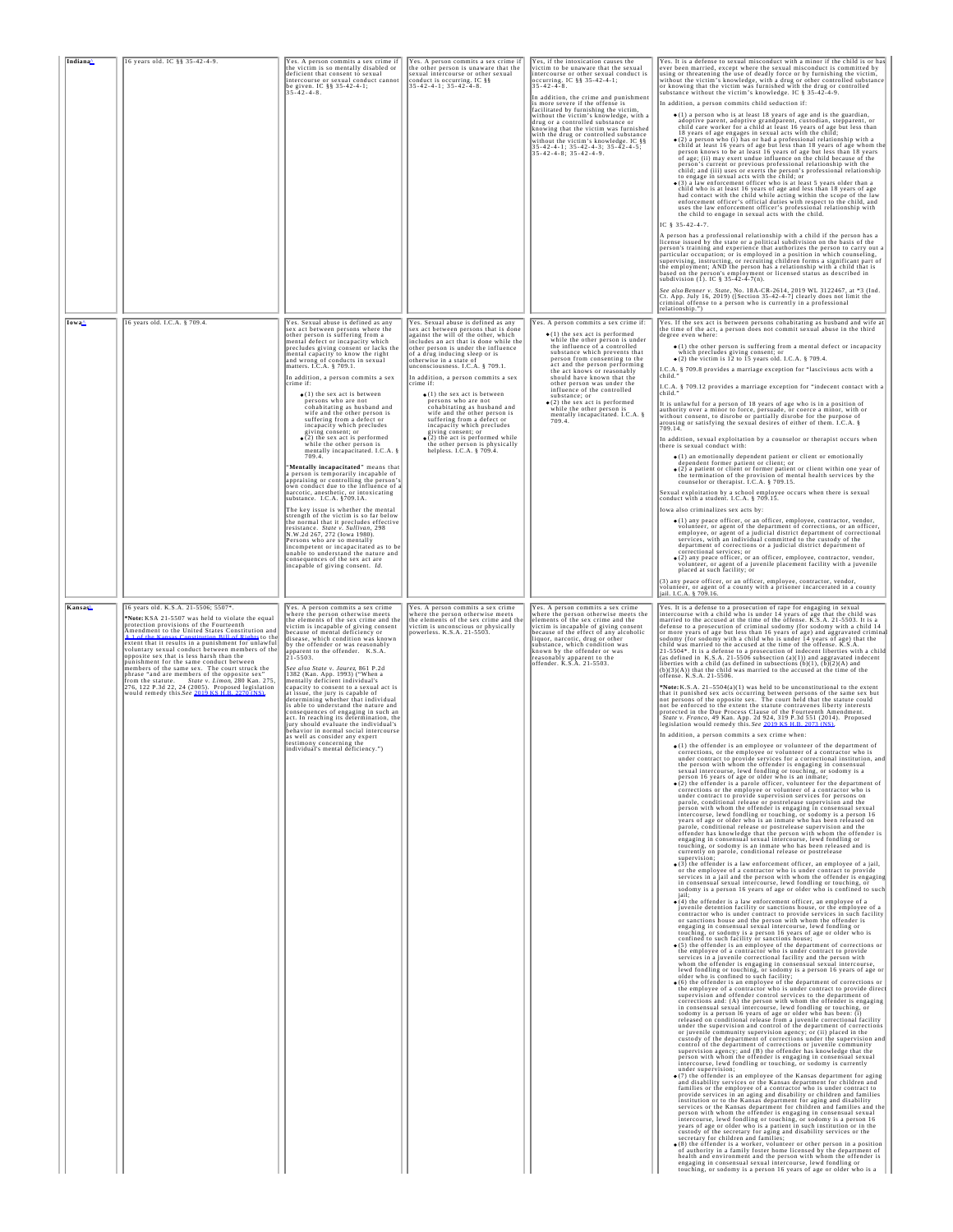| Indiana <sup>^</sup> | 16 years old. IC §§ 35-42-4-9.                                                                                                                                                                                                                                                                                                                                                                                                                                                                                                                                                                                                                                        | Yes. A person commits a sex crime if<br>the victim is so mentally disabled or<br>deficient that consent to sexual<br>intercourse or sexual conduct cannot<br>be given. IC $\S$ § 35-42-4-1;<br>35-42-4-8.                                                                                                                                                                                                                                                                                                                                                                                                                                                                                                                                                                                                                                                                                                                                                                                                                                                                                                                                                                                                                                                                                                              | Yes. A person commits a sex crime if<br>the other person is unaware that the<br>sexual intercourse or other sexual<br>conduct is occurring. IC §§<br>$35 - 42 - 4 - 1$ ; $35 - 42 - 4 - 8$ .                                                                                                                                                                                                                                                                                                                                                                                                                                                                                 | Yes, if the intoxication causes the<br>victim to be unaware that the sexual<br>intercourse or other sexual conduct is<br>occurring. IC §§ 35-42-4-1;<br>$35 - 42 - 4 - 8$ .<br>In addition, the crime and punishment<br>is more severe if the offense is<br>facilitated by furnishing the victim,<br>without the victim's knowledge, with a<br>drug or a controlled substance or<br>knowing that the victim was furnished<br>with the drug or controlled substance<br>without the victim's knowledge. IC §§<br>$35 - 42 - 4 - 1$ ; $35 - 42 - 4 - 3$ ; $35 - 42 - 4 - 5$ ;<br>$35 - 42 - 4 - 8$ ; $35 - 42 - 4 - 9$ . | Yes. It is a defense to sexual misconduct with a minor if the child is or has<br>ever been married, except where the sexual misconduct is committed by<br>using or threatening the use of deadly force or by furnishing the victim, without the victim's knowledge, with a drug or other controlled substance<br>or knowing that the victim was furnished with the drug or controlled<br>substance without the victim's knowledge. IC § 35-42-4-9.<br>In addition, a person commits child seduction if:<br>$\bullet$ (1) a person who is at least 18 years of age and is the guardian,<br>adoptive parent, adoptive grandparent, custodian, stepparent, or child care worker for a child at least 16 years of age but less than<br>18 years of age engages in sexual acts with the child;<br>$\bullet$ (2) a person who (i) has or had a professional relationship with a child at least 16 years of age but less than 18 years of age whom the<br>person knows to be at least 16 years of age but less than 18 years<br>of age; (ii) may exert undue influence on the child because of the person's current or previous professional relationship with the<br>child; and (iii) uses or exerts the person's professional relationship<br>to engage in sexual acts with the child; or $\bullet$ (3) a law enforcement officer who is at least 5 years older than a<br>child who is at least 16 years of age and less than 18 years of age<br>had contact with the child while acting within the scope of the law<br>enforcement officer's official duties with respect to the child, and<br>uses the law enforcement officer's professional relationship with<br>the child to engage in sexual acts with the child.<br>IC 8 35-42-4-7<br>A person has a professional relationship with a child if the person has a<br>license issued by the state or a political subdivision on the basis of the person's training and experience that authorizes the person to carry out<br>particular occupation; or is employed in a position in which counseling,<br>supervising, instructing, or recruiting children forms a significant part of<br>the employment; AND the person has a relationship with a child that is<br>based on the person's employment or licensed status as described in<br>subdivision (1). IC § 35-42-4-7(n).<br>See also Benner v. State, No. 18A-CR-2614, 2019 WL 3122467, at *3 (Ind.<br>Ct. App. July 16, 2019) ([Section 35-42-4-7] clearly does not limit the<br>criminal offense to a person who is currently in a professional<br>relationship.")                                                                                                                                                                                                                                                                                                                                                                                                                                                                                                                                                                                                                                                                                                                                                                                                                                                                                                                                                                                                                                                                                                                                                                                                                                                                                                                                                                                                                                                                                                                                                                                                                                                                                                                                                                                                                                                                                                                                                                                                                                                                                                                                                                                                                                                                                                                                                                                                                                                                                                                                                                                                                                                                                                                                                                                                                                                                                                                                                                                                                                                                                                                                                                                                                                                                                                                                                                                                                                                                                                                  |
|----------------------|-----------------------------------------------------------------------------------------------------------------------------------------------------------------------------------------------------------------------------------------------------------------------------------------------------------------------------------------------------------------------------------------------------------------------------------------------------------------------------------------------------------------------------------------------------------------------------------------------------------------------------------------------------------------------|------------------------------------------------------------------------------------------------------------------------------------------------------------------------------------------------------------------------------------------------------------------------------------------------------------------------------------------------------------------------------------------------------------------------------------------------------------------------------------------------------------------------------------------------------------------------------------------------------------------------------------------------------------------------------------------------------------------------------------------------------------------------------------------------------------------------------------------------------------------------------------------------------------------------------------------------------------------------------------------------------------------------------------------------------------------------------------------------------------------------------------------------------------------------------------------------------------------------------------------------------------------------------------------------------------------------|------------------------------------------------------------------------------------------------------------------------------------------------------------------------------------------------------------------------------------------------------------------------------------------------------------------------------------------------------------------------------------------------------------------------------------------------------------------------------------------------------------------------------------------------------------------------------------------------------------------------------------------------------------------------------|-----------------------------------------------------------------------------------------------------------------------------------------------------------------------------------------------------------------------------------------------------------------------------------------------------------------------------------------------------------------------------------------------------------------------------------------------------------------------------------------------------------------------------------------------------------------------------------------------------------------------|-------------------------------------------------------------------------------------------------------------------------------------------------------------------------------------------------------------------------------------------------------------------------------------------------------------------------------------------------------------------------------------------------------------------------------------------------------------------------------------------------------------------------------------------------------------------------------------------------------------------------------------------------------------------------------------------------------------------------------------------------------------------------------------------------------------------------------------------------------------------------------------------------------------------------------------------------------------------------------------------------------------------------------------------------------------------------------------------------------------------------------------------------------------------------------------------------------------------------------------------------------------------------------------------------------------------------------------------------------------------------------------------------------------------------------------------------------------------------------------------------------------------------------------------------------------------------------------------------------------------------------------------------------------------------------------------------------------------------------------------------------------------------------------------------------------------------------------------------------------------------------------------------------------------------------------------------------------------------------------------------------------------------------------------------------------------------------------------------------------------------------------------------------------------------------------------------------------------------------------------------------------------------------------------------------------------------------------------------------------------------------------------------------------------------------------------------------------------------------------------------------------------------------------------------------------------------------------------------------------------------------------------------------------------------------------------------------------------------------------------------------------------------------------------------------------------------------------------------------------------------------------------------------------------------------------------------------------------------------------------------------------------------------------------------------------------------------------------------------------------------------------------------------------------------------------------------------------------------------------------------------------------------------------------------------------------------------------------------------------------------------------------------------------------------------------------------------------------------------------------------------------------------------------------------------------------------------------------------------------------------------------------------------------------------------------------------------------------------------------------------------------------------------------------------------------------------------------------------------------------------------------------------------------------------------------------------------------------------------------------------------------------------------------------------------------------------------------------------------------------------------------------------------------------------------------------------------------------------------------------------------------------------------------------------------------------------------------------------------------------------------------------------------------------------------------------------------------------------------------------------------------------------------------------------------------------------------------------------------------------------------------------------------------------------------------------------------------------------------------------------------------------------------------------------------------------------------------------------------------------------------------------------------------------------------------------------------------------------------------------------------------------------------------------------------------------------------------------------------------------------------------------------------------------------------------------------------------------------------------------------------------------------------------------------------------------------------------------------------------------------------------------------------------------------------------------------------------------------------------------------------------------------------------------------------------------------------------------------------------------------------------------------------------------------------------------------------------------------------------------------------------------------------------------------------------------------------------------------------------------------------------------------------------------------------------------------------------------------------------------------------------------------------------------------------------------------------------------|
| Iowa <sup>4</sup>    | 16 years old. I.C.A. § 709.4.                                                                                                                                                                                                                                                                                                                                                                                                                                                                                                                                                                                                                                         | Yes. Sexual abuse is defined as any<br>sex act between persons where the<br>other person is suffering from a<br>mental defect or incapacity which<br>precludes giving consent or lacks the<br>mental capacity to know the right<br>and wrong of conducts in sexual<br>matters. I.C.A. § 709.1.<br>In addition, a person commits a sex<br>crime if:<br>$\bullet$ (1) the sex act is between<br>persons who are not<br>cohabitating as husband and<br>wife and the other person is<br>suffering from a defect or<br>incapacity which precludes<br>giving consent; or<br>$\bullet$ (2) the sex act is performed<br>while the other person is<br>mentally incapacitated. I.C.A. §<br>709.4<br>"Mentally incapacitated" means that<br>a person is temporarily incapable of<br>appraising or controlling the person's<br>own conduct due to the influence of a<br>narcotic, anesthetic, or intoxicating<br>substance. I.C.A. §709.1A.<br>The key issue is whether the mental<br>strength of the victim is so far below<br>the normal that it precludes effective<br>resistance. State v. Sullivan, 298<br>N.W.2d 267, 272 (Iowa 1980).<br>Persons who are so mentally<br>incompetent or incapacitated as to be<br>unable to understand the nature and<br>consequences of the sex act are<br>incapable of giving consent. Id. | Yes. Sexual abuse is defined as any<br>sex act between persons that is done<br>against the will of the other, which<br>includes an act that is done while the<br>other person is under the influence<br>of a drug inducing sleep or is<br>otherwise in a state of<br>unconsciousness. I.C.A. § 709.1.<br>In addition, a person commits a sex<br>crime if:<br>· (1) the sex act is between<br>persons who are not<br>cohabitating as husband and<br>wife and the other person is<br>suffering from a defect or<br>incapacity which precludes<br>giving consent; or<br>$\bullet$ (2) the act is performed while<br>the other person is physically<br>helpless. I.C.A. § 709.4. | Yes. A person commits a sex crime if:<br>$\bullet$ (1) the sex act is performed<br>while the other person is under<br>the influence of a controlled<br>substance which prevents that<br>person from consenting to the<br>act and the person performing<br>the act knows or reasonably<br>should have known that the<br>other person was under the<br>influence of the controlled<br>substance; or<br>$\bullet$ (2) the sex act is performed<br>while the other person is<br>mentally incapacitated. I.C.A. § 709.4.                                                                                                   | Yes. If the sex act is between persons cohabitating as husband and wife at<br>the time of the act, a person does not commit sexual abuse in the third<br>degree even where:<br>$\bullet$ (1) the other person is suffering from a mental defect or incapacity<br>which precludes giving consent; or<br>$\bullet$ (2) the victim is 12 to 15 years old. I.C.A. § 709.4.<br>I.C.A. § 709.8 provides a marriage exception for "lascivious acts with a<br>child.<br>I.C.A. § 709.12 provides a marriage exception for "indecent contact with a child."<br>It is unlawful for a person of 18 years of age who is in a position of<br>authority over a minor to force, persuade, or coerce a minor, with or<br>without consent, to disrobe or partially disrobe for the purpose of<br>arousing or satisfying the sexual desires of either of them. I.C.A. §<br>709 14<br>In addition, sexual exploitation by a counselor or therapist occurs when<br>there is sexual conduct with:<br>(1) an emotionally dependent patient or client or emotionally dependent former patient or client; or<br>· (2) a patient or client or former patient or client within one year of<br>the termination of the provision of mental health services by the counselor or therapist. I.C.A. § 709.15.<br>Sexual exploitation by a school employee occurs when there is sexual<br>conduct with a student. I.C.A. § 709.15.<br>Iowa also criminalizes sex acts by:<br>$\bullet$ (1) any peace officer, or an officer, employee, contractor, vendor,<br>volunteer, or agent of the department of corrections, or an officer, employee, or agent of a judicial district department of correctional<br>services, with an individual committed to the custody of the<br>department of corrections or a judicial district department of<br>correctional services; or<br>$\bullet$ (2) any peace officer, or an officer, employee, contractor, vendor,<br>volunteer, or agent of a juvenile placement facility with a juvenile placed at such facility; or<br>(3) any peace officer, or an officer, employee, contractor, vendor,<br>volunteer, or agent of a county with a prisoner incarcerated in a county<br>jail. I.C.A. § 709.16.                                                                                                                                                                                                                                                                                                                                                                                                                                                                                                                                                                                                                                                                                                                                                                                                                                                                                                                                                                                                                                                                                                                                                                                                                                                                                                                                                                                                                                                                                                                                                                                                                                                                                                                                                                                                                                                                                                                                                                                                                                                                                                                                                                                                                                                                                                                                                                                                                                                                                                                                                                                                                                                                                                                                                                                                                                                                                                                                                                                                                                                                                                                                                                                                                                                                                                                                                                                                                                                                                                                                                                                                                                                                                                                                                                                                                                                                                  |
| Kansas               | 16 years old. K.S.A. 21-5506; 5507*.<br>*Note: KSA 21-5507 was held to violate the equal<br>protection provisions of the Fourteenth<br>Amendment to the United States Constitution and<br>n Rill of Rights to the<br>extent that it results in a punishment for unlawful<br>voluntary sexual conduct between members of the<br>opposite sex that is less harsh than the<br>punishment for the same conduct between<br>members of the same sex. The court struck the<br>phrase "and are members of the opposite sex"<br>from the statute. State v. Limon, 280 Kan. 275, 276, 122 P.3d 22, 24 (2005). Proposed legislation would remedy this See 2019 KS H B 2270 (NS). | Yes. A person commits a sex crime<br>where the person otherwise meets<br>the elements of the sex crime and the<br>victim is incapable of giving consent<br>because of mental deficiency or<br>disease, which condition was known<br>by the offender or was reasonably<br>apparent to the offender. K.S.A.<br>$21 - 5503$ .<br>See also State v. Jaurez, 861 P.2d<br>1382 (Kan. App. 1993) ("When a<br>mentally deficient individual's<br>capacity to consent to a sexual act is<br>at issue, the jury is capable of<br>determining whether that individual<br>is able to understand the nature and<br>consequences of engaging in such an<br>act. In reaching its determination, the<br>jury should evaluate the individual's<br>behavior in normal social intercourse<br>as well as consider any expert<br>testimony concerning the<br>individual's mental deficiency.")                                                                                                                                                                                                                                                                                                                                                                                                                                              | Yes. A person commits a sex crime<br>where the person otherwise meets<br>the elements of the sex crime and the<br>victim is unconscious or physically<br>powerless. K.S.A. 21-5503.                                                                                                                                                                                                                                                                                                                                                                                                                                                                                          | Yes. A person commits a sex crime<br>vhere the person otherwise meets the<br>elements of the sex crime and the<br>victim is incapable of giving consent<br>because of the effect of any alcoholic<br>liquor, narcotic, drug or other<br>substance, which condition was<br>known by the offender or was<br>reasonably apparent to the<br>offender. K.S.A. 21-5503.                                                                                                                                                                                                                                                     | Yes. It is a defense to a prosecution of rape for engaging in sexual<br>intercourse with a child who is under 14 years of age that the child was<br>married to the accused at the time of the offense. K.S.A. 21-5503. It is a defense to a prosecution of criminal sodomy (for sodomy with a child 14<br>or more years of age but less than 16 years of age) and aggravated criminal<br>sodomy (for sodomy with a child who is under 14 years of age) that the child was married to the accused at the time of the offense. K.S.A.<br>21-5504*. It is a defense to a prosecution of indecent liberties with a child<br>(as defined in K.S.A. 21-5506 subsection (a)(1)) and aggravated indecent liberties with a child (as defined in subsections (b)(1), (b)(2)(A) and<br>$(b)(3)(A)$ ) that the child was married to the accused at the time of the<br>offense. K.S.A. 21-5506.<br>*Note: K.S.A. 21-5504(a)(1) was held to be unconstitutional to the extent<br>that it punished sex acts occurring between persons of the same sex but<br>not persons of the opposite sex. The court held that the statute could not be enforced to the extent the statute contravenes liberty interests<br>protected in the Due Process Clause of the Fourteenth Amendment.<br>State v. Franco, 49 Kan. App. 2d 924, 319 P.3d 551 (2014). Proposed legislation would remedy this. See 2019 KS H R 2073 (NS).<br>In addition, a person commits a sex crime when:<br>$\bullet$ (1) the offender is an employee or volunteer of the department of<br>ons, or the employee or volunteer of<br>under contract to provide services for a correctional institution, and<br>the person with whom the offender is engaging in consensual sexual intercourse, lewd fondling or touching, or sodomy is a<br>person 16 years of age or older who is an inmate;<br>$\bullet$ (2) the offender is a parole officer, volunteer for the department of corrections or the employee or volunteer of a contractor who is<br>under contract to provide supervision services for persons on<br>parole, conditional release or postrelease supervision and the<br>person with whom the offender is engaging in consensual sexual<br>intercourse, lewd fondling or touching, or sodomy is a person 16<br>years of age or older who is an inmate who has been released on parole, conditional release or postrelease supervision and the<br>offender has knowledge that the person with whom the offender is<br>engaging in consensual sexual intercourse, lewd fondling or<br>touching, or sodomy is an inmate who has been released and is<br>currently on parole, conditional release or postrelease<br>supervision;<br>$\bullet$ (3) the offender is a law enforcement officer, an employee of a jail,<br>or the employee of a contractor who is under contract to provide<br>services in a jail and the person with whom the offender is engaging<br>in consensual sexual intercourse, lewd fondling or touching, or<br>sodomy is a person 16 years of age or older who is confined to such<br>$\bullet$ (4) the offender is a law enforcement officer, an employee of a<br>juvenile detention facility or sanctions house, or the employee of a<br>contractor who is under contract to provide services in such facility<br>or sanctions house and the person with whom the offender is<br>engaging in consensual sexual intercourse, lewd fondling or<br>touching, or sodomy is a person 16 years of age or older who is confined to such facility or sanctions house;<br>$\bullet$ (5) the offender is an employee of the department of corrections or<br>the employee of a contractor who is under contract to provide<br>services in a juvenile correctional facility and the person with<br>whom the offender is engaging in consensual sexual intercourse,<br>lewd fondling or touching, or sodomy is a person 16 years of age or older who is confined to such facility;<br>$\bullet$ (6) the offender is an employee of the department of corrections or<br>the employee of a contractor who is under contract to provide direc<br>supervision and offender control services to the department of<br>corrections and: (A) the person with whom the offender is engaging<br>in consensual sexual intercourse, lewd fondling or touching, or sodomy is a person 16 years of age or older who has been: (i)<br>released on conditional release from a juvenile correctional facility<br>under the supervision and control of the department of corrections<br>or juvenile community supervision agency; or (ii) placed in the<br>custody of the department of corrections under the supervision and<br>control of the department of corrections or juvenile community<br>supervision agency; and (B) the offender has knowledge that the<br>person with whom the offender is engaging in consensual sexual<br>intercourse, lewd fondling or touching, or sodomy is currently<br>under supervision;<br>• (7) the offender is an employee of the Kansas department for aging<br>and disability services or the Kansas department for children and families or the employee of a contractor who is under contract to<br>provide services in an aging and disability or children and families<br>institution or to the Kansas department for aging and disability services or the Kansas department for children and families and the<br>person with whom the offender is engaging in consensual sexual<br>intercourse, lewd fondling or touching, or sodomy is a person 16 years of age or older who is a patient in such institution or in the<br>custody of the secretary for aging and disability services or the<br>secretary for children and families;<br>• (8) the offender is a worker, volunteer or other person in a position<br>of authority in a family foster home licensed by the department of<br>health and environment and the person with whom the offender is<br>engaging in consensual sexual intercourse, lewd fondling or<br>touching, or sodomy is a person 16 years of age or older who is a |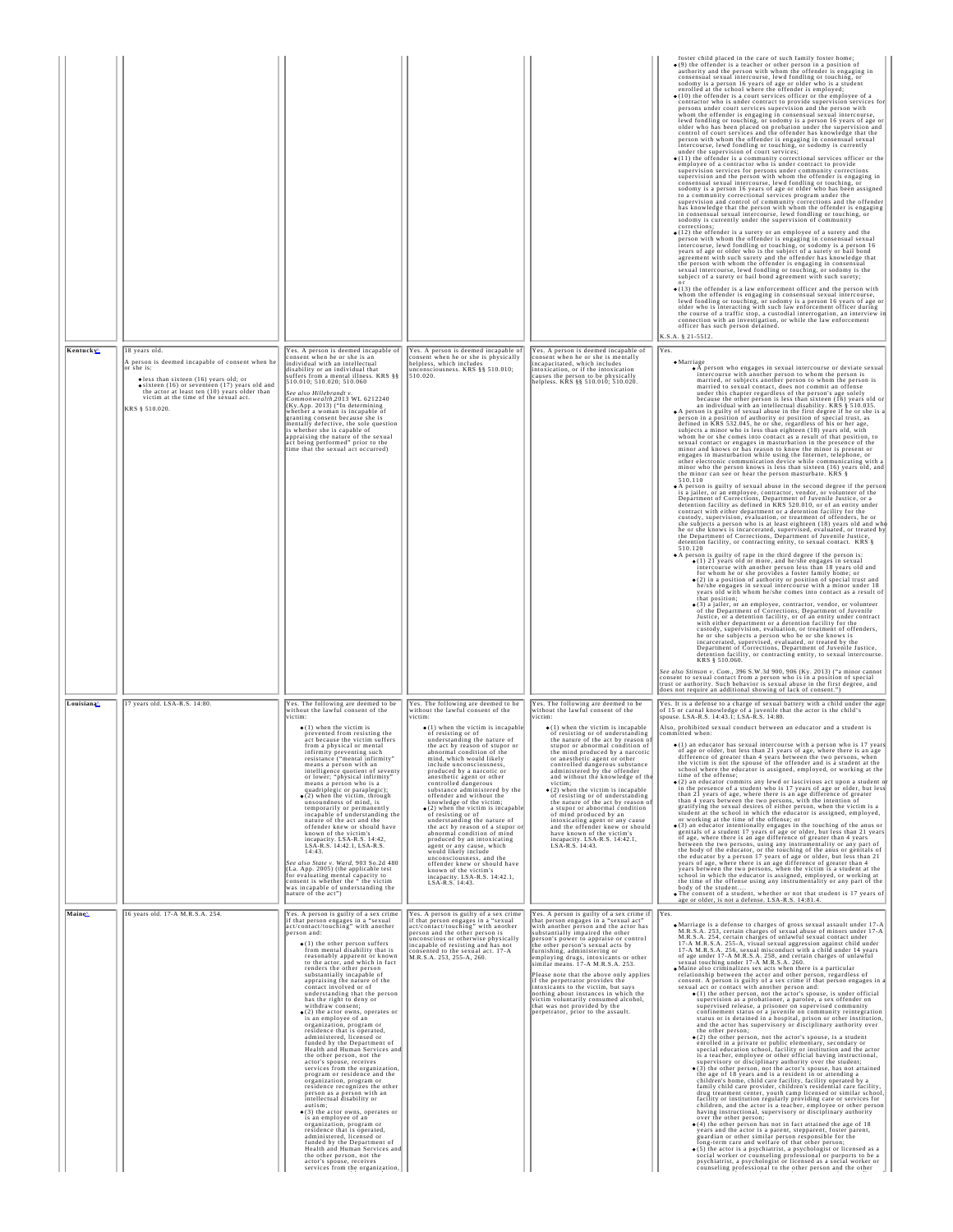|           |                                                                                                                                                                                                                                                                                                     |                                                                                                                                                                                                                                                                                                                                                                                                                                                                                                                                                                                                                                                                                                                                                                                                                                                                                                                                                                                                                                                                                                                                                                                                                                                                                                |                                                                                                                                                                                                                                                                                                                                                                                                                                                                                                                                                                                                                                                                                                                                                                                                                                                                                               |                                                                                                                                                                                                                                                                                                                                                                                                                                                                                                                                                                                                                                                                                                                                                           | foster child placed in the care of such family foster home;<br>Solution of the offender is a teacher or other person in a position of<br>authority and the person with whom the offender is engaging in<br>consensual sexual intercourse, lewd fondling or touching, or<br>sodomy is a person 16 years of age or older who is a student<br>enrolled at the school where the offender is employed;<br>$\bullet$ (10) the offender is a court services officer or the employee of a<br>contractor who is under contract to provide supervision services for<br>persons under court services supervision and the person with<br>whom the offender is engaging in consensual sexual intercourse,<br>lewd fondling or touching, or sodomy is a person 16 years of age or<br>older who has been placed on probation under the supervision and control of court services and the offender has knowledge that the<br>person with whom the offender is engaging in consensual sexual<br>intercourse, lewd fondling or touching, or sodomy is currently<br>under the supervision of court services;<br>$\bullet$ (11) the offender is a community correctional services officer or the<br>employee of a contractor who is under contract to provide<br>supervision services for persons under community corrections<br>supervision and the person with whom the offender is engaging in<br>consensual sexual intercourse, lewd fondling or touching, o<br>sodomy is a person 16 years of age or older who has been assigned to a community correctional services program under the<br>supervision and control of community corrections and the offender<br>has knowledge that the person with whom the offender is engaging in consensual sexual intercourse, lewd fondling or touching, or<br>sodomy is currently under the supervision of community<br>corrections:<br>$\bullet$ (12) the offender is a surety or an employee of a surety and the<br>person with whom the offender is engaging in consensual sexual<br>person with whom the offender is energing in consensual sexual<br>intercourse, level fonding or touching, or sodomy is a person 16<br>intercourse, level fonding or touching, or sodomy is a person 16<br>the person with whom the offe<br>$\bullet$ (13) the offender is a law enforcement officer and the person with<br>(17) rule of the dual increases we strong a conservation of the present of the property of the dual increases and increases the level fooding or touching, or sodomy is a person 16 years of age or older who is interacting w<br>connection with an investigation, or while the law enforcement officer has such person detained.<br>K.S.A. § 21-5512.                                                                                                                                                                                                                                                                                                                                                                                                                                                                                                                                                                                                                                                                     |
|-----------|-----------------------------------------------------------------------------------------------------------------------------------------------------------------------------------------------------------------------------------------------------------------------------------------------------|------------------------------------------------------------------------------------------------------------------------------------------------------------------------------------------------------------------------------------------------------------------------------------------------------------------------------------------------------------------------------------------------------------------------------------------------------------------------------------------------------------------------------------------------------------------------------------------------------------------------------------------------------------------------------------------------------------------------------------------------------------------------------------------------------------------------------------------------------------------------------------------------------------------------------------------------------------------------------------------------------------------------------------------------------------------------------------------------------------------------------------------------------------------------------------------------------------------------------------------------------------------------------------------------|-----------------------------------------------------------------------------------------------------------------------------------------------------------------------------------------------------------------------------------------------------------------------------------------------------------------------------------------------------------------------------------------------------------------------------------------------------------------------------------------------------------------------------------------------------------------------------------------------------------------------------------------------------------------------------------------------------------------------------------------------------------------------------------------------------------------------------------------------------------------------------------------------|-----------------------------------------------------------------------------------------------------------------------------------------------------------------------------------------------------------------------------------------------------------------------------------------------------------------------------------------------------------------------------------------------------------------------------------------------------------------------------------------------------------------------------------------------------------------------------------------------------------------------------------------------------------------------------------------------------------------------------------------------------------|-----------------------------------------------------------------------------------------------------------------------------------------------------------------------------------------------------------------------------------------------------------------------------------------------------------------------------------------------------------------------------------------------------------------------------------------------------------------------------------------------------------------------------------------------------------------------------------------------------------------------------------------------------------------------------------------------------------------------------------------------------------------------------------------------------------------------------------------------------------------------------------------------------------------------------------------------------------------------------------------------------------------------------------------------------------------------------------------------------------------------------------------------------------------------------------------------------------------------------------------------------------------------------------------------------------------------------------------------------------------------------------------------------------------------------------------------------------------------------------------------------------------------------------------------------------------------------------------------------------------------------------------------------------------------------------------------------------------------------------------------------------------------------------------------------------------------------------------------------------------------------------------------------------------------------------------------------------------------------------------------------------------------------------------------------------------------------------------------------------------------------------------------------------------------------------------------------------------------------------------------------------------------------------------------------------------------------------------------------------------------------------------------------------------------------------------------------------------------------------------------------------------------------------------------------------------------------------------------------------------------------------------------------------------------------------------------------------------------------------------------------------------------------------------------------------------------------------------------------------------------------------------------------------------------------------------------------------------------------------------------------------------------------------------------------------------------------------------------------------------------------------------------------------------------------------------------------------------------------------------------------------------------------------------------------------------------------------------------------------------------|
| Kentucky  | 18 years old<br>A person is deemed incapable of consent when he<br>or she is:<br>$\bullet$ less than sixteen (16) years old; or<br>$\bullet$ sixteen (16) or seventeen (17) years old and<br>the actor at least ten (10) years older than<br>victim at the time of the sexual act.<br>KRS 8 510 020 | Yes. A person is deemed incapable of<br>consent when he or she is an<br>individual with an intellectual<br>disability or an individual that<br>suffers from a mental illness. KRS §§<br>510.010; 510.020; 510.060<br>See also Hillebrandt v.<br>Commonwealth, 2013 WL 6212240<br>Communication (Ky.App. 2013) ("In determining<br>whether a woman is incapable of<br>granting consent because she is<br>mentally defective, the sole question<br>is whether she is capable of<br>appraising the nature of the sexual<br>act being performed" prior to the<br>time that the sexual act occurred)                                                                                                                                                                                                                                                                                                                                                                                                                                                                                                                                                                                                                                                                                                | Yes. A person is deemed incapable of<br>consent when he or she is physically<br>helpless, which includes<br>unconsciousness. KRS §§ 510.010;<br>510.020.                                                                                                                                                                                                                                                                                                                                                                                                                                                                                                                                                                                                                                                                                                                                      | Yes. A person is deemed incapable of<br>consent when he or she is mentally<br>incapacitated, which includes<br>intoxication, or if the intoxication<br>causes the person to be physically<br>helpless. KRS §§ 510.010; 510.020.                                                                                                                                                                                                                                                                                                                                                                                                                                                                                                                           | Yes.<br>$\bullet$ Marriage<br>• A person who engages in sexual intercourse or deviate sexual<br>intercourse with another person to whom the person is<br>married, or subjects another person to whom the person is<br>married to sexual contact, does not commit an offense<br>under this chapter regardless of the person's age solely<br>because the other person is less than sixteen (16) years old or<br>an individual with an intellectual disability. $KRS_s$ \$ 510.035.<br>A person is guilty of sexual abuse in the first degree if he or she is a person in a position of authority or position of special trust, as defined in KRS 532.045, he or she, regardless of his or her age,<br>subjects a minor who is less than eighteen (18) years old, with<br>whom he or she comes into contact as a result of that position, to<br>who is contact or engages in masturbation in the presence of the sexual contact or engages in masturbation in the presence of the minor and knows or has reason to know the minor is present or engages in masturbation while<br>other electronic communication device while communicating with a<br>minor who the person knows is less than sixteen (16) years old, and<br>the minor can see or hear the person masturbate. KRS §<br>510.110<br>. A person is guilty of sexual abuse in the second degree if the person<br>A parties of the property of the set of the parties of the parties of the Department of Corrections, Department of Juvenile Justice, or a department of the detention facility as defined in KRS 520.010, or of an entity unde<br>custody, supervision, evaluation, or treatment of offenders, he or<br>she subjects a person who is at least eighteen (18) years old and who<br>he or she knows is incarcerated, supervised, evaluated, or treated by<br>the Department of Corrections, Department of Juvenile Justice,<br>detention facility, or contracting entity, to sexual contact. KRS §<br>510.120<br>• A person is guilty of rape in the third degree if the person is:<br>(1) 21 years old or more, and he/she engages in sexual intercourse with another person less than 18 years old and for whom he or she provides a foster family home; or<br>$\bullet$ (2) in a position of authority or position of special trust and<br>he/she engages in sexual intercourse with a minor under 18<br>years old with whom he/she comes into contact as a result of<br>that position;<br>• (3) a jailer, or an employee, contractor, vendor, or volunteer<br>of the Department of Corrections, Department of Juvenile<br>Justice, or a detention facility, or of an entity under contract<br>with either department or a detention facility for the<br>custody, supervision, evaluation, or treatment of offenders.<br>he or she subjects a person who he or she knows is<br>incarcerated, supervised, evaluated, or treated by the<br>Department of Corrections, Department of Juvenile Justice,<br>detention facility, or contracting entity, to sexual intercourse.<br>KRS § 510.060.<br>See also Stinson v. Com., 396 S.W.3d 900, 906 (Ky. 2013) ("a minor cannot<br>consent to sexual contact from a person who is in a position of special trust or authority. Such behavior is sexual abuse in the first degree, and<br>does not require an additional showing of lack of consent." |
| Louisiana | 17 years old. LSA-R.S. 14:80                                                                                                                                                                                                                                                                        | Yes. The following are deemed to be<br>without the lawful consent of the<br>victim:<br>$\bullet$ (1) when the victim is<br>prevented from resisting the<br>act because the victim suffers<br>from a physical or mental<br>resistance ("mental infirmity"<br>means a person with an<br>intelligence quotient of seventy<br>or lower; "physical infirmity"<br>means a person who is a<br>quadriplegic or paraplegic);<br>$\bullet$ (2) when the victim, through<br>unsoundness of mind, is<br>temporarily or permanently<br>incapable of understanding the<br>nature of the act and the<br>offender knew or should have<br>known of the victim's<br>incapacity. LSA-R.S. 14:42<br>LSA-R.S. 14:42.1, LSA-R.S.<br>14:43.<br>See also State v. Ward, 903 So.2d 480<br>(La. App. 2005) (the applicable test<br>for evaluating mental capacity to<br>consent is whether the "the victim<br>was incapable of understanding the<br>nature of the act")                                                                                                                                                                                                                                                                                                                                                  | Yes. The following are deemed to be<br>without the lawful consent of the<br>victim:<br>$\bullet$ (1) when the victim is incapable<br>of resisting or of<br>of resisting of or<br>understanding the nature of<br>the act by reason of stupor or<br>condition of<br>mind. which would likely<br>include unconsciousness,<br>produced by a narcotic or<br>anesthetic agent or other<br>controlled dangerous<br>substance administered by the<br>offender and without the<br>knowledge of the victim;<br>$\bullet$ (2) when the victim is incapable<br>of resisting or of<br>understanding the nature of<br>the act by reason of a stupor<br>abnormal condition of mind<br>produced by an intoxicating<br>agent or any cause, which<br>would likely include<br>unconsciousness, and the<br>offender knew or should have<br>known of the victim's<br>incapacity. LSA-R.S. 14:42.1, LSA-R.S. 14:43. | Yes. The following are deemed to be<br>without the lawful consent of the<br>victim:<br>$\bullet$ (1) when the victim is incapable<br>of resisting or of understanding<br>the nature of the act by reason of<br>stupor or abnormal condition of<br>d produced<br>or anesthetic agent or other<br>controlled dangerous substance<br>administered by the offender<br>and without the knowledge of the<br>victim;<br>$\bullet$ (2) when the victim is incapable<br>of resisting or of understanding<br>the nature of the act by reason of<br>a stupor or abnormal condition<br>of mind produced by an<br>intoxicating agent or any cause<br>and the offender knew or should<br>have known of the victim's<br>incapacity. LSA-R.S. 14:42.1,<br>LSA-R.S. 14:43. | Yes. It is a defense to a charge of sexual battery with a child under the age<br>of 15 or carnal knowledge of a juvenile that the actor is the child's spouse. LSA-R.S. 14:43.1; LSA-R.S. 14:80.<br>Also, prohibited sexual conduct between an educator and a student is<br>committed when:<br>· (1) an educator has sexual intercourse with a person who is 17 years<br>of age or older, but less than 21 years of age, where there is an<br>difference of greater than 4 years between the two persons, when<br>the victim is not the spouse of the offender and is a student at the<br>school where the educator is assigned, employed, or working at the<br>time of the offense;<br>$\bullet$ (2) an educator commits any lewd or lascivious act upon a student of<br>in the presence of a student who is 17 years of age or older, but less<br>than 21 years of age, where there is an age difference of greater<br>than 4 years between the two persons, with the intention of<br>gratifying the sexual desires of either person, when the victim is a<br>student at the school in which the educator is assigned, employed,<br>or working at the time of the offense: or<br>$\bullet$ (3) an educator intentionally engages in the touching of the anus or<br>genitals of a student 17 years of age or older, but less than 21 years<br>of age, where there is an age difference of greater than 4 years<br>between the two persons, using any instrumentality or any part of<br>the body of the educator, or the touching of the anus or genitals of<br>the educator by a person 17 years of age or older, but less than 21<br>years of age, where there is an age difference of greater than 4<br>years between the two persons, when the victim is a student at the<br>school in which the educator is assigned, employed, or working at<br>the time of the offense using any instrumentality or any part of the<br>body of the student.<br>. The consent of a student, whether or not that student is 17 years of<br>age or older, is not a defense. LSA-R.S. 14:81.4.                                                                                                                                                                                                                                                                                                                                                                                                                                                                                                                                                                                                                                                                                                                                                                                                                                                                                                                                                                                                                                                                                                                                                                                                                                                                                     |
| Maine     | 16 years old. 17-A M.R.S.A. 254.                                                                                                                                                                                                                                                                    | Yes. A person is guilty of a sex crime<br>if that person engages in a "sexual<br>act/contact/touching" with another<br>person and:<br>$(1)$ the other person suffers<br>from mental disability that is<br>reasonably apparent or known<br>to the actor, and which in fact<br>renders the other person<br>substantially incapable of<br>appraising the nature of the<br>contact involved or of<br>understanding that the person<br>has the right to deny or<br>withdraw consent:<br>$(2)$ the actor owns, operates or<br>is an employee of an<br>organization, program or<br>residence that is operated,<br>administered, licensed or<br>funded by the Department of<br>Health and Human Services and<br>the other person, not the<br>actor's spouse, receives<br>services from the organization,<br>program or residence and the<br>organization, program or<br>residence recognizes the other<br>person as a person with an<br>intellectual disability or<br>autism;<br>$\bullet$ (3) the actor owns, operates or<br>is an employee of an<br>organization, program or<br>residence that is operated,<br>administered, licensed or<br>funded by the Department of<br>Health and Human Services and<br>the other person, not the<br>actor's spouse, receives<br>services from the organization, | Yes. A person is guilty of a sex crime<br>if that person engages in a "sexual<br>act/contact/touching" with another<br>person and the other person is<br>inconscious or otherwise physically<br>incapable of resisting and has not<br>consented to the sexual act. 17-A<br>M.R.S.A. 253, 255-A, 260                                                                                                                                                                                                                                                                                                                                                                                                                                                                                                                                                                                           | Yes. A person is guilty of a sex crime if<br>that person engages in a "sexual act<br>with another person and the actor has<br>substantially impaired the other<br>person's power to appraise or control<br>the other person's sexual acts by<br>furnishing, administering or<br>employing drugs, intoxicants or other<br>similar means. 17-A M.R.S.A. 253.<br>Please note that the above only applies<br>if the perpetrator provides the<br>intoxicants to the victim, but says<br>nothing about instances in which the<br>victim voluntarily consumed alcohol,<br>that was not provided by the<br>perpetrator, prior to the assault.                                                                                                                     | Yes.<br>. Marriage is a defense to charges of gross sexual assault under 17-A<br>M.R.S.A. 253, certain charges of sexual abuse of minors under 17-A<br>M.R.S.A. 254, certain charges of unlawful sexual contact under<br>17-A M.R.S.A. 255-A, visual sexual aggression against child under<br>17-A M.R.S.A. 256, sexual misconduct with a child under 14 years<br>of age under 17-A M.R.S.A. 258, and certain charges of unlawful<br>sexual touching under 17-A M.R.S.A. 260.<br>• Maine also criminalizes sex acts when there is a particular<br>relationship between the actor and other person, regardless of<br>consent. A person is guilty of a sex crime if that person engages in a<br>sexual act or contact with another person and:<br>$\bullet$ (1) the other person, not the actor's spouse, is under official<br>supervision as a probationer, a parolee, a sex offender on<br>supervised release, a prisoner on supervised community<br>confinement status or a juvenile on community reintegration<br>status or is detained in a hospital, prison or other institution,<br>and the actor has supervisory or disciplinary authority over<br>the other person;<br>$\bullet$ (2) the other person, not the actor's spouse, is a student<br>enrolled in a private or public elementary, secondary or<br>special education school, facility or institution and the actor<br>is a teacher, employee or other official having instructional,<br>supervisory or disciplinary authority over the student;<br>$\bullet$ (3) the other person, not the actor's spouse, has not attained<br>the age of 18 years and is a resident in or attending<br>children's home, child care facility, facility operated by a<br>family child care provider, children's residential care facility,<br>drug treatment center, youth camp licensed or similar school,<br>facility or institution regularly providing care or services for<br>children, and the actor is a teacher, employee or other person<br>having instructional, supervisory or disciplinary authority<br>over the other person;<br>$\bullet$ (4) the other person has not in fact attained the age of 18<br>years and the actor is a parent, stepparent, foster<br>guardian or other similar person responsible for the<br>long-term care and welfare of that other person;<br>· (5) the actor is a psychiatrist, a psychologist or licensed as a<br>social worker or counseling professional or purports to be a<br>psychiatrist, a psychologist or licensed as a social worker or<br>counseling professional to the other person and the other                                                                                                                                                                                                                                                                                                                                                                                                                                                                                                                                                                                                                                                                                                                                                             |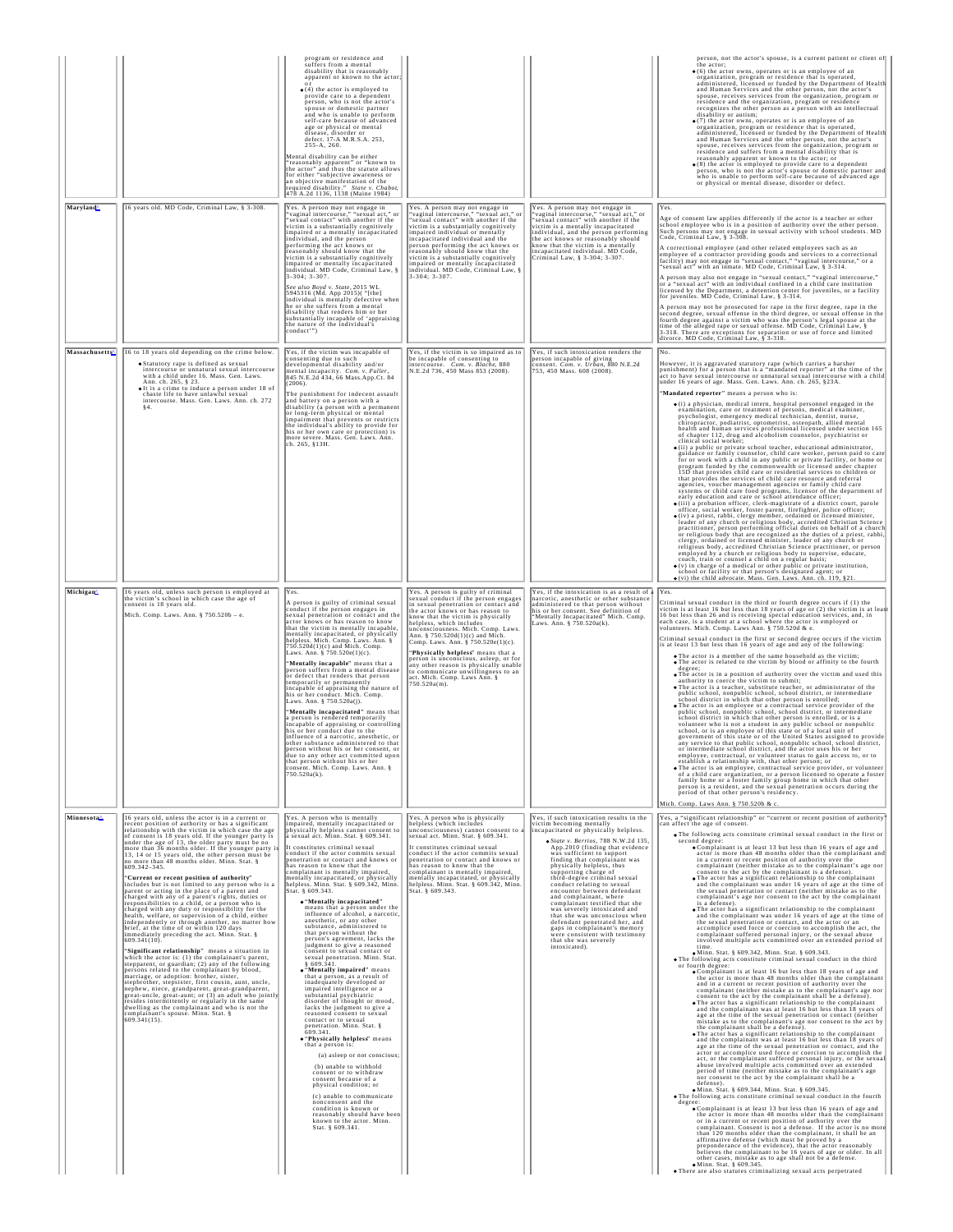| Maryland               | 16 years old. MD Code, Criminal Law, § 3-308.                                                                                                                                                                                                                                                                                                                                                                                                                                                                                                                                                                                                                                                                                                                                                                                                                                                                                                                                                                                                                                                                                                                                                                                                                                                                                                                                                                                                                                                                                                                              | program or residence and<br>suffers from a mental<br>disability that is reasonably<br>apparent or known to the actor:<br>$\bullet$ (4) the actor is employed to<br>provide care to a dependent<br>person, who is not the actor's<br>spouse or domestic partner<br>and who is unable to perform<br>self-care because of advanced<br>age or physical or mental<br>disease, disorder or<br>defect. 17-A M.R.S.A. 253,<br>255-A, 260.<br>Mental disability can be either<br>"reasonably apparent" or "known to<br>the actor" and thus the statute allows<br>for either "subjective awareness or<br>an objective manifestation of the<br>required disability." State v. Chabot,<br>478 A.2d 1136, 1138 (Maine 1984)<br>Yes. A person may not engage in<br>"vaginal intercourse," "sexual act," o<br>"sexual contact" with another if the                                                                                                                                                                                                                                                                                                                                                                                                                                                                                                                                                                                                                                     | Yes. A person may not engage in<br>"vaginal intercourse," "sexual act," or<br>"sexual contact" with another if the                                                                                                                                                                                                                                                                                                                                                                                                                                       | Yes. A person may not engage in<br>"vaginal intercourse," "sexual act," or<br>"sexual contact" with another if the                                                                                                                                                                                                                                                                                                                                                                                                                                                                                                                                                           | person, not the actor's spouse, is a current patient or client of<br>the actor;<br>$\bullet$ (6) the actor owns, operates or is an employee of an<br>organization, program or residence that is operated,<br>administered, licensed or funded by the Department of Health<br>and Human Services and the other person, not the actor's<br>spouse, receives services from the organization, program or<br>residence and the organization, program or residence<br>recognizes the other person as a person with an intellectual<br>disability or autism;<br>• (7) the actor owns, operates or is an employee of an organization, program or residence that is operated,<br>administered, licensed or funded by the Department of Health<br>and Human Services and the other person, not the actor's<br>spouse, receives services from the organization, program or<br>residence and suffers from a mental disability that is<br>reasonably apparent or known to the actor; or $\bullet$ (8) the actor is employed to provide care to a dependent<br>person, who is not the actor's spouse or domestic partner and<br>who is unable to perform self-care because of advanced age<br>or physical or mental disease, disorder or defect.<br>Yes.<br>Age of consent law applies differently if the actor is a teacher or other<br>school employee who is in a position of authority over the other person.                                                                                                                                                                                                                                                                                                                                                                                                                                                                                                                                                                                                                                                                                                                                                                                                                                                                                                                                                                                                                                                                                                                                                                                                                                                                                                                                                                                                                                                                                                                                                                                                                                                                                                                                                                                                                                                                                                                              |
|------------------------|----------------------------------------------------------------------------------------------------------------------------------------------------------------------------------------------------------------------------------------------------------------------------------------------------------------------------------------------------------------------------------------------------------------------------------------------------------------------------------------------------------------------------------------------------------------------------------------------------------------------------------------------------------------------------------------------------------------------------------------------------------------------------------------------------------------------------------------------------------------------------------------------------------------------------------------------------------------------------------------------------------------------------------------------------------------------------------------------------------------------------------------------------------------------------------------------------------------------------------------------------------------------------------------------------------------------------------------------------------------------------------------------------------------------------------------------------------------------------------------------------------------------------------------------------------------------------|-------------------------------------------------------------------------------------------------------------------------------------------------------------------------------------------------------------------------------------------------------------------------------------------------------------------------------------------------------------------------------------------------------------------------------------------------------------------------------------------------------------------------------------------------------------------------------------------------------------------------------------------------------------------------------------------------------------------------------------------------------------------------------------------------------------------------------------------------------------------------------------------------------------------------------------------------------------------------------------------------------------------------------------------------------------------------------------------------------------------------------------------------------------------------------------------------------------------------------------------------------------------------------------------------------------------------------------------------------------------------------------------------------------------------------------------------------------------------|----------------------------------------------------------------------------------------------------------------------------------------------------------------------------------------------------------------------------------------------------------------------------------------------------------------------------------------------------------------------------------------------------------------------------------------------------------------------------------------------------------------------------------------------------------|------------------------------------------------------------------------------------------------------------------------------------------------------------------------------------------------------------------------------------------------------------------------------------------------------------------------------------------------------------------------------------------------------------------------------------------------------------------------------------------------------------------------------------------------------------------------------------------------------------------------------------------------------------------------------|----------------------------------------------------------------------------------------------------------------------------------------------------------------------------------------------------------------------------------------------------------------------------------------------------------------------------------------------------------------------------------------------------------------------------------------------------------------------------------------------------------------------------------------------------------------------------------------------------------------------------------------------------------------------------------------------------------------------------------------------------------------------------------------------------------------------------------------------------------------------------------------------------------------------------------------------------------------------------------------------------------------------------------------------------------------------------------------------------------------------------------------------------------------------------------------------------------------------------------------------------------------------------------------------------------------------------------------------------------------------------------------------------------------------------------------------------------------------------------------------------------------------------------------------------------------------------------------------------------------------------------------------------------------------------------------------------------------------------------------------------------------------------------------------------------------------------------------------------------------------------------------------------------------------------------------------------------------------------------------------------------------------------------------------------------------------------------------------------------------------------------------------------------------------------------------------------------------------------------------------------------------------------------------------------------------------------------------------------------------------------------------------------------------------------------------------------------------------------------------------------------------------------------------------------------------------------------------------------------------------------------------------------------------------------------------------------------------------------------------------------------------------------------------------------------------------------------------------------------------------------------------------------------------------------------------------------------------------------------------------------------------------------------------------------------------------------------------------------------------------------------------------------------------------------------------------------------------------------------------------------------------------------------------------------------------------------------|
|                        |                                                                                                                                                                                                                                                                                                                                                                                                                                                                                                                                                                                                                                                                                                                                                                                                                                                                                                                                                                                                                                                                                                                                                                                                                                                                                                                                                                                                                                                                                                                                                                            | victim is a substantially cognitively<br>impaired or a mentally incapacitated<br>individual, and the person<br>performing the act knows or<br>reasonably should know that the<br>victim is a substantially cognitively<br>impaired or mentally incapacitated<br>individual. MD Code, Criminal Law, §<br>3-304; 3-307.<br>See also Boyd v. State, 2015 WL<br>5945316 (Md. App 2015)( "[the]<br>individual is mentally defective when<br>he or she suffers from a mental<br>disability that renders him or her<br>substantially incapable of 'appraising<br>the nature of the individual's<br>conduct'")                                                                                                                                                                                                                                                                                                                                                                                                                                                                                                                                                                                                                                                                                                                                                                                                                                                                  | victim is a substantially cognitively<br>impaired individual or mentally<br>incapacitated individual and the<br>person performing the act knows or<br>reasonably should know that the<br>victim is a substantially cognitively<br>mpaired or mentally incapacitated<br>individual. MD Code, Criminal Law, §<br>3-304; 3-307.                                                                                                                                                                                                                             | victim is a mentally incapacitated<br>individual, and the person performing<br>the act knows or reasonably should<br>know that the victim is a mentally<br>incapacitated individual. MD Code,<br>Criminal Law, § 3-304; 3-307.                                                                                                                                                                                                                                                                                                                                                                                                                                               | Such persons may not engage in sexual activity with school students. MD<br>Code, Criminal Law, § 3-308<br>A correctional employee (and other related employees such as an<br>revolvement capacity providing goods and services to a correctional<br>facility) may not engage in "sexual contact," "vaginal intercourse," or a<br>"sexual act" with an inmate. MD Code, Criminal Law, § 3-314.<br>A person may also not engage in "sexual contact," "vaginal intercourse,"<br>or a "sexual act" with an individual confined in a child care institution<br>licensed by the Department, a detention center for juveniles, or a facility<br>for juveniles. MD Code, Criminal Law, § 3-314.<br>A person may not be prosecuted for rape in the first degree, rape in the second degree, sexual offense in the third degree, or sexual offense in the<br>fourth degree against a victim who was the person's legal spouse at the<br>time of the alleged rape or sexual offense. MD Code, Criminal Law, § 3-318. There are exceptions for separation or use of force and limited<br>divorce. MD Code, Criminal Law, § 3-318.                                                                                                                                                                                                                                                                                                                                                                                                                                                                                                                                                                                                                                                                                                                                                                                                                                                                                                                                                                                                                                                                                                                                                                                                                                                                                                                                                                                                                                                                                                                                                                                                                                                                                                                                                                                                                                                                                                                                                                                                                                                                                                                                                                                                            |
| Massachusetts          | 16 to 18 years old depending on the crime below.<br>• Statutory rape is defined as sexual<br>intercourse or unnatural sexual intercourse<br>with a child under 16. Mass. Gen. Laws.<br>Ann. ch. 265, § 23.<br>• It is a crime to induce a person under 18 of<br>chaste life to have unlawful sexual<br>intercourse. Mass. Gen. Laws. Ann. ch. 272                                                                                                                                                                                                                                                                                                                                                                                                                                                                                                                                                                                                                                                                                                                                                                                                                                                                                                                                                                                                                                                                                                                                                                                                                          | Yes, if the victim was incapable of<br>consenting due to such<br>developmental disability and/or<br>mental incapacity. Com. v. Fuller,<br>845 N.E.2d 434, 66 Mass.App.Ct. 84<br>(2006)<br>The punishment for indecent assault<br>and battery on a person with a<br>disability (a person with a permanent<br>or long-term physical or mental<br>impairment that prevents or restricts<br>the individual's ability to provide for<br>his or her own care or protection) is<br>more severe. Mass. Gen. Laws. Ann.<br>ch. 265, §13H.                                                                                                                                                                                                                                                                                                                                                                                                                                                                                                                                                                                                                                                                                                                                                                                                                                                                                                                                        | Yes, if the victim is so impaired as to<br>be incapable of consenting to<br>intercourse. Com. v. Blache, 880<br>N.E.2d 736, 450 Mass 853 (2008).                                                                                                                                                                                                                                                                                                                                                                                                         | Yes, if such intoxication renders the<br>person incapable of giving<br>consent. <i>Com. v. Urban</i> , 880 N.E.2d<br>753, 450 Mass. 608 (2008).                                                                                                                                                                                                                                                                                                                                                                                                                                                                                                                              | lNo.<br>However, it is aggravated statutory rape (which carries a harsher $p$ punishment) for a person that is a "mandated reporter" at the time of the act to have sexual intercourse or unnatural sexual intercourse with a child<br>under 16 years of age. Mass. Gen. Laws. Ann. ch. 265, §23A.<br>Mandated reporter" means a person who is:<br>· (i) a physician, medical intern, hospital personnel engaged in the<br>examination, care or treatment of persons, medical examiner, psychologist, emergency medical technician, dentist, nurse,<br>chiropractor, podiatrist, optometrist, osteopath, allied mental<br>health and human services professional licensed under section 165<br>of chapter 112, drug and alcoholism counselor, psychiatrist or<br>clinical social worker;<br>(ii) a public or private school teacher, educational administrator, guidance or family counselor, child care worker, person paid to care<br>for or work with a child in any public or private facility, or home or<br>program funded by the commonwealth or licensed under chapter 15D that provides child care or residential services to children or<br>that provides the services of child care resource and referral<br>agencies, voucher management agencies or family child care<br>systems or child care food programs, licensor of the department of<br>early education and care or school attendance officer;<br>$\bullet$ (iii) a probation officer, clerk-magistrate of a district court, parole officer, social worker, foster parent, firefighter, police officer;<br>officer, social worker, foster parent, firefighter, police ofiviates<br>$\bullet$ (i<br>leader of any church or religious body, accredited Christian Science<br>practitioner, person performing official duties on behalf of a church<br>or religious body that are recognized as the duties of a priest, rabbi,<br>clergy, ordained or licensed minister, leader of any church or<br>religious body, accredited Christian Science practitioner, or person<br>employed by a church or religious body to supervise, educate,<br>coach, train or counsel a child on a regular basis;<br>• (v) in charge of a medical or other public or private institution,<br>school or facility or that person's designated agent; or<br>(vi) the child advocate. Mass. Gen. Laws. Ann. ch. 119, §21                                                                                                                                                                                                                                                                                                                                                                                                                                                                                                                                                                                                                                                                                                                                                                                                                                                                                                                                                             |
| Michigan               | 16 years old, unless such person is employed at<br>the victim's school in which case the age of<br>consent is 18 years old.<br>Mich. Comp. Laws. Ann. § 750.520b - e.                                                                                                                                                                                                                                                                                                                                                                                                                                                                                                                                                                                                                                                                                                                                                                                                                                                                                                                                                                                                                                                                                                                                                                                                                                                                                                                                                                                                      | Yes.<br>A person is guilty of criminal sexual<br>conduct if the person engages in<br>sexual penetration or contact and the<br>actor knows or has reason to know<br>that the victim is mentally incapable,<br>mentally incapacitated, or physically<br>helpless. Mich. Comp. Laws. Ann. §<br>750.520d(1)(c) and Mich. Comp.<br>Laws. Ann. § 750.520e(1)(c).<br>"Mentally incapable" means that a<br>person suffers from a mental disease<br>or defect that renders that person<br>temporarily or permanently<br>incapable of appraising the nature of<br>his or her conduct. Mich. Comp.<br>Laws. Ann. § 750.520a(j).<br>"Mentally incapacitated" means that<br>a person is rendered temporarily<br>incapable of appraising or controlling<br>his or her conduct due to the<br>influence of a narcotic, anesthetic, or<br>other substance administered to that<br>erson without his or her consent, or<br>due to any other act committed upon<br>that person without his or her<br>consent. Mich. Comp. Laws. Ann. § 750.520a(k).                                                                                                                                                                                                                                                                                                                                                                                                                                        | Yes. A person is guilty of criminal<br>sexual conduct if the person engages<br>in sexual penetration or contact and<br>the actor knows or has reason to<br>know that the victim is physically<br>helpless, which includes<br>unconsciousness. Mich. Comp. Laws<br>Ann. § 750.520d(1)(c) and Mich.<br>Comp. Laws. Ann. § 750.520e(1)(c).<br>'Physically helpless' means that a<br>person is unconscious, asleep, or for<br>any other reason is physically unable<br>to communicate unwillingness to an<br>act. Mich. Comp. Laws Ann. §<br>$750.520a(m)$ . | Yes, if the intoxication is as a result of a<br>narcotic, anesthetic or other substance<br>administered to that person without<br>his or her consent. See definition of<br>"Mentally Incapacitated" Mich. Comp.<br>Laws. Ann. § 750.520a(k).                                                                                                                                                                                                                                                                                                                                                                                                                                 | TYes.<br>Criminal sexual conduct in the third or fourth degree occurs if (1) the<br>victim is at least 16 but less than 18 years of age or (2) the victim is at least<br>16 but less than 26 and is receiving special education services, and, in each case, is a student at a school where the actor is employed or<br>volunteers. Mich. Comp. Laws Ann. § 750.520d & e.<br>Criminal sexual conduct in the first or second degree occurs if the victim<br>is at least 13 but less than 16 years of age and any of the following:<br>. The actor is a member of the same household as the victim;<br>. The actor is related to the victim by blood or affinity to the fourth<br>degree;<br>. The actor is in a position of authority over the victim and used this<br>authority to coerce the victim to submit;<br>$\bullet$ The actor is a teacher, substitute teacher, or administrator of the<br>public school, nonpublic school, school district, or intermediate<br>school district in which that other person is enrolled;<br>• The actor is an employee or a contractual service provider of the<br>public school, nonpublic school, school district, or intermediate<br>school district in which that other person is enrolled, or is a volunteer who is not a student in any public school or nonpublic<br>school, or is an employee of this state or of a local unit of<br>government of this state or of the United States assigned to provide any service to that public school, nonpublic school, school district,<br>or intermediate school district, and the actor uses his or her<br>employee, contractual, or volunteer status to gain access to, or to establish a relationship with, that other person; or<br>. The actor is an employee, contractual service provider, or volunteer<br>of a child care organization, or a person licensed to operate a foster<br>family home or a foster family group home in which that other<br>person is a resident, and the sexual penetration occurs during the<br>period of that other person's residency.<br>Mich. Comp. Laws Ann. § 750.520b & c.                                                                                                                                                                                                                                                                                                                                                                                                                                                                                                                                                                                                                                                                                                                                                                                                                                                                                                                                                                                                                                                                                                                                                                                                                    |
| Minnesota <sup>A</sup> | 16 years old, unless the actor is in a current or<br>recent position of authority or has a significant<br>relationship with the victim in which case the age<br>of consent is 18 years old. If the younger party is<br>under the age of 13, the older party must be no<br>more than 36 months older. If the younger party<br>13, 14 or 15 years old, the other person must be<br>no more than 48 months older. Minn. Stat. §<br>609.342-345.<br>"Current or recent position of authority"<br>includes but is not limited to any person who is a<br>parent or acting in the place of a parent and<br>charged with any of a parent's rights, duties or<br>responsibilities to a child, or a person who is<br>charged with any duty or responsibility for the<br>health, welfare, or supervision of a child, either<br>independently or through another, no matter how<br>brief, at the time of or within 120 days<br>immediately preceding the act. Minn. Stat. $\S$<br>609.341(10).<br>"Significant relationship" means a situation in<br>which the actor is: (1) the complainant's parent,<br>stepparent, or guardian; (2) any of the following<br>persons related to the complainant by blood,<br>marriage, or adoption: brother, sister,<br>stepbrother, stepsister, first cousin, aunt, uncle,<br>nephew, niece, grandparent, great-grandparent,<br>great-uncle, great-aunt; or (3) an adult who jointly<br>resides intermittently or regularly in the same<br>dwelling as the complainant and who is not the<br>complainant's spouse. Minn. Stat. §<br>$609.341(15)$ . | Yes. A person who is mentally<br>impaired, mentally incapacitated or<br>physically helpless cannot consent to<br>a sexual act. Minn. Stat. § 609.341.<br>It constitutes criminal sexual<br>conduct if the actor commits sexual<br>penetration or contact and knows or<br>has reason to know that the<br>complainant is mentally impaired,<br>mentally incapacitated, or physically<br>helpless. Minn. Stat. § 609.342, Minn<br>Stat. § 609.343.<br>· "Mentally incapacitated"<br>means that a person under the<br>influence of alcohol, a narcotic,<br>anesthetic, or any other<br>substance, administered to<br>that person without the<br>person's agreement, lacks the<br>judgment to give a reasoned<br>consent to sexual contact or<br>sexual penetration. Minn. Stat.<br>\$609.341.<br>. "Mentally impaired" means<br>that a person, as a result of<br>inadequately developed or<br>impaired intelligence or a<br>substantial psychiatric<br>disorder of thought or mood,<br>lacks the judgment to give a<br>reasoned consent to sexual<br>contact or to sexual<br>penetration. Minn. Stat. §<br>509.341.<br>. "Physically helpless" means<br>that a person is:<br>(a) asleep or not conscious;<br>(b) unable to withhold<br>consent or to withdraw<br>consent because of a<br>physical condition; or<br>(c) unable to communicate<br>nonconsent and the<br>condition is known or<br>reasonably should have been<br>known to the actor. Minn.<br>Stat. § 609.341. | Yes. A person who is physically<br>helpless (which includes<br>unconsciousness) cannot consent to<br>sexual act. Minn. Stat. § 609.341.<br>It constitutes criminal sexual<br>conduct if the actor commits sexual<br>penetration or contact and knows or<br>has reason to know that the<br>complainant is mentally impaired.<br>mentally incapacitated, or physically<br>helpless. Minn. Stat. § 609.342, Minn<br>Stat. § 609.343.                                                                                                                        | Yes, if such intoxication results in the<br>victim becoming mentally<br>ncapacitated or physically helpless.<br>State v. Berrios, 788 N.W.2d 135<br>App.2010 (finding that evidence<br>was sufficient to support<br>finding that complainant was<br>physically helpless, thus<br>supporting charge of<br>third-degree criminal sexual<br>conduct relating to sexual<br>encounter between defendant<br>and complainant, where<br>complainant testified that she<br>was severely intoxicated and<br>that she was unconscious when<br>defendant penetrated her, and<br>gaps in complainant's memory<br>were consistent with testimony<br>that she was severely<br>intoxicated). | Yes, a "significant relationship" or "current or recent position of authority<br>can affect the age of consent<br>. The following acts constitute criminal sexual conduct in the first or<br>second degree:<br>. Complainant is at least 13 but less than 16 years of age and<br>actor is more than 48 months older than the complainant and<br>in a current or recent position of authority over the<br>complainant (neither mistake as to the complainant's age nor<br>consent to the act by the complainant is a defense).<br>• The actor has a significant relationship to the complainant<br>and the complainant was under 16 years of age at the time of<br>the sexual penetration or contact (neither mistake as to the complainant's age nor consent to the act by the complainant<br>is a defense).<br>• The actor has a significant relationship to the complainant<br>and the complainant was under 16 years of age at the time of<br>the sexual penetration or contact, and the actor or an<br>accomplice used force or coercion to accomplish the act, the complainant suffered personal injury, or the sexual abuse<br>involved multiple acts committed over an extended period of<br>. Minn. Stat. § 609.342, Minn. Stat. § 609.343.<br>. The following acts constitute criminal sexual conduct in the third<br>or fourth degree:<br>. Complainant is at least 16 but less than 18 years of age and<br>the actor is more than 48 months older than the complainant<br>and in a current or recent position of authority over the<br>complainant (neither mistake as to the complainant's age nor<br>consent to the act by the complainant shall be a defense).<br>• The actor has a significant relationship to the complainant<br>and the complainant was at least 16 but less than 18 years of<br>age at the time of the sexual penetration or contact (neither<br>mistake as to the complainant's age nor consent to the act by the complainant shall be a defense).<br>. The actor has a significant relationship to the complainant<br>and the complainant was at least 16 but less than 18 years of age at the time of the sexual penetration or contact, and the<br>actor or accomplice used force or coercion to accomplish the<br>act, or the complainant suffered personal injury, or the sexual<br>abuse involved multiple acts committed over an extended<br>period of time (neither mistake as to the complainant's age<br>nor consent to the act by the complainant shall be a<br>defense).<br>. Minn. Stat. § 609.344, Minn. Stat. § 609.345.<br>. The following acts constitute criminal sexual conduct in the fourth<br>degree:<br>. Complainant is at least 13 but less than 16 years of age and<br>the actor is more than 48 months older than the complainant<br>or in a current or recent position of authority over the<br>complainant. Consent is not a defense. If the actor is no more<br>than 120 months older than the complainant, it shall be an affirmative defense (which must be proved by a<br>preponderance of the evidence), that the actor reasonably<br>believes the complainant to be 16 years of age or older. In all other cases, mistake as to age shall not be a defense.<br>· Minn. Stat. § 609.345.<br>. There are also statutes criminalizing sexual acts perpetrated |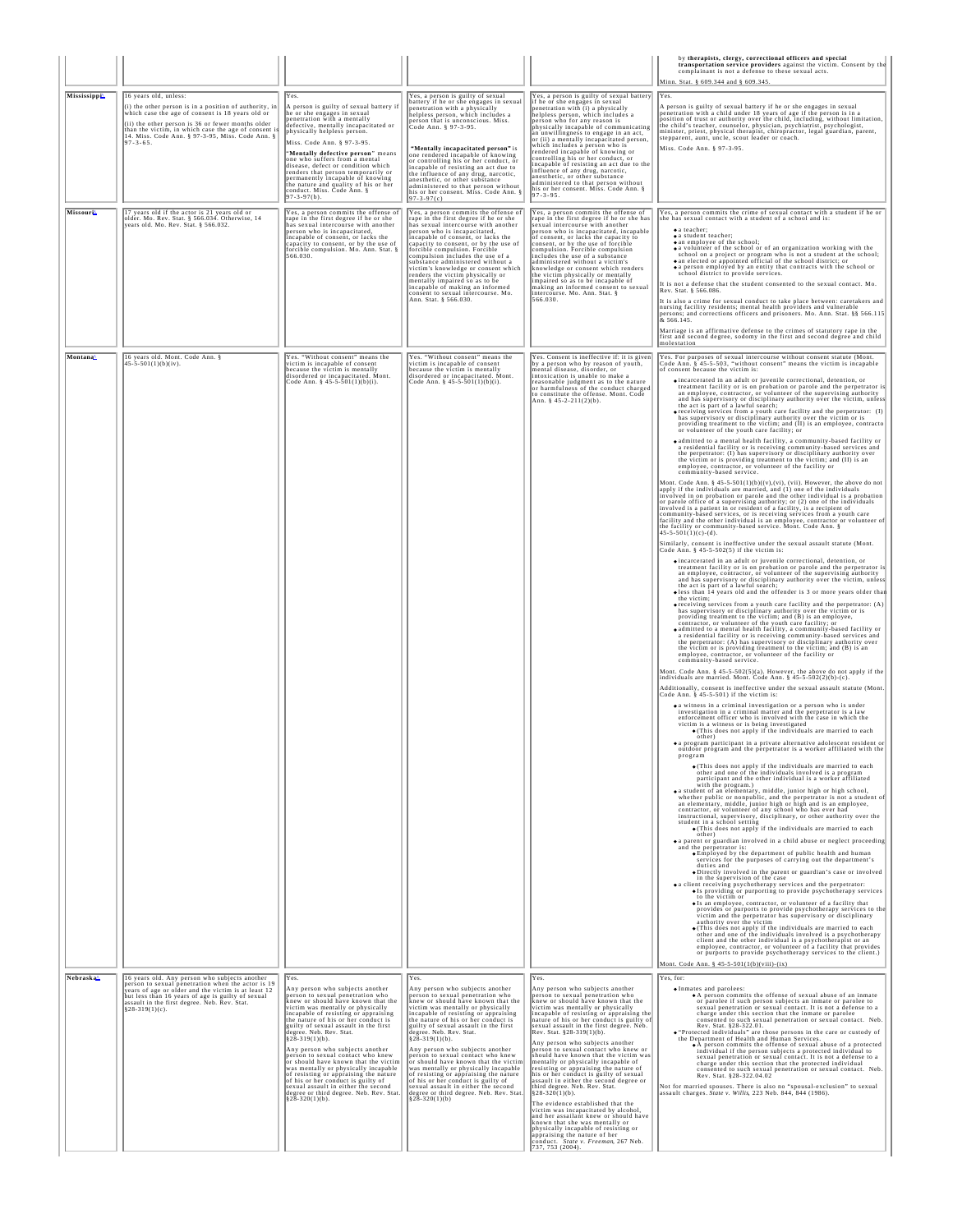|                       |                                                                                                                                                                                                                                                                                                                         |                                                                                                                                                                                                                                                                                                                                                                                                                                                                                                                                                                                                                                                                            |                                                                                                                                                                                                                                                                                                                                                                                                                                                                                                                                                                                                                                                                            |                                                                                                                                                                                                                                                                                                                                                                                                                                                                                                                                                                                                                                                                                                                                                                                                                                                                                                                                                                  | by therapists, clergy, correctional officers and special<br>transportation service providers against the victim. Consent by the complainant is not a defense to these sexual acts.<br>Minn. Stat. § 609.344 and § 609.345.                                                                                                                                                                                                                                                                                                                                                                                                                                                                                                                                                                                                                                                                                                                                                                                                                                                                                                                                                                                                                                                                                                                                                                                                                                                                                                                                                                                                                                                                                                                                                                                                                                                                                                                                                                                                                                                                                                                                                                                                                                                                                                                                                                                                                                                                                                                                                                                                                                                                                                                                                                                                                                                                                                                                                                                                                                                                                                                                                                                                                                                                                                                                                                                                                                                                                                                                                                                                                                                                                                                                                                                                                                                                                                                                                                                                                                                                                                                                                                                                                                                                                                                                                                                                                                                                                                                                                                                                                                                                                                                                                                                                                                                                                                                                                                                                                                                                                                                                                                                                                                                                                                                                                                                                                                                                                                                                                                                                                       |
|-----------------------|-------------------------------------------------------------------------------------------------------------------------------------------------------------------------------------------------------------------------------------------------------------------------------------------------------------------------|----------------------------------------------------------------------------------------------------------------------------------------------------------------------------------------------------------------------------------------------------------------------------------------------------------------------------------------------------------------------------------------------------------------------------------------------------------------------------------------------------------------------------------------------------------------------------------------------------------------------------------------------------------------------------|----------------------------------------------------------------------------------------------------------------------------------------------------------------------------------------------------------------------------------------------------------------------------------------------------------------------------------------------------------------------------------------------------------------------------------------------------------------------------------------------------------------------------------------------------------------------------------------------------------------------------------------------------------------------------|------------------------------------------------------------------------------------------------------------------------------------------------------------------------------------------------------------------------------------------------------------------------------------------------------------------------------------------------------------------------------------------------------------------------------------------------------------------------------------------------------------------------------------------------------------------------------------------------------------------------------------------------------------------------------------------------------------------------------------------------------------------------------------------------------------------------------------------------------------------------------------------------------------------------------------------------------------------|--------------------------------------------------------------------------------------------------------------------------------------------------------------------------------------------------------------------------------------------------------------------------------------------------------------------------------------------------------------------------------------------------------------------------------------------------------------------------------------------------------------------------------------------------------------------------------------------------------------------------------------------------------------------------------------------------------------------------------------------------------------------------------------------------------------------------------------------------------------------------------------------------------------------------------------------------------------------------------------------------------------------------------------------------------------------------------------------------------------------------------------------------------------------------------------------------------------------------------------------------------------------------------------------------------------------------------------------------------------------------------------------------------------------------------------------------------------------------------------------------------------------------------------------------------------------------------------------------------------------------------------------------------------------------------------------------------------------------------------------------------------------------------------------------------------------------------------------------------------------------------------------------------------------------------------------------------------------------------------------------------------------------------------------------------------------------------------------------------------------------------------------------------------------------------------------------------------------------------------------------------------------------------------------------------------------------------------------------------------------------------------------------------------------------------------------------------------------------------------------------------------------------------------------------------------------------------------------------------------------------------------------------------------------------------------------------------------------------------------------------------------------------------------------------------------------------------------------------------------------------------------------------------------------------------------------------------------------------------------------------------------------------------------------------------------------------------------------------------------------------------------------------------------------------------------------------------------------------------------------------------------------------------------------------------------------------------------------------------------------------------------------------------------------------------------------------------------------------------------------------------------------------------------------------------------------------------------------------------------------------------------------------------------------------------------------------------------------------------------------------------------------------------------------------------------------------------------------------------------------------------------------------------------------------------------------------------------------------------------------------------------------------------------------------------------------------------------------------------------------------------------------------------------------------------------------------------------------------------------------------------------------------------------------------------------------------------------------------------------------------------------------------------------------------------------------------------------------------------------------------------------------------------------------------------------------------------------------------------------------------------------------------------------------------------------------------------------------------------------------------------------------------------------------------------------------------------------------------------------------------------------------------------------------------------------------------------------------------------------------------------------------------------------------------------------------------------------------------------------------------------------------------------------------------------------------------------------------------------------------------------------------------------------------------------------------------------------------------------------------------------------------------------------------------------------------------------------------------------------------------------------------------------------------------------------------------------------------------------------------------------------------------|
| Mississippi           | 16 years old, unless:<br>(i) the other person is in a position of authority, in<br>which case the age of consent is 18 years old or<br>(ii) the other person is 36 or fewer months older<br>than the victim, in which case the age of consent is<br>14. Miss. Code Ann. § 97-3-95, Miss. Code Ann. §<br>$97 - 3 - 65$ . | Yes.<br>A person is guilty of sexual battery if<br>he or she engages in sexual<br>penetration with a mentally<br>defective, mentally incapacitated or<br>physically helpless person.<br>Miss Code Ann 8 97-3-95<br>"Mentally defective person" means<br>one who suffers from a mental<br>disease, defect or condition which<br>renders that person temporarily or<br>permanently incapable of knowing<br>the nature and quality of his or her<br>conduct. Miss. Code Ann. §<br>97-3-97(b).                                                                                                                                                                                 | Yes, a person is guilty of sexual<br>battery if he or she engages in sexual<br>penetration with a physically<br>helpless person, which includes a<br>person that is unconscious. Miss.<br>Code Ann. § 97-3-95.<br>"Mentally incapacitated person" is<br>one rendered incapable of knowing<br>or controlling his or her conduct, or<br>incapable of resisting an act due to<br>the influence of any drug, narcotic,<br>anesthetic, or other substance<br>administered to that person without<br>his or her consent. Miss. Code Ann.<br>$97 - 3 - 97(c)$                                                                                                                     | Yes, a person is guilty of sexual battery<br>if he or she engages in sexual<br>enetration with (i) a physically<br>helpless person, which includes a<br>person who for any reason is<br>physically incapable of communicating<br>an unwillingness to engage in an act,<br>or (ii) a mentally incapacitated person,<br>which includes a person who is<br>rendered incapable of knowing or<br>controlling his or her conduct, or<br>incapable of resisting an act due to the<br>influence of any drug, narcotic,<br>anesthetic, or other substance<br>administered to that person without<br>his or her consent. Miss. Code Ann. §<br>$97 - 3 - 95$                                                                                                                                                                                                                                                                                                                | IYes.<br>A person is guilty of sexual battery if he or she engages in sexual<br>penetration with a child under 18 years of age if the person is in a<br>position of trust or authority over the child, including, without limitation,<br>the child's teacher, counselor, physician, psychiatrist, psychologist,<br>minister, priest, physical therapist, chiropractor, legal guardian, parent, stepparent, aunt, uncle, scout leader or coach.<br>Miss. Code Ann. § 97-3-95.                                                                                                                                                                                                                                                                                                                                                                                                                                                                                                                                                                                                                                                                                                                                                                                                                                                                                                                                                                                                                                                                                                                                                                                                                                                                                                                                                                                                                                                                                                                                                                                                                                                                                                                                                                                                                                                                                                                                                                                                                                                                                                                                                                                                                                                                                                                                                                                                                                                                                                                                                                                                                                                                                                                                                                                                                                                                                                                                                                                                                                                                                                                                                                                                                                                                                                                                                                                                                                                                                                                                                                                                                                                                                                                                                                                                                                                                                                                                                                                                                                                                                                                                                                                                                                                                                                                                                                                                                                                                                                                                                                                                                                                                                                                                                                                                                                                                                                                                                                                                                                                                                                                                                                     |
| Missouri              | 17 years old if the actor is 21 years old or<br>older. Mo. Rev. Stat. § 566.034. Otherwise, 14<br>years old. Mo. Rev. Stat. § 566.032.                                                                                                                                                                                  | Yes, a person commits the offense of<br>res, a person common the oriental<br>rape in the first degree if he or she<br>has sexual intercourse with another<br>person who is incapacitated.<br>incapable of consent, or lacks the<br>capacity to consent, or by the use of<br>forcible compulsion. Mo. Ann. Stat. §<br>566.030.                                                                                                                                                                                                                                                                                                                                              | Yes, a person commits the offense of<br>rape in the first degree if he or she<br>has sexual intercourse with another<br>person who is incapacitated.<br>incapable of consent, or lacks the<br>capacity to consent, or by the use of<br>forcible compulsion. Forcible<br>compulsion includes the use of a<br>substance administered without a<br>victim's knowledge or consent which<br>renders the victim physically or<br>mentally impaired so as to be<br>incapable of making an informed<br>consent to sexual intercourse. Mo.<br>Ann. Stat. § 566.030.                                                                                                                 | Yes, a person commits the offense of<br>rape in the first degree if he or she has<br>sexual intercourse with another<br>person who is incapacitated, incapable<br>of consent, or lacks the capacity to<br>consent, or by the use of forcible<br>compulsion. Forcible compulsion<br>includes the use of a substance<br>administered without a victim's<br>knowledge or consent which renders<br>the victim physically or mentally<br>impaired so as to be incapable of<br>making an informed consent to sexual<br>intercourse. Mo. Ann. Stat. §<br>566.030.                                                                                                                                                                                                                                                                                                                                                                                                       | Yes, a person commits the crime of sexual contact with a student if he or<br>she has sexual contact with a student of a school and is:<br>· a teacher;<br>· a student teacher:<br><b><math>\bullet</math></b> an employee of the school;<br>o a volunteer of the school or of an organization working with the<br>school on a project or program who is not a student at the school;<br>• an elected or appointed official of the school district; or<br>o a person employed by an entity that contracts with the school or<br>school district to provide services.<br>It is not a defense that the student consented to the sexual contact. Mo.<br>Rev. Stat. § 566.086.<br>It is also a crime for sexual conduct to take place between: caretakers and<br>nursing facility residents; mental health providers and vulnerable<br>persons; and corrections officers and prisoners. Mo. Ann. Stat. §§ 566.115<br>expons; and corrections officers and prisoners. Mo. Ann. Stat. §§ 566.115<br>Marriage is an affirmative defense to the crimes of statutory rape in the<br>first and second degree, sodomy in the first and second degree and child<br>molestation                                                                                                                                                                                                                                                                                                                                                                                                                                                                                                                                                                                                                                                                                                                                                                                                                                                                                                                                                                                                                                                                                                                                                                                                                                                                                                                                                                                                                                                                                                                                                                                                                                                                                                                                                                                                                                                                                                                                                                                                                                                                                                                                                                                                                                                                                                                                                                                                                                                                                                                                                                                                                                                                                                                                                                                                                                                                                                                                                                                                                                                                                                                                                                                                                                                                                                                                                                                                                                                                                                                                                                                                                                                                                                                                                                                                                                                                                                                                                                                                                                                                                                                                                                                                                                                                                                                                                                                                                                                                                |
| Montana               | 16 years old. Mont. Code Ann. §<br>45-5-501(1)(b)(iv).                                                                                                                                                                                                                                                                  | Yes "Without consent" means the<br>victim is incapable of consent<br>because the victim is mentally<br>disordered or incapacitated. Mont.<br>Code Ann. § $45 - 5 - 501(1)(b)(i)$ .                                                                                                                                                                                                                                                                                                                                                                                                                                                                                         | Yes, "Without consent" means the<br>victim is incapable of consent<br>because the victim is mentally<br>disordered or incapacitated. Mont.<br>Code Ann. § $45 - 5 - 501(1)(b)(i)$ .                                                                                                                                                                                                                                                                                                                                                                                                                                                                                        | Yes. Consent is ineffective if: it is given<br>by a person who by reason of youth,<br>mental disease, disorder, or<br>intoxication is unable to make a<br>reasonable judgment as to the nature<br>or harmfulness of the conduct charged<br>to constitute the offense. Mont. Code<br>Ann. § 45-2-211(2)(b).                                                                                                                                                                                                                                                                                                                                                                                                                                                                                                                                                                                                                                                       | Yes. For purposes of sexual intercourse without consent statute (Mont.<br>Code Ann. § 45-5-503, "without consent" means the victim is incapable<br>of consent because the victim is:<br>$\bullet$ incarcerated in an adult or juvenile correctional, detention, or<br>treatment facility or is on probation or parole and the perpetrator is<br>an employee, contractor, or volunteer of the supervising authority<br>and has supervisory or disciplinary authority over the victim, unless<br>the act is part of a lawful search;<br>o receiving services from a youth care facility and the perpetrator: (I)<br>has supervisory or disciplinary authority over the victim or is<br>providing treatment to the victim; and (II) is an employee, contracto<br>or volunteer of the youth care facility; or<br>· admitted to a mental health facility, a community-based facility or<br>a residential facility or is receiving community-based services and the perpetrator: (I) has supervisory or disciplinary authority over<br>the victim or is providing treatment to the victim; and (II) is an employee, contractor, or volunteer of the facility or<br>community-based service.<br>Mont. Code Ann. § 45-5-501(1)(b)((v),(vi), (vii). However, the above do not<br>apply if the individuals are married, and (1) one of the individuals<br>involved in on probation or parole and the other individual is a probation<br>or parole office of a supervising authority; or (2) one of the individuals<br>involved is a patient in or resident of a facility, is a recipient of<br>community-based services, or is receiving services from a youth care<br>facility and the other individual is an employee, contractor or volunteer of<br>the facility or community-based service. Mont. Code Ann. §<br>45-5-501(1)(c)-(d).<br>Similarly, consent is ineffective under the sexual assault statute (Mont.<br>Code Ann. § 45-5-502(5) if the victim is:<br>cincarcerated in an adult or juvenile correctional, detention, or<br>treatment facility or is on probation or parole and the perpetrator is<br>an employee, contractor, or volunteer of the supervising authority<br>and has supervisory or disciplinary authority over the victim, unless<br>the act is part of a lawful search;<br>less than 14 years old and the offender is 3 or more years older than<br>the victim;<br>• receiving services from a youth care facility and the perpetrator: (A)<br>has supervisory or disciplinary authority over the victim or is<br>providing treatment to the victim; and (B) is an employee,<br>contractor, or volunteer of the youth care facility; or<br>• admitted to a mental health facility, a community-based facility or<br>a residential facility or is receiving community-based services and<br>the perpetrator: (A) has supervisory or disciplinary authority over<br>the victim or is providing treatment to the victim; and (B) is an<br>employee, contractor, or volunteer of the facility or<br>community-based service<br>Mont. Code Ann. § 45-5-502(5)(a). However, the above do not apply if the individuals are married. Mont. Code Ann. § 45-5-502(2)(b)-(c).<br>Additionally, consent is ineffective under the sexual assault statute (Mont.<br>Code Ann. § 45-5-501) if the victim is:<br>· a witness in a criminal investigation or a person who is under<br>investigation in a criminal matter and the perpetrator is a law<br>enforcement officer who is involved with the case in which the<br>victim is a witness or is being investigated<br>. (This does not apply if the individuals are married to each<br>other)<br>· a program participant in a private alternative adolescent resident or<br>outdoor program and the perpetrator is a worker affiliated with the<br>program<br>. (This does not apply if the individuals are married to each<br>other and one of the individuals involved is a program<br>participant and the other individual is a worker affiliated<br>with the program.)<br><b><math>\bullet</math></b> a student of an elementary, middle, junior high or high school.<br>whether public or nonpublic, and the perpetrator is not a student of an elementary, middle, junior high or high and is an employee,<br>contractor, or volunteer of any school who has ever had<br>instructional, supervisory, disciplinary, or other authority over the<br>student in a school setting<br>. (This does not apply if the individuals are married to each<br>other)<br>ca parent or guardian involved in a child abuse or neglect proceeding<br>and the perpetrator is:<br>. Employed by the department of public health and human<br>services for the purposes of carrying out the department's<br>duties and<br>. Directly involved in the parent or guardian's case or involved<br>in the supervision of the case<br>• a client receiving psychotherapy services and the perpetrator:<br>. Is providing or purporting to provide psychotherapy services<br>to the victim or<br>• Is an employee, contractor, or volunteer of a facility that<br>provides or purports to provide psychotherapy services to the<br>victim and the perpetrator has supervisory or disciplinary<br>authority over the victim<br>. (This does not apply if the individuals are married to each<br>other and one of the individuals involved is a psychotherapy<br>client and the other individual is a psychotherapist or an<br>employee, contractor, or volunteer of a facility that provides<br>or purports to provide psychotherapy services to the client.)<br>Mont. Code Ann. § 45-5-501(1(b)(viii)-(ix) |
| Nebraska <sup>^</sup> | 16 years old. Any person who subjects another<br>person to sexual penetration when the actor is 19<br>years of age or older and the victim is at least 12<br>but less than 16 years of age is guilty of sexual<br>assault in the first degree. Neb. Rev. Stat.<br>$$28-319(1)(c)$ .                                     | Yes.<br>Any person who subjects another<br>person to sexual penetration who<br>knew or should have known that the<br>victim was mentally or physically<br>incapable of resisting or appraising<br>the nature of his or her conduct is<br>guilty of sexual assault in the first<br>degree. Neb. Rev. Stat.<br>$828 - 319(1)(b)$ .<br>Any person who subjects another<br>person to sexual contact who knew<br>or should have known that the victim<br>was mentally or physically incapable<br>of resisting or appraising the nature<br>of his or her conduct is guilty of<br>sexual assault in either the second<br>degree or third degree. Neb. Rev. Stat<br>§28-320(1)(b). | Yes.<br>Any person who subjects another<br>person to sexual penetration who<br>knew or should have known that the<br>victim was mentally or physically<br>incapable of resisting or appraising<br>the nature of his or her conduct is<br>guilty of sexual assault in the first<br>degree. Neb. Rev. Stat.<br>$828 - 319(1)(b)$ .<br>Any person who subjects another<br>person to sexual contact who knew<br>or should have known that the victim<br>was mentally or physically incapable<br>of resisting or appraising the nature<br>of his or her conduct is guilty of<br>sexual assault in either the second<br>degree or third degree. Neb. Rev. Stat.<br>§28-320(1)(b) | Yes.<br>Any person who subjects another<br>person to sexual penetration who<br>knew or should have known that the<br>victim was mentally or physically<br>incapable of resisting or appraising the<br>nature of his or her conduct is guilty of<br>sexual assault in the first degree. Neb.<br>Rev. Stat. §28-319(1)(b)<br>Any person who subjects another<br>person to sexual contact who knew or<br>should have known that the victim was<br>mentally or physically incapable of<br>resisting or appraising the nature of<br>his or her conduct is guilty of sexual<br>assault in either the second degree or<br>third degree. Neb. Rev. Stat.<br>$$28-320(1)(b)$ .<br>The evidence established that the<br>victim was incapacitated by alcohol,<br>and her assailant knew or should have<br>known that she was mentally or<br>physically incapable of resisting or<br>appraising the nature of her<br>conduct. State v. Freeman, 267 Neb.<br>737, 753 (2004). | Yes, for:<br><b>•Inmates</b> and parolees:<br>. A person commits the offense of sexual abuse of an inmate<br>or parolee if such person subjects an inmate or parolee to<br>sexual penetration or sexual contact. It is not a defense to a<br>charge under this section that the inmate or parolee<br>consented to such sexual penetration or sexual contact. Neb<br>Rev. Stat. §28-322.01.<br>. "Protected individuals" are those persons in the care or custody of<br>the Department of Health and Human Services.<br>• À person commits the offense of sexual abuse of a protected<br>individual if the person subjects a protected individual to<br>sexual penetration or sexual contact. It is not a defense to a<br>charge under this section that the protected individual<br>consented to such sexual penetration or sexual contact. Neb.<br>Rev. Stat. §28-322.04.02<br>Not for married spouses. There is also no "spousal-exclusion" to sexual assault charges. State v. Willis, 223 Neb. 844, 844 (1986).                                                                                                                                                                                                                                                                                                                                                                                                                                                                                                                                                                                                                                                                                                                                                                                                                                                                                                                                                                                                                                                                                                                                                                                                                                                                                                                                                                                                                                                                                                                                                                                                                                                                                                                                                                                                                                                                                                                                                                                                                                                                                                                                                                                                                                                                                                                                                                                                                                                                                                                                                                                                                                                                                                                                                                                                                                                                                                                                                                                                                                                                                                                                                                                                                                                                                                                                                                                                                                                                                                                                                                                                                                                                                                                                                                                                                                                                                                                                                                                                                                                                                                                                                                                                                                                                                                                                                                                                                                                                                                                                                                                                                              |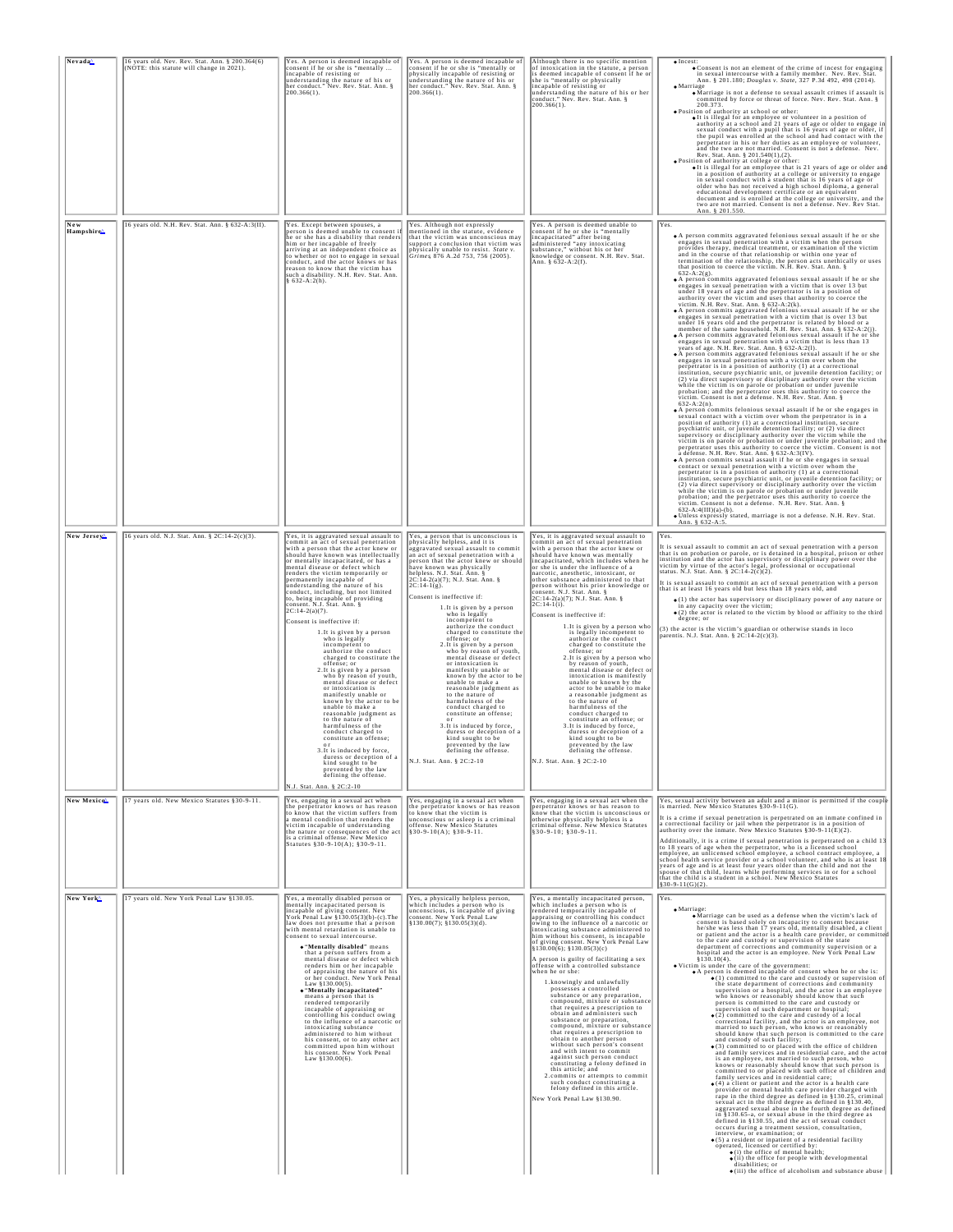| Nevada <sup>^</sup>   | 16 years old. Nev. Rev. Stat. Ann. § 200.364(6)<br>(NOTE: this statute will change in 2021). | Yes. A person is deemed incapable of<br>consent if he or she is "mentally<br>incapable of resisting or<br>understanding the nature of his or<br>her conduct." Nev. Rev. Stat. Ann. §<br>200.366(1).                                                                                                                                                                                                                                                                                                                                                                                                                                                                                                                                                                                                                                                                                                                                                                                                                                                                                                              | Yes. A person is deemed incapable of<br>consent if he or she is "mentally or<br>provided in the of such as meaning of<br>physically incapable of resisting or<br>understanding the nature of his or<br>per conduct." Nev. Rev. Stat. Ann. $\S$<br>200.366(1).                                                                                                                                                                                                                                                                                                                                                                                                                                                                                                                                                                                                                                                                                           | Although there is no specific mention<br>of intoxication in the statute, a person<br>is deemed incapable of consent if he or<br>she is "mentally or physically<br>incapable of resisting or<br>understanding the nature of his or her<br>conduct." Nev. Rev. Stat. Ann. §<br>$200.366(1)$ .                                                                                                                                                                                                                                                                                                                                                                                                                                                                                                                                                                                                                                                                                                                                                                                                | $\bullet$ Incest<br>. Consent is not an element of the crime of incest for engaging<br>in sexual intercourse with a family member. Nev. Rev. Štat.<br>Ann. § 201.180; Douglas v. State, 327 P.3d 492, 498 (2014).<br>$\bullet$ Marriage<br>• Marriage is not a defense to sexual assault crimes if assault is<br>committed by force or threat of force. Nev. Rev. Stat. Ann. §<br>200.373<br>· Position of authority at school or other:<br>o It is illegal for an employee or volunteer in a position of<br>authority at a school and 21 years of age or older to engage in<br>sexual conduct with a pupil that is 16 years of age or older, if<br>the pupil was enrolled at the school and had contact with the<br>perpetrator in his or her duties as an employee or volunteer,<br>and the two are not married. Consent is not a defense. Nev.<br>Rev. Stat. Ann. § 201.540(1),(2).<br>. Position of authority at college or other:<br>Of this illegal for an employee that is 21 years of age or older and<br>in a position of authority at a college or university to engage<br>in sexual conduct with a student that is 16 years of age or<br>older who has not received a high school diploma, a general educational development certificate or an equivalent<br>document and is enrolled at the college or university, and the<br>two are not married. Consent is not a defense. Nev. Rev Stat. Ann. § 201.550.                                                                                                                                                                                                                                                                                                                                                                                                                                                                                                                                                                                                                                                                                                                                                                                                                                                                                                                                                                                                                                                                                                                                                                                                                                                                                                                                                                                                                                                                                                                                                                                                                                  |
|-----------------------|----------------------------------------------------------------------------------------------|------------------------------------------------------------------------------------------------------------------------------------------------------------------------------------------------------------------------------------------------------------------------------------------------------------------------------------------------------------------------------------------------------------------------------------------------------------------------------------------------------------------------------------------------------------------------------------------------------------------------------------------------------------------------------------------------------------------------------------------------------------------------------------------------------------------------------------------------------------------------------------------------------------------------------------------------------------------------------------------------------------------------------------------------------------------------------------------------------------------|---------------------------------------------------------------------------------------------------------------------------------------------------------------------------------------------------------------------------------------------------------------------------------------------------------------------------------------------------------------------------------------------------------------------------------------------------------------------------------------------------------------------------------------------------------------------------------------------------------------------------------------------------------------------------------------------------------------------------------------------------------------------------------------------------------------------------------------------------------------------------------------------------------------------------------------------------------|--------------------------------------------------------------------------------------------------------------------------------------------------------------------------------------------------------------------------------------------------------------------------------------------------------------------------------------------------------------------------------------------------------------------------------------------------------------------------------------------------------------------------------------------------------------------------------------------------------------------------------------------------------------------------------------------------------------------------------------------------------------------------------------------------------------------------------------------------------------------------------------------------------------------------------------------------------------------------------------------------------------------------------------------------------------------------------------------|----------------------------------------------------------------------------------------------------------------------------------------------------------------------------------------------------------------------------------------------------------------------------------------------------------------------------------------------------------------------------------------------------------------------------------------------------------------------------------------------------------------------------------------------------------------------------------------------------------------------------------------------------------------------------------------------------------------------------------------------------------------------------------------------------------------------------------------------------------------------------------------------------------------------------------------------------------------------------------------------------------------------------------------------------------------------------------------------------------------------------------------------------------------------------------------------------------------------------------------------------------------------------------------------------------------------------------------------------------------------------------------------------------------------------------------------------------------------------------------------------------------------------------------------------------------------------------------------------------------------------------------------------------------------------------------------------------------------------------------------------------------------------------------------------------------------------------------------------------------------------------------------------------------------------------------------------------------------------------------------------------------------------------------------------------------------------------------------------------------------------------------------------------------------------------------------------------------------------------------------------------------------------------------------------------------------------------------------------------------------------------------------------------------------------------------------------------------------------------------------------------------------------------------------------------------------------------------------------------------------------------------------------------------------------------------------------------------------------------------------------------------------------------------------------------------------------------------------------------------------------------------------------------------------------------------------------------------------------------------------------------------------------------------------------------|
| Hampshire             | 16 years old. N.H. Rev. Stat. Ann. § 632-A:3(II).                                            | Yes. Except between spouses, a<br>person is deemed unable to consent it<br>he or she has a disability that renders<br>him or her incapable of freely<br>arriving at an independent choice as<br>to whether or not to engage in sexual<br>conduct, and the actor knows or has<br>reason to know that the victim has<br>such a disability. N.H. Rev. Stat. Ann.<br>§ 632-A:2(h).                                                                                                                                                                                                                                                                                                                                                                                                                                                                                                                                                                                                                                                                                                                                   | Yes. Although not expressly<br>mentioned in the statute, evidence<br>that the victim was unconscious may<br>support a conclusion that victim was<br>physically unable to resist. <i>State v.</i><br>Grimes, 876 A.2d 753, 756 (2005).                                                                                                                                                                                                                                                                                                                                                                                                                                                                                                                                                                                                                                                                                                                   | Yes. A person is deemed unable to<br>Tes. A person is deemed unable to<br>consent if he or she is "mentally<br>incapacitated" after being<br>administered "any intoxicating<br>substance," without his or her<br>knowledge or consent. N.H. Rev. Stat.<br>knowledge or consent. N.H.                                                                                                                                                                                                                                                                                                                                                                                                                                                                                                                                                                                                                                                                                                                                                                                                       | Yes.<br>. A person commits aggravated felonious sexual assault if he or she<br>engages in sexual penetration with a victim when the person<br>provides therapy, medical treatment, or examination of the victim<br>and in the course of that relationship or within one year of<br>termination of the relationship, the person acts unethically or uses that position to coerce the victim. N.H. Rev. Stat. Ann. §<br>$632 - A:2(g)$ .<br>. A person commits aggravated felonious sexual assault if he or she<br>engages in sexual penetration with a victim that is over 13 but<br>under 18 years of age and the perpetrator is in a position of<br>authority over the victim and uses that authority to coerce the victim. N.H. Rev. Stat. Ann. § 632-A:2(k).<br>• A person commits aggravated felonious sexual assault if he or she<br>engages in sexual penetration with a victim that is over 13 but<br>under 16 years old and the perpetrator is related by blood or a<br>member of the same household. N.H. Rev. Stat. Ann. § 632-A:2(j).<br>• A person commits aggravated felonious sexual assault if he or she<br>engages in sexual penetration with a victim that is less than 13<br>years of age. N.H. Rev. Stat. Ann. § 632-A:2(l).<br>• A person commits aggravated felonious sexual assault if he or she engages in sexual penetration with a victim over whom the<br>perpetrator is in a position of authority (1) at a correctional<br>institution, secure psychiatric unit, or juvenile detention facility; or<br>(2) via direct supervisory or disciplinary authority over the victim<br>while the victim is on parole or probation or under juvenile<br>probation; and the perpetrator uses this authority to coerce the victim. Consent is not a defense. N.H. Rev. Stat. Ann. §<br>$632 - A:2(n)$ .<br>. A person commits felonious sexual assault if he or she engages in<br>sexual contact with a victim over whom the perpetrator is in<br>position of authority (1) at a correctional institution, secure<br>psychiatric unit, or juvenile detention facility; or (2) via direct<br>supervisory or disciplinary authority over the victim while the<br>victim is on parole or probation or under juvenile probation; and the<br>perpetrator uses this authority to coerce the victim. Consent is not<br>a defense. N.H. Rev. Stat. Ann. § 632-A:3(IV).<br>• A person commits sexual assault if he or she engages in sexual<br>contact or sexual penetration with a victim over whom the<br>perpetrator is in a position of authority (1) at a correctional<br>institution, secure psychiatric unit, or juvenile detention facility; or<br>(2) via direct supervisory or disciplinary authority over the victim<br>while the victim is on parole or probation or under juvenile<br>probation; and the perpetrator uses this authority to coerce the victim. Consent is not a defense. N.H. Rev. Stat. Ann. §<br>$632-A:4(III)(a)-(b)$ .<br>· Unless expressly stated, marriage is not a defense. N.H. Rev. Stat. Ann. § 632-A:5. |
| New Jersey            | 16 years old. N.J. Stat. Ann. § 2C:14-2(c)(3).                                               | Yes, it is aggravated sexual assault to<br>commit an act of sexual penetration<br>with a person that the actor knew or<br>Ishould have known was intellectually<br>or mentally incapacitated, or has a<br>mental disease or defect which<br>renders the victim temporarily or<br>permanently incapable of<br>understanding the nature of his<br>conduct, including, but not limited<br>to, being incapable of providing<br>consent. N.J. Stat. Ann. §<br>2C:14-2(a)(7).<br>Consent is ineffective if:<br>1. It is given by a person<br>who is legally<br>incompetent to<br>authorize the conduct<br>charged to constitute the<br>offense; or<br>2. It is given by a person<br>who by reason of youth,<br>mental disease or defect<br>or intoxication is<br>manifestly unable or<br>known by the actor to be<br>unable to make a<br>reasonable judgment as<br>to the nature of<br>harmfulness of the<br>conduct charged to<br>constitute an offense;<br>3. It is induced by force,<br>duress or deception of a<br>kind sought to be<br>prevented by the law<br>defining the offense.<br>N.J. Stat. Ann. § 2C:2-10 | Yes, a person that is unconscious is<br>physically helpless, and it is<br>aggravated sexual assault to commit<br>an act of sexual penetration with a<br>person that the actor knew or should<br>have known was physically<br>helpless. N.J. Stat. Ann. §<br>2C:14-2(a)(7); N.J. Stat. Ann. §<br>$ 2C:14-1(g).$<br>Consent is ineffective if:<br>1. It is given by a person<br>who is legally<br>incompetent to<br>authorize the conduct<br>charged to constitute the<br>offense; or<br>2. It is given by a person<br>who by reason of youth,<br>mental disease or defect<br>or intoxication is<br>manifestly unable or<br>known by the actor to be<br>unable to make a<br>reasonable judgment as<br>to the nature of<br>harmfulness of the<br>conduct charged to<br>constitute an offense;<br>3. It is induced by force,<br>duress or deception of a<br>kind sought to be<br>prevented by the law<br>defining the offense.<br>N.J. Stat. Ann. § 2C:2-10 | Yes, it is aggravated sexual assault to<br>commit an act of sexual penetration<br>with a person that the actor knew or<br>should have known was mentally<br>incapacitated, which includes when he<br>or she is under the influence of a<br>narcotic, anesthetic, intoxicant, or<br>other substance administered to that<br>person without his prior knowledge or<br>consent. N.J. Stat. Ann. §<br>2C:14-2(a)(7); N.J. Stat. Ann. §<br>$ 2C:14-1(i) $<br>Consent is ineffective if:<br>1. It is given by a person who<br>is legally incompetent to<br>authorize the conduct<br>charged to constitute the<br>offense; or<br>2. It is given by a person who<br>by reason of youth,<br>mental disease or defect or<br>intoxication is manifestly<br>unable or known by the<br>actor to be unable to make<br>a reasonable judgment as<br>to the nature of<br>harmfulness of the<br>conduct charged to<br>constitute an offense; or<br>3. It is induced by force,<br>duress or deception of a<br>kind sought to be<br>prevented by the law<br>defining the offense.<br>N.J. Stat. Ann. § 2C:2-10 | Yes.<br>It is sexual assault to commit an act of sexual penetration with a person<br>that is on probation or parole, or is detained in a hospital, prison or other<br>institution and the actor has supervisory or disciplinary power over the victim by virtue of the actor's legal, professional or occupational<br>status. N.J. Stat. Ann. § 2C:14-2(c)(2)<br>It is sexual assault to commit an act of sexual penetration with a person<br>that is at least 16 years old but less than 18 years old, and<br>$\bullet$ (1) the actor has supervisory or disciplinary power of any nature or<br>in any capacity over the victim;<br>$\bullet$ (2) the actor is related to the victim by blood or affinity to the third<br>degree; or<br>(3) the actor is the victim's guardian or otherwise stands in loco parentis. N.J. Stat. Ann. § 2C:14-2(c)(3).                                                                                                                                                                                                                                                                                                                                                                                                                                                                                                                                                                                                                                                                                                                                                                                                                                                                                                                                                                                                                                                                                                                                                                                                                                                                                                                                                                                                                                                                                                                                                                                                                                                                                                                                                                                                                                                                                                                                                                                                                                                                                                                                                                                                   |
| New Mexico            | 17 years old. New Mexico Statutes §30-9-11.                                                  | Yes, engaging in a sexual act when<br>the perpetrator knows or has reason<br>to know that the victim suffers from<br>a mental condition that renders the<br>victim incapable of understanding<br>the nature or consequences of the act<br>is a criminal offense. New Mexico<br>Statutes §30-9-10(A); §30-9-11.                                                                                                                                                                                                                                                                                                                                                                                                                                                                                                                                                                                                                                                                                                                                                                                                   | Yes, engaging in a sexual act when<br>the perpetrator knows or has reason<br>to know that the victim is<br>unconscious or asleep is a criminal<br>offense. New Mexico Statutes<br>$$30-9-10(A); $30-9-11.$                                                                                                                                                                                                                                                                                                                                                                                                                                                                                                                                                                                                                                                                                                                                              | Yes, engaging in a sexual act when the<br>perpetrator knows or has reason to<br>know that the victim is unconscious o<br>otherwise physically helpless is a<br>criminal offense. New Mexico Statutes<br>§30-9-10; §30-9-11.                                                                                                                                                                                                                                                                                                                                                                                                                                                                                                                                                                                                                                                                                                                                                                                                                                                                | Yes, sexual activity between an adult and a minor is permitted if the couple<br>s married. New Mexico Statutes §30-9-11(G).<br>It is a crime if sexual penetration is perpetrated on an inmate confined in<br>a correctional facility or jail when the perpetrator is in a position of<br>authority over the inmate. New Mexico Statutes §30-9-11(E)(2).<br>Additionally, it is a crime if sexual penetration is perpetrated on a child 1.<br>to 18 years of age when the perpetrator, who is a licensed school<br>employee, an unlicensed school employee, a school contract employee, a<br>school health service provider or a school volunteer, and who is at least 18<br>years of age and is at least four years older than the child and not the<br>spouse of that child, learns while performing services in or for a school that the child is a student in a school. New Mexico Statutes<br>$§30-9-11(G)(2).$                                                                                                                                                                                                                                                                                                                                                                                                                                                                                                                                                                                                                                                                                                                                                                                                                                                                                                                                                                                                                                                                                                                                                                                                                                                                                                                                                                                                                                                                                                                                                                                                                                                                                                                                                                                                                                                                                                                                                                                                                                                                                                                                     |
| New York <sup>A</sup> | 17 years old. New York Penal Law §130.05.                                                    | Yes, a mentally disabled person or<br>mentally incapacitated person is<br>incapable of giving consent. New<br>York Penal Law §130.05(3)(b)-(c).The<br>law does not presume that a person<br>with mental retardation is unable to<br>consent to sexual intercourse.<br>. "Mentally disabled" means<br>that a person suffers from a<br>mental disease or defect which<br>renders him or her incapable<br>of appraising the nature of his<br>or her conduct. New York Penal<br>Law \$130,00(5).<br>. "Mentally incapacitated"<br>means a person that is<br>rendered temporarily<br>incapable of appraising or<br>controlling his conduct owing<br>to the influence of a narcotic or<br>intoxicating substance<br>administered to him without<br>his consent, or to any other act<br>committed upon him without<br>his consent. New York Penal<br>Law \$130,00(6).                                                                                                                                                                                                                                                   | Yes, a physically helpless person,<br>which includes a person who is<br>unconscious, is incapable of giving<br>consent. New York Penal Law<br>$§130.00(7);$ $§130.05(3)(d)$ .                                                                                                                                                                                                                                                                                                                                                                                                                                                                                                                                                                                                                                                                                                                                                                           | Yes, a mentally incapacitated person,<br>which includes a person who is<br>rendered temporarily incapable of<br>appraising or controlling his conduct<br>owing to the influence of a narcotic or<br>intoxicating substance administered to<br>him without his consent, is incapable<br>of giving consent. New York Penal Law<br>§130.00(6); §130.05(3)(c)<br>A person is guilty of facilitating a sex<br>offense with a controlled substance<br>when he or she:<br>1.knowingly and unlawfully<br>possesses a controlled<br>substance or any preparation.<br>compound, mixture or substance<br>that requires a prescription to<br>obtain and administers such<br>substance or preparation,<br>compound, mixture or substance<br>that requires a prescription to<br>obtain to another person<br>without such person's consent<br>and with intent to commit<br>against such person conduct<br>constituting a felony defined in<br>this article; and<br>2.commits or attempts to commit<br>such conduct constituting a<br>felony defined in this article.<br>New York Penal Law §130.90.       | Yes.<br>$\bullet \text{ Marriage:} \\ \bullet \text{ Marriage can be used as a defense when the victim's lack of} \\$<br>consent is based solely on incapacity to consent because<br>he/she was less than 17 years old, mentally disabled, a client<br>or patient and the actor is a health care provider, or committed<br>to the care and custody or supervision of the state<br>department of corrections and community supervision or a<br>hospital and the actor is an employee. New York Penal Law<br>\$130.10(4).<br>. Victim is under the care of the government:<br>• A person is deemed incapable of consent when he or she is:<br>$\bullet$ (1) committed to the care and custody or supervision o<br>the state department of corrections and community<br>supervision or a hospital, and the actor is an employee<br>who knows or reasonably should know that such<br>person is committed to the care and custody or<br>supervision of such department or hospital;<br>$\bullet$ (2) committed to the care and custody of a local<br>correctional facility, and the actor is an employee, not<br>married to such person, who knows or reasonably<br>should know that such person is committed to the care<br>and custody of such facility;<br>$\bullet$ (3) committed to or placed with the office of children<br>and family services and in residential care, and the acto<br>is an employee, not married to such person, who<br>knows or reasonably should know that such person is<br>committed to or placed with such office of children and<br>family services and in residential care:<br>$\bullet$ (4) a client or patient and the actor is a health care<br>provider or mental health care provider charged with<br>rape in the third degree as defined in §130.25, criminal sexual act in the third degree as defined in §130.40,<br>aggravated sexual abuse in the fourth degree as define<br>in §130.65-a, or sexual abuse in the third degree as<br>defined in §130.55, and the act of sexual conduct<br>occurs during a treatment session, consultation,<br>interview, or examination; or<br>$\bullet$ (5) a resident or inpatient of a residential facility<br>operated, licensed or certified by:<br>$\bullet$ (i) the office of mental health:<br>c(ii) the office for people with developmental<br>disabilities; or<br>$\bullet$ (iii) the office of alcoholism and substance abuse                                                                                                                                                                                                                                                                                                                                                                                                                                                                                                                                                                                                                                          |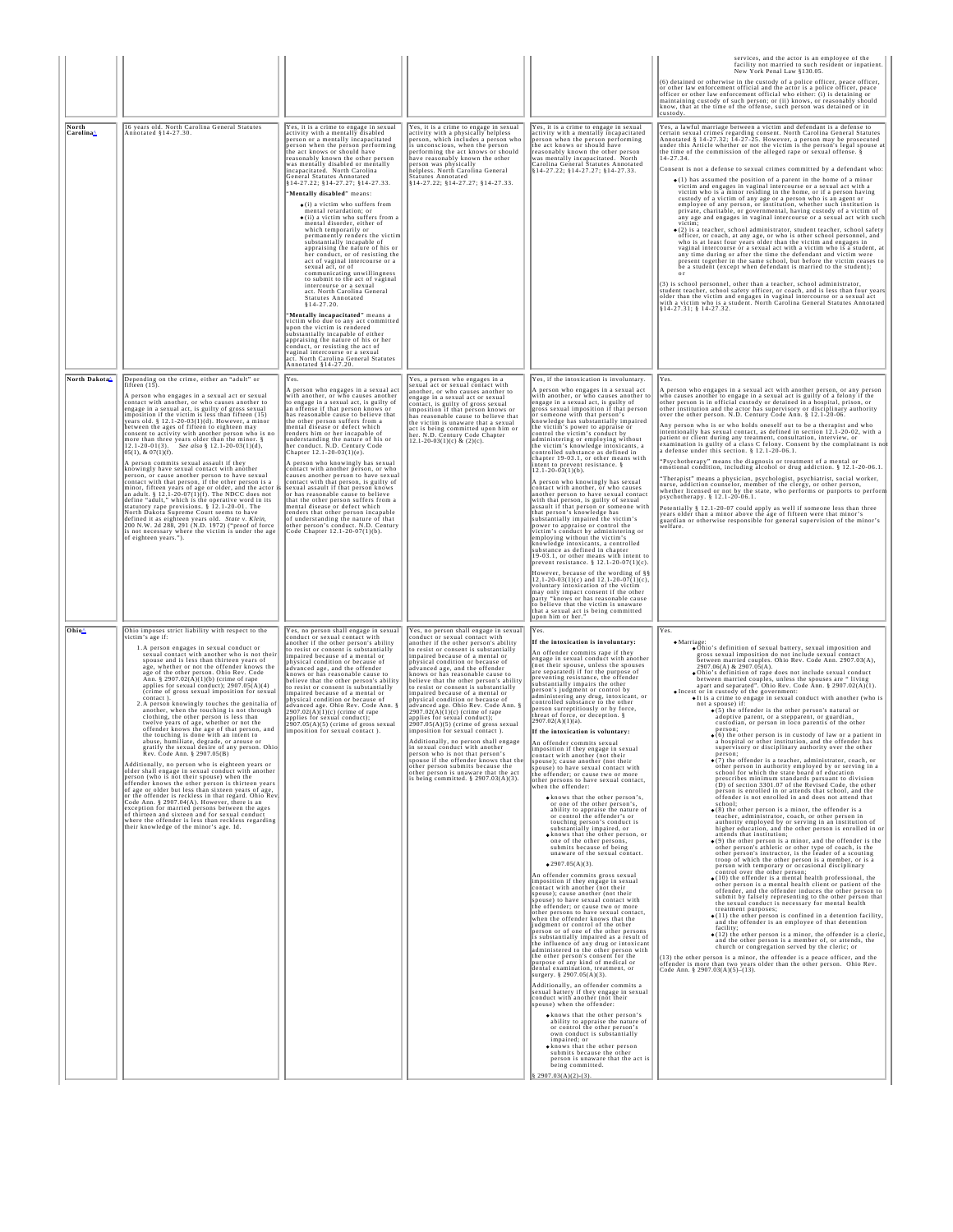|                                |                                                                                                                                                                                                                                                                                                                                                                                                                                                                                                                                                                                                                                                                                                                                                                                                                                                                                                                                                                                                                                                                                                                                                                                                                                                                                                                                                                                                                                                      |                                                                                                                                                                                                                                                                                                                                                                                                                                                                                                                                                                                                                                                                                                                                                                                                                                                                                                                                                                                                                                                                                                                                                                                                                                                                        |                                                                                                                                                                                                                                                                                                                                                                                                                                                                                                                                                                                                                                                                                                                                                                                                                                                                                                                                  |                                                                                                                                                                                                                                                                                                                                                                                                                                                                                                                                                                                                                                                                                                                                                                                                                                                                                                                                                                                                                                                                                                                                                                                                                                                                                                                                                                                                                                                                                                                                                                                                                                                                                                                                                                                                                                                                                                                                                                                                                                                                                                                                                                                                                                                                                                                                                  | services, and the actor is an employee of the<br>facility not married to such resident or inpatient.<br>New York Penal Law §130.05.                                                                                                                                                                                                                                                                                                                                                                                                                                                                                                                                                                                                                                                                                                                                                                                                                                                                                                                                                                                                                                                                                                                                                                                                                                                                                                                                                                                                                                                                                                                                                                                                                                                                                                                                                                                                                                                                                                                                                                                                                                                                                                                                                                                                                                                                                                                                                                                                                                                                                                                                                                                                                                                                                                                   |
|--------------------------------|------------------------------------------------------------------------------------------------------------------------------------------------------------------------------------------------------------------------------------------------------------------------------------------------------------------------------------------------------------------------------------------------------------------------------------------------------------------------------------------------------------------------------------------------------------------------------------------------------------------------------------------------------------------------------------------------------------------------------------------------------------------------------------------------------------------------------------------------------------------------------------------------------------------------------------------------------------------------------------------------------------------------------------------------------------------------------------------------------------------------------------------------------------------------------------------------------------------------------------------------------------------------------------------------------------------------------------------------------------------------------------------------------------------------------------------------------|------------------------------------------------------------------------------------------------------------------------------------------------------------------------------------------------------------------------------------------------------------------------------------------------------------------------------------------------------------------------------------------------------------------------------------------------------------------------------------------------------------------------------------------------------------------------------------------------------------------------------------------------------------------------------------------------------------------------------------------------------------------------------------------------------------------------------------------------------------------------------------------------------------------------------------------------------------------------------------------------------------------------------------------------------------------------------------------------------------------------------------------------------------------------------------------------------------------------------------------------------------------------|----------------------------------------------------------------------------------------------------------------------------------------------------------------------------------------------------------------------------------------------------------------------------------------------------------------------------------------------------------------------------------------------------------------------------------------------------------------------------------------------------------------------------------------------------------------------------------------------------------------------------------------------------------------------------------------------------------------------------------------------------------------------------------------------------------------------------------------------------------------------------------------------------------------------------------|--------------------------------------------------------------------------------------------------------------------------------------------------------------------------------------------------------------------------------------------------------------------------------------------------------------------------------------------------------------------------------------------------------------------------------------------------------------------------------------------------------------------------------------------------------------------------------------------------------------------------------------------------------------------------------------------------------------------------------------------------------------------------------------------------------------------------------------------------------------------------------------------------------------------------------------------------------------------------------------------------------------------------------------------------------------------------------------------------------------------------------------------------------------------------------------------------------------------------------------------------------------------------------------------------------------------------------------------------------------------------------------------------------------------------------------------------------------------------------------------------------------------------------------------------------------------------------------------------------------------------------------------------------------------------------------------------------------------------------------------------------------------------------------------------------------------------------------------------------------------------------------------------------------------------------------------------------------------------------------------------------------------------------------------------------------------------------------------------------------------------------------------------------------------------------------------------------------------------------------------------------------------------------------------------------------------------------------------------|-------------------------------------------------------------------------------------------------------------------------------------------------------------------------------------------------------------------------------------------------------------------------------------------------------------------------------------------------------------------------------------------------------------------------------------------------------------------------------------------------------------------------------------------------------------------------------------------------------------------------------------------------------------------------------------------------------------------------------------------------------------------------------------------------------------------------------------------------------------------------------------------------------------------------------------------------------------------------------------------------------------------------------------------------------------------------------------------------------------------------------------------------------------------------------------------------------------------------------------------------------------------------------------------------------------------------------------------------------------------------------------------------------------------------------------------------------------------------------------------------------------------------------------------------------------------------------------------------------------------------------------------------------------------------------------------------------------------------------------------------------------------------------------------------------------------------------------------------------------------------------------------------------------------------------------------------------------------------------------------------------------------------------------------------------------------------------------------------------------------------------------------------------------------------------------------------------------------------------------------------------------------------------------------------------------------------------------------------------------------------------------------------------------------------------------------------------------------------------------------------------------------------------------------------------------------------------------------------------------------------------------------------------------------------------------------------------------------------------------------------------------------------------------------------------------------------------------------------------|
|                                |                                                                                                                                                                                                                                                                                                                                                                                                                                                                                                                                                                                                                                                                                                                                                                                                                                                                                                                                                                                                                                                                                                                                                                                                                                                                                                                                                                                                                                                      |                                                                                                                                                                                                                                                                                                                                                                                                                                                                                                                                                                                                                                                                                                                                                                                                                                                                                                                                                                                                                                                                                                                                                                                                                                                                        |                                                                                                                                                                                                                                                                                                                                                                                                                                                                                                                                                                                                                                                                                                                                                                                                                                                                                                                                  |                                                                                                                                                                                                                                                                                                                                                                                                                                                                                                                                                                                                                                                                                                                                                                                                                                                                                                                                                                                                                                                                                                                                                                                                                                                                                                                                                                                                                                                                                                                                                                                                                                                                                                                                                                                                                                                                                                                                                                                                                                                                                                                                                                                                                                                                                                                                                  | (6) detained or otherwise in the custody of a police officer, peace officer,<br>(6) detained or otherwise in the custody of a poince official (6) detained of order law enforcement official and the actor is a police officer, peace officer or other law enforcement official who either: (i) is detaining<br>custody.                                                                                                                                                                                                                                                                                                                                                                                                                                                                                                                                                                                                                                                                                                                                                                                                                                                                                                                                                                                                                                                                                                                                                                                                                                                                                                                                                                                                                                                                                                                                                                                                                                                                                                                                                                                                                                                                                                                                                                                                                                                                                                                                                                                                                                                                                                                                                                                                                                                                                                                              |
| North<br>Carolina <sup>A</sup> | 16 years old. North Carolina General Statutes<br>Annotated §14-27.30                                                                                                                                                                                                                                                                                                                                                                                                                                                                                                                                                                                                                                                                                                                                                                                                                                                                                                                                                                                                                                                                                                                                                                                                                                                                                                                                                                                 | Yes, it is a crime to engage in sexual<br>activity with a mentally disabled<br>person or a mentally incapacitated<br>person when the person performing<br>the act knows or should have<br>reasonably known the other person<br>was mentally disabled or mentally<br>incapacitated. North Carolina<br>General Statutes Annotated<br>§14-27.22; §14-27.27; §14-27.33.<br>"Mentally disabled" means:<br>$\bullet$ (i) a victim who suffers from<br>nental retardation; or<br>$\bullet$ (ii) a victim who suffers from a<br>mental disorder, either of<br>which temporarily or<br>permanently renders the victim<br>substantially incapable of<br>appraising the nature of his or<br>her conduct, or of resisting the<br>act of vaginal intercourse or a<br>sexual act, or of<br>communicating unwillingness<br>to submit to the act of vaginal<br>intercourse or a sexual<br>act. North Carolina General<br>Statutes Annotated<br>§14-27.20.<br>"Mentally incapacitated" means a<br>victim who due to any act committed<br>upon the victim is rendered<br>substantially incapable of either<br>appraising the nature of his or her<br>conduct, or resisting the act of<br>vaginal intercourse or a sexual<br>act. North Carolina General Statutes<br>Annotated §14-27.20. | Yes, it is a crime to engage in sexual<br>activity with a physically helpless<br>person, which includes a person who<br>is unconscious, when the person who<br>performing the act knows or should<br>have reasonably known the other<br>person was physically<br>helpless. North Carolina General<br>Statutes Annotated<br>§14-27.22; §14-27.27; §14-27.33.                                                                                                                                                                                                                                                                                                                                                                                                                                                                                                                                                                      | Yes, it is a crime to engage in sexual<br>activity with a mentally incapacitated<br>person when the person performing<br>he act knows or should have<br>reasonably known the other person<br>was mentally incapacitated. North<br>Carolina General Statutes Annotated<br>§14-27.22; §14-27.27; §14-27.33.                                                                                                                                                                                                                                                                                                                                                                                                                                                                                                                                                                                                                                                                                                                                                                                                                                                                                                                                                                                                                                                                                                                                                                                                                                                                                                                                                                                                                                                                                                                                                                                                                                                                                                                                                                                                                                                                                                                                                                                                                                        | Yes, a lawful marriage between a victim and defendant is a defense to<br>certain sexual crimes regarding consent. North Carolina General Statutes<br>Annotated § 14-27.32; 14-27-25. However, a person may be prosecuted<br>under this Article whether or not the victim is the person's legal spouse at<br>the time of the commission of the alleged rape or sexual offense. §<br>14-27.34.<br>Consent is not a defense to sexual crimes committed by a defendant who:<br>$\bullet$ (1) has assumed the position of a parent in the home of a minor<br>victim and engages in vaginal intercourse or a sexual act with a<br>victim who is a minor residing in the home, or if a person having<br>custody of a victim of any age or a person who is an agent or<br>employee of any person, or institution, whether such institution is<br>private, charitable, or governmental, having custody of a victim of<br>any age and engages in vaginal intercourse or a sexual act with such<br>victim;<br>$\bullet$ (2) is a teacher, school administrator, student teacher, school safety<br>officer, or coach, at any age, or who is other school personnel, and who is at least four years older than the victim and engages in<br>vaginal intercourse or a sexual act with a victim who is a student, a<br>any time during or after the time the defendant and victim were<br>present together in the same school, but before the victim ceases to<br>be a student (except when defendant is married to the student);<br>$O\Gamma$<br>(3) is school personnel, other than a teacher, school administrator,<br>(2) is saturated the state of the state of the state of the state state and the state of the state of the state of the state of the state of the state of the state of the state of the state of the state of the state of th                                                                                                                                                                                                                                                                                                                                                                                                                                                                                                                                                                                                                                                                                                                                                                                                                                                                                                                                                                                                              |
| North Dakota                   | Depending on the crime, either an "adult" or<br>fifteen (15)<br>A person who engages in a sexual act or sexual<br>contact with another, or who causes another to<br>engage in a sexual act, is guilty of gross sexual<br>imposition if the victim is less than fifteen (15)<br>years old. § 12.1-20-03(1)(d). However, a minor<br>between the ages of fifteen to eighteen may<br>consent to activity with another person who is no<br>once than three years older than the minor. $\S$<br>12.1-20-01(3). See also $\S$ 12.1-20-03(1)(d),<br>$05(1), \& 07(1)(f).$<br>A person commits sexual assault if they<br>knowingly have sexual contact with another<br>person, or cause another person to have sexual<br>contact with that person, if the other person is a<br>minor, fifteen years of age or older, and the actor i<br>an adult. § 12.1-20-07(1)(f). The NDCC does not<br>define "adult," which is the operative word in its<br>statutory rape provisions. § 12.1-20-01. The<br>North Dakota Supreme Court seems to have<br>defined it as eighteen years old. State v. Klein,<br>200 N.W. 2d 288, 291 (N.D. 1972) ("proof of force is not necessary where the victim is under the age<br>of eighteen years.").                                                                                                                                                                                                                               | Yes.<br>A person who engages in a sexual act<br>with another, or who causes another<br>o engage in a sexual act, is guilty of<br>an offense if that person knows or<br>has reasonable cause to believe that<br>the other person suffers from a<br>mental disease or defect which<br>renders him or her incapable of<br>enderstanding the nature of his or<br>her conduct. N.D. Century Code<br>Chapter 12.1-20-03(1)(e).<br>A person who knowingly has sexual<br>contact with another person, or who<br>causes another person to have sexual<br>contact with that person, is guilty of<br>sexual assault if that person knows<br>or has reasonable cause to believe<br>hat the other person suffers from a<br>mental disease or defect which<br>renders that other person incapable<br>f understanding the nature of that<br>other person's conduct. N.D. Century<br>Code Chapter 12.1-20-07(1)(b).                                                                                                                                                                                                                                                                                                                                                                    | Yes, a person who engages in a<br>sexual act or sexual contact with<br>another, or who causes another to<br>ngage in a sexual act or sexual<br>contact, is guilty of gross sexual<br>imposition if that person knows or<br>has reasonable cause to believe that<br>the victim is unaware that a sexual<br>act is being committed upon him or<br>her. N.D. Century Code Chapter<br>12.1-20-03(1)(c) & (2)(c).                                                                                                                                                                                                                                                                                                                                                                                                                                                                                                                     | Yes, if the intoxication is involuntary.<br>A person who engages in a sexual act<br>with another, or who causes another to<br>engage in a sexual act, is guilty of<br>gross sexual imposition if that person<br>or someone with that person's<br>cnowledge has substantially impaired<br>the victim's power to appraise or<br>control the victim's conduct by<br>administering or employing without<br>the victim's knowledge intoxicants, a<br>controlled substance as defined in<br>chapter 19-03.1, or other means with<br>intent to prevent resistance. §<br>12.1-20-03(1)(b).<br>A person who knowingly has sexual<br>contact with another, or who causes<br>another person to have sexual contact<br>with that person, is guilty of sexual<br>assault if that person or someone with<br>that person's knowledge has<br>substantially impaired the victim's<br>power to appraise or control the<br>victim's conduct by administering or<br>employing without the victim's<br>knowledge intoxicants, a controlled<br>substance as defined in chapter<br>19-03.1, or other means with intent to<br>prevent resistance. § 12.1-20-07(1)(c).<br>However, because of the wording of $\S$<br>12.1-20-03(1)(c) and 12.1-20-07(1)(c), voluntary intoxication of the victim<br>may only impact consent if the other<br>party "knows or has reasonable cause<br>to believe that the victim is unaware<br>that a sexual act is being committed<br>upon him or her."                                                                                                                                                                                                                                                                                                                                                                                                                                                                                                                                                                                                                                                                                                                                                                                                                                                                                    | Yes.<br>A person who engages in a sexual act with another person, or any person<br>who causes another to engage in a sexual act is guilty of a felony if the other person is in official custody or detained in a hospital, prison, or<br>other institution and the actor has supervisory or disciplinary authority<br>over the other person. N.D. Century Code Ann. § 12.1-20-06.<br>Any person who is or who holds oneself out to be a therapist and who<br>intentionally has sexual contact, as defined in section 12.1-20-02, with a<br>patient or client during any treatment, consultation, interview, or<br>examination is guilty of a class C felony. Consent by the complainant is not<br>a defense under this section. $§ 12.1-20-06.1$ .<br>"Psychotherapy" means the diagnosis or treatment of a mental or<br>emotional condition, including alcohol or drug addiction. § 12.1-20-06.1<br>"Therapist" means a physician, psychologist, psychiatrist, social worker,<br>nurse, addiction counselor, member of the clergy, or other person,<br>whether licensed or not by the state, who performs or purports to perform<br>psychotherapy. § 12.1-20-06.1.<br>Potentially § 12.1-20-07 could apply as well if someone less than three<br>years older than a minor above the age of fifteen were that minor's<br>guardian or otherwise responsible for general supervision of the minor's<br>welfare.                                                                                                                                                                                                                                                                                                                                                                                                                                                                                                                                                                                                                                                                                                                                                                                                                                                                                                                                                                                                                                                                                                                                                                                                                                                                                                                                                                                                                                        |
| Ohio <sup>4</sup>              | Ohio imposes strict liability with respect to the<br>victim's age if:<br>1.A person engages in sexual conduct or<br>sexual contact with another who is not their<br>spouse and is less than thirteen years of<br>age, whether or not the offender knows the<br>age of the other person. Ohio Rev. Code<br>Ann. § 2907.02(A)(1)(b) (crime of rape<br>applies for sexual conduct); $2907.05(A)(4)$<br>(crime of gross sexual imposition for sexual<br>contact.)<br>2. A person knowingly touches the genitalia of<br>another, when the touching is not through<br>clothing, the other person is less than<br>twelve years of age, whether or not the<br>offender knows the age of that person, and<br>the touching is done with an intent to<br>abuse, humiliate, degrade, or arouse or<br>gratify the sexual desire of any person. Ohio<br>Rev. Code Ann. § 2907.05(B)<br>Additionally, no person who is eighteen years or<br>older shall engage in sexual conduct with another<br>person (who is not their spouse) when the<br>offender knows the other person is thirteen years<br>of age or older but less than sixteen years of age,<br>or the offender is reckless in that regard. Ohio Rev<br>Code Ann. § 2907.04(A). However, there is an<br>exception for married persons between the ages<br>of thirteen and sixteen and for sexual conduct<br>where the offender is less than reckless regarding<br>their knowledge of the minor's age. Id. | Yes, no person shall engage in sexual<br>conduct or sexual contact with<br>another if the other person's ability<br>o resist or consent is substantially<br>mpaired because of a mental or<br>shysical condition or because of<br>advanced age, and the offender<br>knows or has reasonable cause to<br>believe that the other person's ability<br>o resist or consent is substantially<br>mpaired because of a mental or<br>physical condition or because of<br>advanced age. Ohio Rev. Code Ann.<br>$2907.02(A)(1)(c)$ (crime of rape<br>applies for sexual conduct);<br>2907.05(A)(5) (crime of gross sexual<br>imposition for sexual contact).                                                                                                                                                                                                                                                                                                                                                                                                                                                                                                                                                                                                                     | Yes, no person shall engage in sexual<br>conduct or sexual contact with<br>another if the other person's ability<br>o resist or consent is substantially<br>impaired because of a mental or<br>physical condition or because of<br>advanced age, and the offender<br>knows or has reasonable cause to<br>believe that the other person's ability<br>o resist or consent is substantially<br>impaired because of a mental or<br>physical condition or because of<br>advanced age. Ohio Rev. Code Ann. §<br>$2907.02(A)(1)(c)$ (crime of rape<br>applies for sexual conduct);<br>2907.05(A)(5) (crime of gross sexual<br>imposition for sexual contact).<br>Additionally, no person shall engage<br>in sexual conduct with another<br>person who is not that person's<br>spouse if the offender knows that the<br>other person submits because the<br>other person is unaware that the act<br>is being committed. § 2907.03(A)(3). | Yes.<br>If the intoxication is involuntary:<br>An offender commits rape if they<br>engage in sexual conduct with another<br>(not their spouse, unless the spouses<br>are separated) if for the purpose of<br>reventing resistance, the offender<br>substantially impairs the other<br>person's judgment or control by<br>administering any drug, intoxicant, or<br>controlled substance to the other<br>person surreptitiously or by force,<br>threat of force, or deception. §<br>$2907.02(A)(1)(a)$ .<br>If the intoxication is voluntary:<br>An offender commits sexual<br>imposition if they engage in sexual<br>contact with another (not their<br>spouse); cause another (not their<br>spouse) to have sexual contact with<br>the offender; or cause two or more<br>other persons to have sexual contact,<br>when the offender:<br>. knows that the other person's,<br>or one of the other person's,<br>ability to appraise the nature of<br>or control the offender's or<br>touching person's conduct is<br>substantially impaired, or<br>• knows that the other person, or<br>one of the other persons,<br>submits because of being<br>unaware of the sexual contact<br>$\bullet$ 2907.05(A)(3).<br>An offender commits gross sexual<br>imposition if they engage in sexual<br>contact with another (not their<br>spouse); cause another (not their<br>spouse) to have sexual contact with<br>the offender; or cause two or more<br>other persons to have sexual contact.<br>when the offender knows that the<br>judgment or control of the other<br>person or of one of the other persons<br>is substantially impaired as a result of<br>the influence of any drug or intoxicant<br>administered to the other person with<br>the other person's consent for the<br>purpose of any kind of medical or<br>dental examination, treatment, or<br>surgery. § 2907.05(A)(3).<br>Additionally, an offender commits a<br>sexual battery if they engage in sexual<br>conduct with another (not their<br>pouse) when the offender:<br><b>*knows</b> that the other person's<br>ability to appraise the nature of<br>or control the other person's<br>own conduct is substantially<br>impaired; or<br>. knows that the other person<br>submits because the other<br>person is unaware that the act is<br>being committed.<br>$2907.03(A)(2)-(3)$ . | IYes.<br>$\bullet$ Marriage:<br>. Ohio's definition of sexual battery, sexual imposition and<br>gross sexual imposition do not include sexual contact<br>between married couples. Ohio Rev. Code Ann. 2907.03(A),<br>$2907.06(A)$ & $2907.05(A)$ .<br>. Ohio's definition of rape does not include sexual conduct<br>between married couples, unless the spouses are "living<br>apart and separated". Ohio Rev. Code Ann. § 2907.02(A)(1).<br>• Incest or in custody of the government:<br>. It is a crime to engage in sexual conduct with another (who is<br>not a spouse) if:<br>$\bullet$ (5) the offender is the other person's natural or<br>adoptive parent, or a stepparent, or guardian,<br>custodian, or person in loco parentis of the other<br>$\bullet$ (6) the other person is in custody of law or a patient in<br>a hospital or other institution, and the offender has<br>supervisory or disciplinary authority over the other<br>person:<br>$\bullet$ (7) the offender is a teacher, administrator, coach, or<br>other person in authority employed by or serving in a<br>school for which the state board of education<br>prescribes minimum standards pursuant to division<br>(D) of section 3301.07 of the Revised Code, the other<br>person is enrolled in or attends that school, and the<br>offender is not enrolled in and does not attend that<br>school:<br>$\bullet$ (8) the other person is a minor, the offender is a<br>teacher, administrator, coach, or other person in<br>authority employed by or serving in an institution of<br>higher education, and the other person is enrolled in or<br>attends that institution;<br>$\bullet$ (9) the other person is a minor, and the offender is the<br>other nerson's athletic or other type of coach is the<br>other person's instructor, is the leader of a scouting<br>troop of which the other person is a member, or is a<br>person with temporary or occasional disciplinary<br>control over the other person;<br>• (10) the offender is a mental health professional, the<br>other person is a mental health client or patient of the<br>offender, and the offender induces the other person to<br>submit by falsely representing to the other person that<br>the sexual conduct is necessary for mental health<br>treatment purposes;<br>$\bullet$ (11) the other person is confined in a detention facility<br>and the offender is an employee of that detention<br>facility;<br>$\bullet$ (12) the other person is a minor, the offender is a cleric<br>and the other person is a member of, or attends, the<br>church or congregation served by the cleric; or<br>(13) the other person is a minor, the offender is a peace officer, and the<br>offender is more than two years older than the other person. Ohio Rev.<br>Code Ann. $\S 2907.03(A)(5)$ –(13). |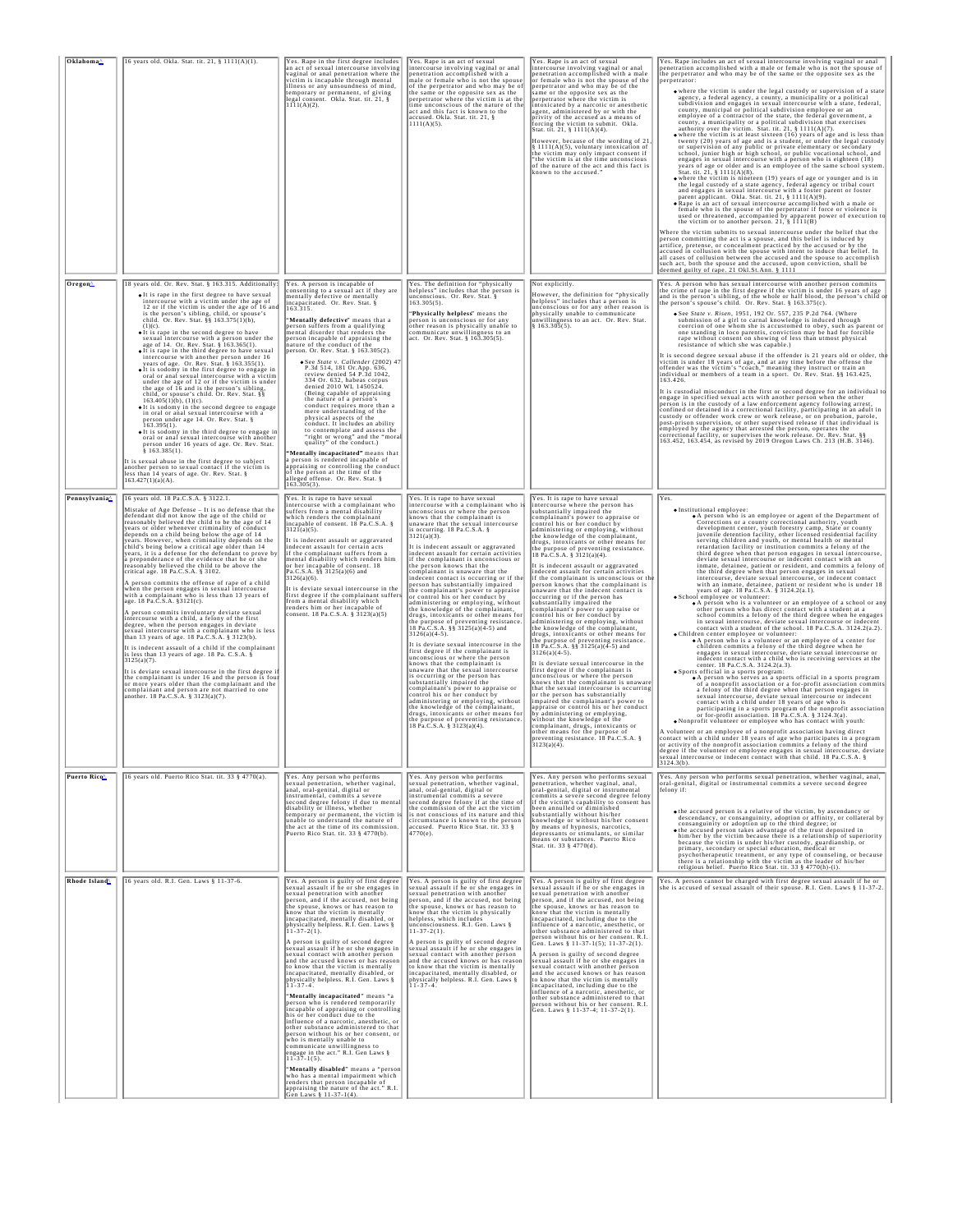| Oklahoma^                 | 16 years old. Okla. Stat. tit. 21, § 1111(A)(1).                                                                                                                                                                                                                                                                                                                                                                                                                                                                                                                                                                                                                                                                                                                                                                                                                                                                                                                                                                                                                                                                                                                                                                                                                                                                                                                                                                                                | Yes. Rape in the first degree includes<br>an act of sexual intercourse involving<br>vaginal or anal penetration where the<br>victim is incapable through mental<br>illness or any unsoundness of mind,<br>temporary or permanent, of giving<br>legal consent. Okla. Stat. tit. 21, §<br>1111(A)(2).                                                                                                                                                                                                                                                                                                                                                                                                                                                                                                                                                                                                                                                                                                                                                                                                                                                                                                                                   | Yes. Rape is an act of sexual<br>intercourse involving vaginal or anal<br>penetration accomplished with a<br>nale or female who is not the spouse<br>of the perpetrator and who may be of<br>the same or the opposite sex as the<br>perpetrator where the victim is at the<br>time unconscious of the nature of the<br>act and this fact is known to the<br>accused. Okla. Stat. tit. 21, $\S$<br>1111(A)(5).                                                                                                                                                                                                                                                                                                                                                                                                                                                                                                                                                                                                                                                                                                                                                                                                                                                                                                                                  | Yes. Rape is an act of sexual<br>intercourse involving vaginal or anal<br>penetration accomplished with a male<br>or female who is not the spouse of the<br>perpetrator and who may be of the<br>same or the opposite sex as the<br>perpetrator where the victim is<br>ntoxicated by a narcotic or anesthetic<br>agent, administered by or with the<br>privity of the accused as a means of<br>forcing the victim to submit. Okla.<br>Stat. tit. 21, § 1111(A)(4).<br>However, because of the wording of 21<br>§ 1111(A)(5), voluntary intoxication of<br>the victim may only impact consent if<br>"the victim is at the time unconscious<br>of the nature of the act and this fact is<br>known to the accused.                                                                                                                                                                                                                                                                                                                                                                                                                                                                                                                                                                                                                                                                                                                                                              | Yes. Rape includes an act of sexual intercourse involving vaginal or anal<br>penetration accomplished with a male or female who is not the spouse of<br>the perpetrator and who may be of the same or the opposite sex as the<br>. where the victim is under the legal custody or supervision of a state<br>agency, a federal agency, a county, a municipality or a political subdivision and engages in sexual intercourse with a state, federal,<br>county, municipal or political subdivision employee or an<br>employee of a contractor of the state, the federal government, a<br>county, a municipality or a political subdivision that exercises<br>authority over the victim. Stat. tit. $21, \frac{8}{3}$ 1111(A)(7).<br>Where the victim is at least sixteen (16) years of age and is less than<br>twenty (20) years of age and is a student, or under the legal custody<br>or supervision of any public or private elementary or secondary<br>school, junior high or high school, or public vocational school, and<br>engages in sexual intercourse with a person who is eighteen (18)<br>years of age or older and is an employee of the same school system<br>Stat. tit. 21, § 1111(A)(8).<br>where the victim is nineteen (19) years of age or younger and is in<br>the legal custody of a state agency, federal agency or tribal court<br>and engages in sexual intercourse with a foster parent or foster<br>parent applicant. Okla. Stat. tit. 21, § 1111(A)(9).<br>• Rape is an act of sexual intercourse accomplished with a male or<br>female who is the spouse of the perpetrator if force or violence is<br>used or threatened, accompanied by apparent power of execution to<br>the victim or to another person. 21, § 1111(B)<br>Where the victim submits to sexual intercourse under the belief that the<br>person committing the act is a spouse, and this belief is induced by<br>artifice, pretense, or concealment practiced by the accused or by the<br>accused in collusion with the spouse with intent to induce that belief. In all cases of collusion between the accused and the spouse to accomplish                                                                                                                                                                                                                                                                                                                                                                                       |
|---------------------------|-------------------------------------------------------------------------------------------------------------------------------------------------------------------------------------------------------------------------------------------------------------------------------------------------------------------------------------------------------------------------------------------------------------------------------------------------------------------------------------------------------------------------------------------------------------------------------------------------------------------------------------------------------------------------------------------------------------------------------------------------------------------------------------------------------------------------------------------------------------------------------------------------------------------------------------------------------------------------------------------------------------------------------------------------------------------------------------------------------------------------------------------------------------------------------------------------------------------------------------------------------------------------------------------------------------------------------------------------------------------------------------------------------------------------------------------------|---------------------------------------------------------------------------------------------------------------------------------------------------------------------------------------------------------------------------------------------------------------------------------------------------------------------------------------------------------------------------------------------------------------------------------------------------------------------------------------------------------------------------------------------------------------------------------------------------------------------------------------------------------------------------------------------------------------------------------------------------------------------------------------------------------------------------------------------------------------------------------------------------------------------------------------------------------------------------------------------------------------------------------------------------------------------------------------------------------------------------------------------------------------------------------------------------------------------------------------|------------------------------------------------------------------------------------------------------------------------------------------------------------------------------------------------------------------------------------------------------------------------------------------------------------------------------------------------------------------------------------------------------------------------------------------------------------------------------------------------------------------------------------------------------------------------------------------------------------------------------------------------------------------------------------------------------------------------------------------------------------------------------------------------------------------------------------------------------------------------------------------------------------------------------------------------------------------------------------------------------------------------------------------------------------------------------------------------------------------------------------------------------------------------------------------------------------------------------------------------------------------------------------------------------------------------------------------------|------------------------------------------------------------------------------------------------------------------------------------------------------------------------------------------------------------------------------------------------------------------------------------------------------------------------------------------------------------------------------------------------------------------------------------------------------------------------------------------------------------------------------------------------------------------------------------------------------------------------------------------------------------------------------------------------------------------------------------------------------------------------------------------------------------------------------------------------------------------------------------------------------------------------------------------------------------------------------------------------------------------------------------------------------------------------------------------------------------------------------------------------------------------------------------------------------------------------------------------------------------------------------------------------------------------------------------------------------------------------------------------------------------------------------------------------------------------------------|--------------------------------------------------------------------------------------------------------------------------------------------------------------------------------------------------------------------------------------------------------------------------------------------------------------------------------------------------------------------------------------------------------------------------------------------------------------------------------------------------------------------------------------------------------------------------------------------------------------------------------------------------------------------------------------------------------------------------------------------------------------------------------------------------------------------------------------------------------------------------------------------------------------------------------------------------------------------------------------------------------------------------------------------------------------------------------------------------------------------------------------------------------------------------------------------------------------------------------------------------------------------------------------------------------------------------------------------------------------------------------------------------------------------------------------------------------------------------------------------------------------------------------------------------------------------------------------------------------------------------------------------------------------------------------------------------------------------------------------------------------------------------------------------------------------------------------------------------------------------------------------------------------------------------------------------------------------------------------------------------------------------------------------------------------------------------------------------------------------------------------------------------------------------------------------------------------------------------------------------------------------------------------------------------------------------------------------------------------------------------------------------------------------------------------------------------------------------------------------------------------------------------------|
| Oregon <sup>4</sup>       | 18 years old. Or. Rev. Stat. § 163.315. Additionally:<br>· It is rape in the first degree to have sexual<br>intercourse with a victim under the age of<br>12 or if the victim is under the age of 16 and<br>is the person's sibling, child, or spouse's<br>child. Or. Rev. Stat. §§ 163.375(1)(b),<br>$(1)(c)$ .<br>o It is rape in the second degree to have<br>sexual intercourse with a person under the<br>age of 14. Or. Rev. Stat. § 163.365(1).<br>. It is rape in the third degree to have sexual<br>intercourse with another person under 16<br>years of age. Or. Rev. Stat. § 163.355(1).<br>• It is sodomy in the first degree to engage in<br>oral or anal sexual intercourse with a victim<br>under the age of 12 or if the victim is under<br>the age of 16 and is the person's sibling,<br>child, or spouse's child. Or. Rev. Stat. $\S$ § 163.405(1)(b), (1)(c).<br>. It is sodomy in the second degree to engage<br>in oral or anal sexual intercourse with a<br>person under age 14. Or. Rev. Stat. §<br>$163.395(1)$ .<br>. It is sodomy in the third degree to engage in<br>oral or anal sexual intercourse with another<br>person under 16 years of age. Or. Rev. Stat.<br>$$163.385(1)$ .<br>It is sexual abuse in the first degree to subject<br>another person to sexual contact if the victim is<br>less than 14 years of age. Or. Rev. Stat. §<br>$163.427(1)(a)(A)$ .                                                | Yes. A person is incapable of<br>consenting to a sexual act if they are<br>nentally defective or mentally<br>incapacitated. Or. Rev. Stat. §<br>'Mentally defective" means that a<br>person suffers from a qualifying<br>mental disorder that renders the<br>erson incapable of appraising the<br>nature of the conduct of the<br>person. Or. Rev. Stat. § 163.305(2).<br>See State v. Callender (2002) 47<br>P.3d 514, 181 Or. App. 636,<br>review denied 54 P.3d 1042,<br>334 Or. 632, habeas corpus<br>denied 2010 WL 1450524.<br>(Being capable of appraising<br>the nature of a person's<br>conduct requires more than a<br>mere understanding of the<br>physical aspects of the<br>conduct. It includes an ability<br>to contemplate and assess the<br>"right or wrong" and the "mora<br>quality" of the conduct.)<br>'Mentally incapacitated" means that<br>a person is rendered incapable of<br>appraising or controlling the conduct<br>of the person at the time of the<br>alleged offense. Or. Rev. Stat. §<br>163.305(3).                                                                                                                                                                                                 | Yes. The definition for "physically<br>helpless" includes that the person is<br>unconscious. Or. Rev. Stat. §<br>163.305(5)<br>"Physically helpless" means the<br>person is unconscious or for any<br>other reason is physically unable to<br>communicate unwillingness to an<br>act. Or. Rev. Stat. § 163.305(5).                                                                                                                                                                                                                                                                                                                                                                                                                                                                                                                                                                                                                                                                                                                                                                                                                                                                                                                                                                                                                             | Not explicitly.<br>However, the definition for "physically<br>helpless" includes that a person is<br>unconscious or for any other reason i<br>physically unable to communicate<br>unwillingness to an act. Or. Rev. Stat.<br>§ 163.305(5).                                                                                                                                                                                                                                                                                                                                                                                                                                                                                                                                                                                                                                                                                                                                                                                                                                                                                                                                                                                                                                                                                                                                                                                                                                   | such act, both the spouse and the accused, upon conviction, shall be deemed guilty of rape. 21 Okl.St.Ann. § 1111<br>Yes. A person who has sexual intercourse with another person commits<br>the crime of rape in the first degree if the victim is under 16 years of age<br>and is the person's sibling, of the whole or half blood, the person's child of<br>the person's spouse's child. Or. Rev. Stat. § 163.375(c).<br>See State v. Risen, 1951, 192 Or. 557, 235 P.2d 764. (Where<br>submission of a girl to carnal knowledge is induced through<br>coercion of one whom she is accustomed to obey, such as parent or<br>one standing in loco parentis, conviction may be had for forcible<br>rape without consent on showing of less than utmost physical<br>resistance of which she was capable.)<br>It is second degree sexual abuse if the offender is 21 years old or older, the<br>victim is under 18 years of age, and at any time before the offense the offense was the victim is "coach," meaning they instruct or train an<br>individual or members of a team in a sport. Or. Rev. Stat. §§ 163.425,<br>163.426.<br>It is custodial misconduct in the first or second degree for an individual to<br>engage in specified sexual acts with another person when the other<br>person is in the custody of a law enforcement agency following arrest,<br>confined or detained in a correctional facility, participating in an adult in custody or offender work crew or work release, or on probation, parole,<br>post-prison supervision, or other supervised release if that individual is<br>employed by the agency that arrested the person, operates the<br>correctional facility, or supervises the work release. Or. Rev. Stat. §§<br>163.452, 163.454, as revised by 2019 Oregon Laws Ch. 213 (H.B. 3146).                                                                                                                                                                                                                                                                                                                                                                                                                                                                                                                                                                                                                                                                                                |
| Pennsylvania <sup>4</sup> | 16 years old. 18 Pa.C.S.A. § 3122.1.<br>Mistake of Age Defense - It is no defense that the<br>defendant did not know the age of the child or<br>reasonably believed the child to be the age of 14<br>years or older whenever criminality of conduct<br>depends on a child being below the age of 14<br>years. However, when criminality depends on the<br>child's being below a critical age older than 14<br>years, it is a defense for the defendant to prove by<br>a preponderance of the evidence that he or she<br>reasonably believed the child to be above the<br>critical age. 18 Pa.C.S.A. § 3102.<br>A person commits the offense of rape of a child<br>when the person engages in sexual intercourse<br>with a complainant who is less than 13 years of<br>age. 18 Pa.C.S.A. §3121(c).<br>A person commits involuntary deviate sexual<br>intercourse with a child, a felony of the first<br>degree, when the person engages in deviate<br>sexual intercourse with a complainant who is less<br>than 13 years of age. 18 Pa.C.S.A. § 3123(b).<br>It is indecent assault of a child if the complainant<br>is less than 13 years of age. 18 Pa. C.S.A. §<br>$3125(a)(7)$ .<br>It is deviate sexual intercourse in the first degree it<br>the complainant is under 16 and the person is four<br>or more years older than the complainant and the<br>complainant and person are not married to one<br>another. 18 Pa.C.S.A. § 3123(a)(7). | Yes. It is rape to have sexual<br>intercourse with a complainant who<br>suffers from a mental disability<br>which renders the complainant<br>incapable of consent. 18 Pa.C.S.A. §<br>$3121(a)(5)$ .<br>It is indecent assault or aggravated<br>indecent assault for certain acts<br>if the complainant suffers from a<br>mental disability which renders him<br>or her incapable of consent. 18<br>Pa.C.S.A. §§ 3125(a)(6) and<br>$3126(a)(6)$ .<br>It is deviate sexual intercourse in the<br>first degree if the complainant suffers<br>from a mental disability which<br>renders him or her incapable of<br>onsent. 18 Pa.C.S.A. § 3123(a)(5)                                                                                                                                                                                                                                                                                                                                                                                                                                                                                                                                                                                      | Yes. It is rape to have sexual<br>intercourse with a complainant who i<br>unconscious or where the person<br>knows that the complainant is<br>unaware that the sexual intercourse<br>is occurring. 18 Pa.C.S.A. §<br>$3121(a)(3)$ .<br>It is indecent assault or aggravated<br>indecent assault for certain activities<br>if the complainant is unconscious or<br>the person knows that the<br>complainant is unaware that the<br>indecent contact is occurring or if the<br>person has substantially impaired<br>the complainant's power to appraise<br>or control his or her conduct by<br>administering or employing, without<br>the knowledge of the complainant,<br>drugs, intoxicants or other means for<br>the purpose of preventing resistance.<br>18 Pa.C.S.A. §§ 3125(a)(4-5) and<br>$3126(a)(4-5)$ .<br>It is deviate sexual intercourse in the<br>first degree if the complainant is<br>unconscious or where the person<br>knows that the complainant is<br>unaware that the sexual intercourse<br>is occurring or the person has<br>substantially impaired the<br>complainant's power to appraise or<br>control his or her conduct by<br>administering or employing, without<br>the knowledge of the complainant,<br>drugs, intoxicants or other means for<br>the purpose of preventing resistance.<br>18 Pa.C.S.A. § 3123(a)(4). | Yes. It is rape to have sexual<br>intercourse where the person has<br>substantially impaired the<br>complainant's power to appraise or<br>control his or her conduct by<br>administering or employing, without<br>the knowledge of the complainant,<br>drugs, intoxicants or other means for<br>the purpose of preventing resistance.<br>18 Pa.C.S.A. § 3121(a)(4).<br>It is indecent assault or aggravated<br>ndecent assault for certain activities<br>if the complainant is unconscious or the<br>person knows that the complainant is<br>unaware that the indecent contact is<br>occurring or if the person has<br>substantially impaired the<br>complainant's power to appraise or<br>control his or her conduct by<br>administering or employing, without<br>the knowledge of the complainant,<br>drugs, intoxicants or other means for<br>the purpose of preventing resistance.<br>18 Pa.C.S.A. §§ 3125(a)(4-5) and<br>$3126(a)(4-5)$ .<br>It is deviate sexual intercourse in the<br>first degree if the complainant is<br>unconscious or where the person<br>knows that the complainant is unaware<br>that the sexual intercourse is occurring<br>or the person has substantially<br>impaired the complainant's power to<br>appraise or control his or her conduct<br>by administering or employing,<br>without the knowledge of the<br>complainant, drugs, intoxicants or<br>other means for the purpose of<br>preventing resistance. 18 Pa.C.S.A. §<br>3123(a)(4) | Yes.<br>· Institutional employee:<br>. A person who is an employee or agent of the Department of<br>Corrections or a county correctional authority, youth<br>development center, youth forestry camp, State or county<br>juvenile detention facility, other licensed residential facility<br>serving children and youth, or mental health or mental<br>retardation facility or institution commits a felony of the<br>third degree when that person engages in sexual intercourse,<br>deviate sexual intercourse or indecent contact with an<br>inmate, detainee, patient or resident, and commits a felony of<br>the third degree when that person engages in sexual<br>intercourse, deviate sexual intercourse, or indecent contact<br>with an inmate, detainee, patient or resident who is under 18<br>years of age. 18 Pa.C.S.A. § 3124.2(a.1).<br>• School employee or volunteer:<br>• A person who is a volunteer or an employee of a school or any<br>other person who has direct contact with a student at a<br>school commits a felony of the third degree when he engages<br>in sexual intercourse, deviate sexual intercourse or indecent<br>contact with a student of the school. 18 Pa.C.S.A. 3124.2(a.2).<br>• Children center employee or volunteer:<br>• A person who is a volunteer or an employee of a center for<br>children commits a felony of the third degree when he<br>engages in sexual intercourse, deviate sexual intercourse or<br>indecent contact with a child who is receiving services at the<br>center. 18 Pa.C.S.A. 3124.2(a.3).<br>• Sports official in a sports program:<br>• A person who serves as a sports official in a sports program<br>of a nonprofit association or a for-profit association commits<br>a felony of the third degree when that person engages in<br>sexual intercourse, deviate sexual intercourse or indecent<br>contact with a child under 18 years of age who is<br>participating in a sports program of the nonprofit association<br>or for-profit association. 18 Pa.C.S.A. § 3124.3(a).<br>. Nonprofit volunteer or employee who has contact with youth:<br>A volunteer or an employee of a nonprofit association having direct<br>contact with a child under 18 years of age who participates in a program<br>or activity of the nonprofit association commits a felony of the third<br>degree if the volunteer or employee engages in sexual intercourse, deviate sexual intercourse or indecent contact with that child. 18 Pa.C.S.A. §<br>$3124.3(b)$ . |
| Puerto Rico               | 16 years old. Puerto Rico Stat. tit. 33 § 4770(a).                                                                                                                                                                                                                                                                                                                                                                                                                                                                                                                                                                                                                                                                                                                                                                                                                                                                                                                                                                                                                                                                                                                                                                                                                                                                                                                                                                                              | Yes. Any person who performs<br>sexual penetration, whether vaginal,<br>anal, oral-genital, digital or<br>instrumental, commits a severe<br>second degree felony if due to mental<br>disability or illness, whether<br>emporary or permanent, the victim<br>unable to understand the nature of<br>the act at the time of its commission<br>Puerto Rico Stat. tit. 33 § 4770(b).                                                                                                                                                                                                                                                                                                                                                                                                                                                                                                                                                                                                                                                                                                                                                                                                                                                       | Yes. Any person who performs<br>sexual penetration, whether vaginal,<br>anal, oral-genital, digital or<br>instrumental commits a severe<br>second degree felony if at the time of<br>the commission of the act the victim<br>s not conscious of its nature and this<br>circumstance is known to the person<br>accused. Puerto Rico Stat. tit. 33 §<br>4770(e).                                                                                                                                                                                                                                                                                                                                                                                                                                                                                                                                                                                                                                                                                                                                                                                                                                                                                                                                                                                 | Yes. Any person who performs sexual<br>penetration, whether vaginal, anal,<br>oral-genital, digital or instrumental<br>commits a severe second degree felony<br>if the victim's capability to consent has<br>been annulled or diminished<br>substantially without his/her<br>knowledge or without his/her consent<br>by means of hypnosis, narcotics,<br>depressants or stimulants, or similar<br>means or substances. Puerto Rico<br>Stat. tit. 33 § 4770(d).                                                                                                                                                                                                                                                                                                                                                                                                                                                                                                                                                                                                                                                                                                                                                                                                                                                                                                                                                                                                               | Yes. Any person who performs sexual penetration, whether vaginal, anal,<br>oral-genital, digital or instrumental commits a severe second degree<br>felony if:<br>$\bullet$ the accused person is a relative of the victim, by ascendancy or<br>descendancy, or consanguinity, adoption or affinity, or collateral by<br>consanguinity or adoption up to the third degree; or<br>• the accused person takes advantage of the trust deposited in<br>him/her by the victim because there is a relationship of superiority<br>because the victim is under his/her custody, guardianship, or<br>primary, secondary or special education, medical or<br>psychotherapeutic treatment, or any type of counseling, or because<br>there is a relationship with the victim as the leader of his/her<br>religious belief. Puerto Rico Stat. tit. 33 § 4770(h)-(i).                                                                                                                                                                                                                                                                                                                                                                                                                                                                                                                                                                                                                                                                                                                                                                                                                                                                                                                                                                                                                                                                                                                                                                                                                                                                                                                                                                                                                                                                                                                                                                                                                                                                         |
| Rhode Island <sup>A</sup> | 16 years old. R.I. Gen. Laws § 11-37-6.                                                                                                                                                                                                                                                                                                                                                                                                                                                                                                                                                                                                                                                                                                                                                                                                                                                                                                                                                                                                                                                                                                                                                                                                                                                                                                                                                                                                         | Yes. A person is guilty of first degree<br>sexual assault if he or she engages in<br>sexual penetration with another<br>person, and if the accused, not being<br>the spouse, knows or has reason to<br>know that the victim is mentally<br>incapacitated, mentally disabled, or<br>physically helpless. R.I. Gen. Laws §<br>11-37-2(1).<br>A person is guilty of second degree<br>sexual assault if he or she engages in<br>sexual contact with another person<br>and the accused knows or has reason<br>to know that the victim is mentally<br>incapacitated, mentally disabled, or<br>physically helpless. R.I. Gen. Laws § 11-37-4.<br>"Mentally incapacitated" means "a<br>person who is rendered temporarily<br>incapable of appraising or controlling<br>his or her conduct due to the<br>influence of a narcotic, anesthetic, or<br>other substance administered to that<br>person without his or her consent, or<br>who is mentally unable to<br>communicate unwillingness to<br>engage in the act." R.I. Gen Laws §<br>$11 - 37 - 1(5)$ .<br>"Mentally disabled" means a "person<br>who has a mental impairment which<br>renders that person incapable of<br>appraising the nature of the act." R.I<br>en Laws § 11-37-1(4). | Yes. A person is guilty of first degree<br>sexual assault if he or she engages in<br>sexual penetration with another<br>person. and if the accused, not being<br>the spouse, knows or has reason to<br>know that the victim is physically<br>helpless, which includes<br>unconsciousness. R.I. Gen. Laws §<br>$11 - 37 - 2(1)$ .<br>A person is guilty of second degree<br>sexual assault if he or she engages in<br>sexual contact with another person<br>and the accused knows or has reason<br>to know that the victim is mentally<br>incapacitated, mentally disabled, or<br>physically helpless. R.I. Gen. Laws § 11-37-4.                                                                                                                                                                                                                                                                                                                                                                                                                                                                                                                                                                                                                                                                                                                | Yes. A person is guilty of first degree<br>sexual assault if he or she engages in<br>sexual penetration with another<br>person, and if the accused, not being<br>the spouse, knows or has reason to<br>know that the victim is mentally<br>incapacitated, including due to the<br>influence of a narcotic, anesthetic, or<br>other substance administered to that<br>person without his or her consent. R.I<br>Gen. Laws § 11-37-1(5); 11-37-2(1).<br>A person is guilty of second degree<br>sexual assault if he or she engages in<br>sexual contact with another person<br>and the accused knows or has reason<br>to know that the victim is mentally<br>incapacitated, including due to the<br>influence of a narcotic, anesthetic, or<br>other substance administered to that<br>person without his or her consent. R.I<br>Gen. Laws § 11-37-4; 11-37-2(1).                                                                                                                                                                                                                                                                                                                                                                                                                                                                                                                                                                                                              | Yes. A person cannot be charged with first degree sexual assault if he or she is accused of sexual assault of their spouse. R.I. Gen. Laws § 11-37-2.                                                                                                                                                                                                                                                                                                                                                                                                                                                                                                                                                                                                                                                                                                                                                                                                                                                                                                                                                                                                                                                                                                                                                                                                                                                                                                                                                                                                                                                                                                                                                                                                                                                                                                                                                                                                                                                                                                                                                                                                                                                                                                                                                                                                                                                                                                                                                                          |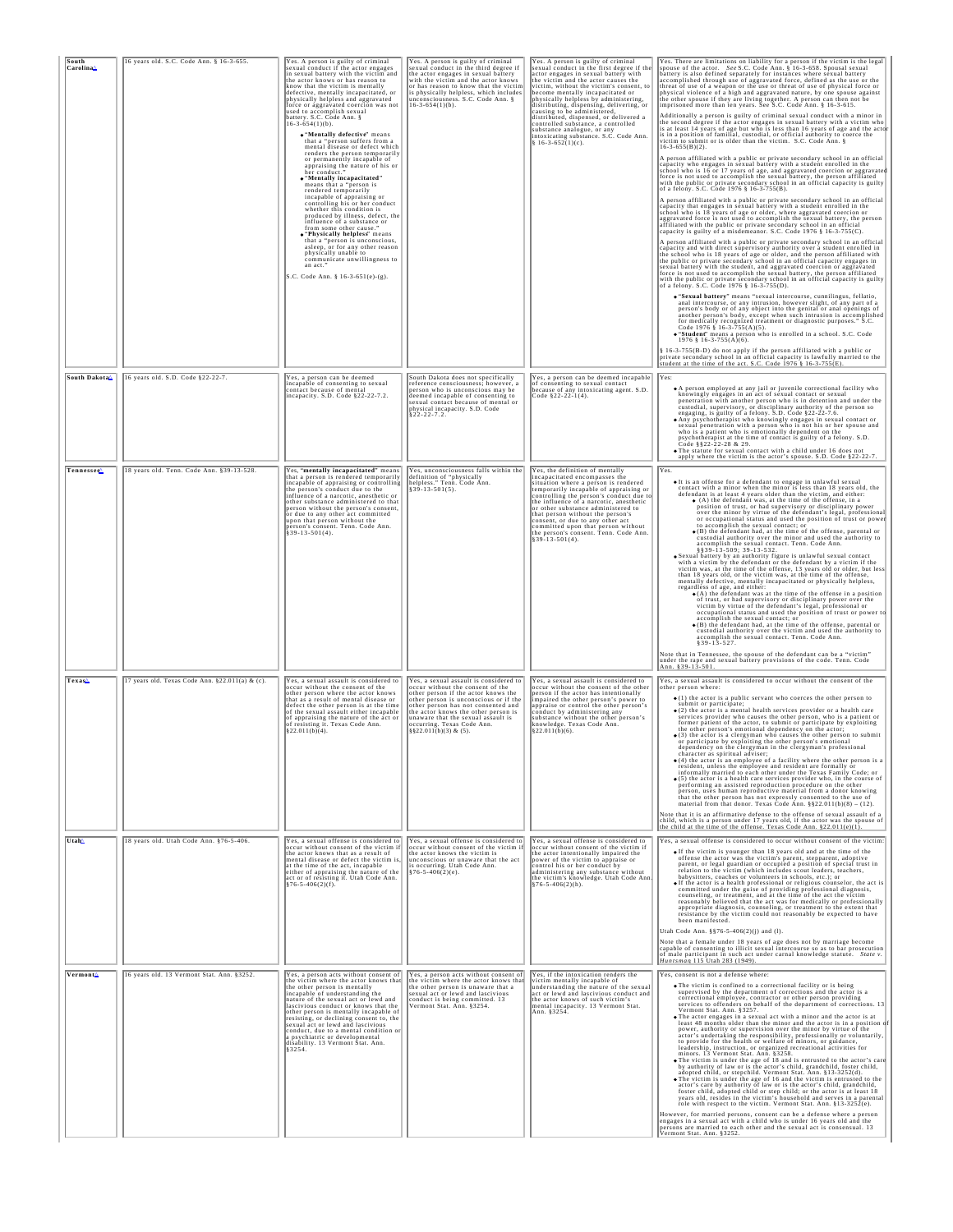| South<br>Carolina <sup>^</sup> | 16 years old. S.C. Code Ann. § 16-3-655.        | Yes. A person is guilty of criminal<br>sexual conduct if the actor engages<br>in sexual battery with the victim and<br>the actor knows or has reason to<br>know that the victim is mentally<br>defective, mentally incapacitated, or<br>physically helpless and aggravated<br>force or aggravated coercion was not<br>used to accomplish sexual<br>battery. S.C. Code Ann. §<br>$16 - 3 - 654(1)(b)$ .<br>. "Mentally defective" means<br>that a "person suffers from a<br>mental disease or defect which<br>renders the person temporarily<br>or permanently incapable of<br>appraising the nature of his or<br>her conduct.<br>. "Mentally incapacitated"<br>means that a "person is<br>rendered temporarily<br>incapable of appraising or<br>controlling his or her conduct<br>whether this condition is<br>produced by illness, defect, the<br>influence of a substance or<br>from some other cause.<br>. "Physically helpless" means<br>that a "person is unconscious,<br>asleep, or for any other reason<br>physically unable to<br>communicate unwillingness to<br>an act.<br>S.C. Code Ann. § 16-3-651(e)-(g). | Yes. A person is guilty of criminal<br>sexual conduct in the third degree if<br>the actor engages in sexual battery<br>with the victim and the actor knows<br>or has reason to know that the victim<br>is physically helpless, which includes<br>unconsciousness. S.C. Code Ann. §<br>$16-3-654(1)(b)$ .                             | Yes. A person is guilty of criminal<br>sexual conduct in the first degree if the<br>actor engages in sexual battery with<br>the victim and the actor causes the<br>victim, without the victim's consent, to<br>become mentally incapacitated or<br>physically helpless by administering,<br>distributing, dispensing, delivering, or<br>causing to be administered,<br>distributed, dispensed, or delivered a<br>controlled substance, a controlled<br>substance analogue, or any<br>intoxicating substance. S.C. Code Ann<br>§ 16-3-652(1)(c). | Yes. There are limitations on liability for a person if the victim is the legal<br>spouse of the actor. See S.C. Code Ann. § 16-3-658. Spousal sexual<br>battery is also defined separately for instances where sexual battery<br>accomplished through use of aggravated force, defined as the use or the<br>threat of use of a weapon or the use or threat of use of physical force or<br>physical violence of a high and aggravated nature, by one spouse against the other spouse if they are living together. A person can then not be<br>imprisoned more than ten years. See S.C. Code Ann. § 16-3-615.<br>Additionally a person is guilty of criminal sexual conduct with a minor in the second degree if the actor engages in sexual battery with a victim who is less than 16 years of age but who is less than 16 years of age out wh<br>is in a position of familial, custodial, or official authority to coerce the victim to submit or is older than the victim. S.C. Code Ann. §<br>$16 - 3 - 655(B)(2)$ .<br>A person affiliated with a public or private secondary school in an official<br>capacity who engages in sexual battery with a student enrolled in the<br>school who is 16 or 17 years of age, and aggravated coercion or aggravated<br>force is not used to accomplish the sexual battery, the person affiliated with the public or private secondary school in an official capacity is guilty<br>of a felony. S.C. Code 1976 § 16-3-755(B).<br>A person affiliated with a public or private secondary school in an official capacity that engages in sexual battery with a student enrolled in the<br>school who is 18 years of age or older, where aggravated coercion or<br>aggravated force is not used to accomplish the sexual battery, the person affiliated with the public or private secondary school in an official<br>capacity is guilty of a misdemeanor. S.C. Code 1976 § 16-3-755(C).<br>A person affiliated with a public or private secondary school in an official<br>capacity and with direct supervisory authority over a student enrolled in<br>the school who is 18 years of age or older, and the person affiliated with<br>the public or private secondary school in an official capacity engages in sexual battery with the student, and aggravated coercion or aggravated<br>force is not used to accomplish the sexual battery, the person affiliated<br>with the public or private secondary school in an official capacity is guilty of a felony. S.C. Code 1976 § 16-3-755(D).<br>· "Sexual battery" means "sexual intercourse, cunnilingus, fellatio,<br>anal intercourse, or any intrusion, however slight, of any part of a person's body or of any object into the genital or anal openings of<br>another person's body, except when such intrusion is accomplished<br>for medically recognized treatment or diagnostic purposes." S.C.<br>Code 1976 § 16-3-755(A)(5).<br><b>• "Student"</b> means a person who is enrolled in a school. S.C. Code 1976 § 16-3-755(A)(6).<br>§ 16-3-755(B-D) do not apply if the person affiliated with a public or<br>private secondary school in an official capacity is lawfully married to the student at the time of the act. S.C. Code 1976 § 16-3-755(E). |
|--------------------------------|-------------------------------------------------|------------------------------------------------------------------------------------------------------------------------------------------------------------------------------------------------------------------------------------------------------------------------------------------------------------------------------------------------------------------------------------------------------------------------------------------------------------------------------------------------------------------------------------------------------------------------------------------------------------------------------------------------------------------------------------------------------------------------------------------------------------------------------------------------------------------------------------------------------------------------------------------------------------------------------------------------------------------------------------------------------------------------------------------------------------------------------------------------------------------------|--------------------------------------------------------------------------------------------------------------------------------------------------------------------------------------------------------------------------------------------------------------------------------------------------------------------------------------|-------------------------------------------------------------------------------------------------------------------------------------------------------------------------------------------------------------------------------------------------------------------------------------------------------------------------------------------------------------------------------------------------------------------------------------------------------------------------------------------------------------------------------------------------|---------------------------------------------------------------------------------------------------------------------------------------------------------------------------------------------------------------------------------------------------------------------------------------------------------------------------------------------------------------------------------------------------------------------------------------------------------------------------------------------------------------------------------------------------------------------------------------------------------------------------------------------------------------------------------------------------------------------------------------------------------------------------------------------------------------------------------------------------------------------------------------------------------------------------------------------------------------------------------------------------------------------------------------------------------------------------------------------------------------------------------------------------------------------------------------------------------------------------------------------------------------------------------------------------------------------------------------------------------------------------------------------------------------------------------------------------------------------------------------------------------------------------------------------------------------------------------------------------------------------------------------------------------------------------------------------------------------------------------------------------------------------------------------------------------------------------------------------------------------------------------------------------------------------------------------------------------------------------------------------------------------------------------------------------------------------------------------------------------------------------------------------------------------------------------------------------------------------------------------------------------------------------------------------------------------------------------------------------------------------------------------------------------------------------------------------------------------------------------------------------------------------------------------------------------------------------------------------------------------------------------------------------------------------------------------------------------------------------------------------------------------------------------------------------------------------------------------------------------------------------------------------------------------------------------------------------------------------------------------------------------------------------------------------------------------------------------------------------------------------------------------------------------------------------------------------------------------------------------------------------------------|
| South Dakota <sup>4</sup>      | 16 years old. S.D. Code §22-22-7.               | Yes, a person can be deemed<br>incapable of consenting to sexual<br>contact because of mental<br>incapacity. S.D. Code §22-22-7.2.                                                                                                                                                                                                                                                                                                                                                                                                                                                                                                                                                                                                                                                                                                                                                                                                                                                                                                                                                                                     | South Dakota does not specifically<br>reference consciousness; however, a<br>person who is unconscious may be<br>deemed incapable of consenting to<br>sexual contact because of mental or<br>physical incapacity. S.D. Code<br>$§22 - 22 - 7.2.$                                                                                     | Yes, a person can be deemed incapable<br>of consenting to sexual contact<br>because of any intoxicating agent. S.D.<br>Code §22-22-1(4).                                                                                                                                                                                                                                                                                                                                                                                                        | Yes:<br>. A person employed at any jail or juvenile correctional facility who<br>knowingly engages in an act of sexual contact or sexual<br><b>EXECUTE THE SECTION AND SET AS A CONSTRAINE TO PERFORMATE PROPERTIES</b> experience properties and ander the custodial, supervisory, or disciplinary authority of the person so expaging, is guilty of a felony. S.D. Code $\S 2$<br>who is a patient who is emotionally dependent on the<br>psychotherapist at the time of contact is guilty of a felony. S.D. Code §§22-22-28 & 29.<br>. The statute for sexual contact with a child under 16 does not<br>apply where the victim is the actor's spouse. S.D. Code §22-22-7.                                                                                                                                                                                                                                                                                                                                                                                                                                                                                                                                                                                                                                                                                                                                                                                                                                                                                                                                                                                                                                                                                                                                                                                                                                                                                                                                                                                                                                                                                                                                                                                                                                                                                                                                                                                                                                                                                                                                                                                                                                                                                                                                                                                                                                                                                                                                                                                                                                                                                                                                                                                  |
| Tennessee                      | 18 years old. Tenn. Code Ann. §39-13-528.       | Yes, "mentally incapacitated" means<br>that a person is rendered temporarily<br>incapable of appraising or controlling<br>the person's conduct due to the<br>influence of a narcotic, anesthetic or<br>other substance administered to that<br>person without the person's consent,<br>or due to any other act committed<br>upon that person without the<br>person's consent. Tenn. Code Ann.<br>§39-13-501(4).                                                                                                                                                                                                                                                                                                                                                                                                                                                                                                                                                                                                                                                                                                        | Yes, unconsciousness falls within the<br>definition of "physically<br>helpless." Tenn. Code Ann.<br>§39-13-501(5).                                                                                                                                                                                                                   | Yes, the definition of mentally<br>ncapacitated encompasses the<br>situation where a person is rendered<br>temporarily incapable of appraising or<br>controlling the person's conduct due to<br>the influence of a narcotic, anesthetic<br>or other substance administered to<br>that person without the person's<br>consent, or due to any other act<br>committed upon that person without<br>the person's consent. Tenn. Code Ann<br>$§39-13-501(4).$                                                                                         | Yes.<br>· It is an offense for a defendant to engage in unlawful sexual<br>contact with a minor when the minor is less than 18 years old, the defendant is at least 4 years older than the victim, and either:<br>$\bullet$ (A) the defendant was, at the time of the offense, in a<br>position of trust, or had supervisory or disciplinary power<br>over the minor by virtue of the defendant's legal, professional<br>or occupational status and used the position of trust or power<br>to accomplish the sexual contact; or<br>$\bullet$ (B) the defendant had, at the time of the offense, parental or<br>custodial authority over the minor and used the authority to<br>accomplish the sexual contact. Tenn. Code Ann.<br>§§39-13-509; 39-13-532.<br>. Sexual battery by an authority figure is unlawful sexual contact<br>with a victim by the defendant or the defendant by a victim if the<br>victim was, at the time of the offense, 13 years old or older, but less<br>than 18 years old, or the victim was, at the time of the offense,<br>mentally defective, mentally incapacitated or physically helpless,<br>regardless of age, and either:<br>$\bullet$ (A) the defendant was at the time of the offense in a position<br>of trust, or had supervisory or disciplinary power over the<br>victim by virtue of the defendant's legal, professional or<br>occupational status and used the position of trust or power to<br>accomplish the sexual contact; or<br><b>accomplished and had, at the time of the offense, parental or</b><br>custodial authority over the victim and used the authority to<br>accomplish the sexual contact. Tenn. Code Ann.<br>§39-13-527.<br>Note that in Tennessee, the spouse of the defendant can be a "victim"<br>under the rape and sexual battery provisions of the code. Tenn. Code Ann. §39-13-501.                                                                                                                                                                                                                                                                                                                                                                                                                                                                                                                                                                                                                                                                                                                                                                                                                                                                                                                                                                                                                                                                                                                                                                                                                                                                                                                                                                                                      |
| Texas≙                         | 17 years old. Texas Code Ann. §22.011(a) & (c). | Yes, a sexual assault is considered to<br>occur without the consent of the<br>other person where the actor knows<br>that as a result of mental disease or<br>defect the other person is at the time<br>of the sexual assault either incapable<br>of appraising the nature of the act or<br>of resisting it. Texas Code Ann.<br>§22.011(b)(4).                                                                                                                                                                                                                                                                                                                                                                                                                                                                                                                                                                                                                                                                                                                                                                          | Yes, a sexual assault is considered to<br>occur without the consent of the<br>other person if the actor knows the<br>other person is unconscious or if the<br>other person has not consented and<br>the actor knows the other person is<br>unaware that the sexual assault is<br>occurring. Texas Code Ann.<br>§§22.011(b)(3) & (5). | Yes, a sexual assault is considered to<br>occur without the consent of the other<br>person if the actor has intentionally<br>impaired the other person's power to<br>appraise or control the other person's<br>conduct by administering any<br>substance without the other person's<br>knowledge. Texas Code Ann.<br>§22.011(b)(6).                                                                                                                                                                                                             | Yes, a sexual assault is considered to occur without the consent of the<br>other person where:<br>(1) the actor is a public servant who coerces the other person to<br>submit or participate;<br>$\bullet$ (2) the actor is a mental health services provider or a health care<br>services provider who causes the other person, who is a patient or<br>former patient of the actor, to submit or participate by exploiting the other person's emotional dependency on the actor;<br>$\bullet$ (3) the actor is a clergyman who causes the other person to submit<br>or participate by exploiting the other person's emotional<br>dependency on the clergyman in the clergyman's professional<br>spiritual ad<br>acter a<br>icer-<br>$\bullet$ (4) the actor is an employee of a facility where the other person is a<br>resident, unless the employee and resident are formally or<br>informally married to each other under the Texas Family Code; or<br>$\bullet$ (5) the actor is a health care services provider who, in the course of<br>performing an assisted reproduction procedure on the other<br>person, uses human reproductive material from a donor knowing<br>that the other person has not expressly consented to the use of "material from that donor. Texas Code Ann. $\S$ §22.011(b)(8) - (12).<br>Note that it is an affirmative defense to the offense of sexual assault of a<br>child, which is a person under 17 years old, if the actor was the spouse of the child at the time of the offense. Texas Code Ann. $22.011(e)(1)$ .                                                                                                                                                                                                                                                                                                                                                                                                                                                                                                                                                                                                                                                                                                                                                                                                                                                                                                                                                                                                                                                                                                                                                                                                                                                                                                                                                                                                                                                                                                                                                                                                                                                                                                     |
| Utah                           | 18 years old. Utah Code Ann. §76-5-406.         | Yes, a sexual offense is considered to<br>occur without consent of the victim if<br>the actor knows that as a result of<br>mental disease or defect the victim is<br>at the time of the act, incapable<br>either of appraising the nature of the<br>act or of resisting it. Utah Code Ann.<br>$§76-5-406(2)(f).$                                                                                                                                                                                                                                                                                                                                                                                                                                                                                                                                                                                                                                                                                                                                                                                                       | Yes, a sexual offense is considered to<br>occur without consent of the victim if<br>the actor knows the victim is<br>unconscious or unaware that the act<br>is occurring. Utah Code Ann.<br>$$76-5-406(2)(e).$                                                                                                                       | Yes, a sexual offense is considered to<br>occur without consent of the victim if<br>the actor intentionally impaired the<br>power of the victim to appraise or<br>control his or her conduct by<br>administering any substance without<br>the victim's knowledge. Utah Code Ann<br>$\S$ 76-5-406(2)(h).                                                                                                                                                                                                                                         | Yes, a sexual offense is considered to occur without consent of the victim:<br>o If the victim is younger than 18 years old and at the time of the<br>offense the actor was the victim's parent, stepparent, adoptive parent, or legal guardian or occupied a position of special trust in<br>relation to the victim (which includes scout leaders, teachers,<br>babysitters, coaches or volunteers in schools, etc.); or<br>o If the actor is a health professional or religious counselor, the act is<br>committed under the guise of providing professional diagnosis,<br>counseling, or treatment, and at the time of the act the victim<br>reasonably believed that the act was for medically or professionally<br>appropriate diagnosis, counseling, or treatment to the extent that<br>resistance by the victim could not reasonably be expected to have<br>been manifested.<br>Utah Code Ann. §§76-5-406(2)(j) and (l).<br>Note that a female under 18 years of age does not by marriage become<br>capable of consenting to illicit sexual intercourse so as to bar prosecution<br>of male participant in such act under carnal knowledge statute. State v.<br>Huntsman 115 Utah 283 (1949).                                                                                                                                                                                                                                                                                                                                                                                                                                                                                                                                                                                                                                                                                                                                                                                                                                                                                                                                                                                                                                                                                                                                                                                                                                                                                                                                                                                                                                                                                                                                                                                                                                                                                                                                                                                                                                                                                                                                                                                                                                                          |
| Vermont <sup>4</sup>           | 16 years old. 13 Vermont Stat. Ann. §3252.      | Yes, a person acts without consent of<br>the victim where the actor knows that<br>the other person is mentally<br>incapable of understanding the<br>nature of the sexual act or lewd and<br>lascivious conduct or knows that the<br>other person is mentally incapable of<br>resisting, or declining consent to, the<br>sexual act or lewd and lascivious<br>conduct, due to a mental condition or<br>a psychiatric or developmental<br>disability. 13 Vermont Stat. Ann.<br>§ 3254.                                                                                                                                                                                                                                                                                                                                                                                                                                                                                                                                                                                                                                   | Yes, a person acts without consent of<br>the victim where the actor knows that<br>the other person is unaware that a<br>sexual act or lewd and lascivious<br>conduct is being committed. 13<br>Vermont Stat. Ann. §3254.                                                                                                             | Yes, if the intoxication renders the<br>victim mentally incapable of<br>understanding the nature of the sexual<br>act or lewd and lascivious conduct and<br>the actor knows of such victim's<br>mental incapacity. 13 Vermont Stat.<br>Ann. §3254.                                                                                                                                                                                                                                                                                              | Yes, consent is not a defense where:<br>. The victim is confined to a correctional facility or is being<br>supervised by the department of corrections and the actor is a<br>correctional employee, contractor or other person providing<br>services to offenders on behalf of the department of corrections. 13<br>Vermont Stat. Ann. §3257.<br>. The actor engages in a sexual act with a minor and the actor is at<br>least 48 months older than the minor and the actor is in a position<br>power, authority or supervision over the minor by virtue of the<br>actor's undertaking the responsibility, professionally or voluntarily, to provide for the health or welfare of minors, or guidance,<br>leadership, instruction, or organized recreational activities for<br>minors. I'3 Vermont Stat. Ann. §3258.<br>• The victim is under the age of 18 and is entrusted to the actor's care<br>by authority of law or is the actor's child, grandchild, foster child,<br>adopted child, or stepchild. Vermont Stat. Ann. \$13-3252(d).<br>. The victim is under the age of 16 and the victim is entrusted to the<br>actor's care by authority of law or is the actor's child, grandchild,<br>foster child, adopted child or step child; or the actor is at least 18 years old, resides in the victim's household and serves in a parental<br>role with respect to the victim. Vermont Stat. Ann. §13-3252(e).<br>However, for married persons, consent can be a defense where a person<br>engages in a sexual act with a child who is under 16 years old and the<br>persons are married to each other and the sexual act is consensual. 13<br>Vermont Stat. Ann. §3252.                                                                                                                                                                                                                                                                                                                                                                                                                                                                                                                                                                                                                                                                                                                                                                                                                                                                                                                                                                                                                                                                                                                                                                                                                                                                                                                                                                                                                                                                                                                                                                                  |